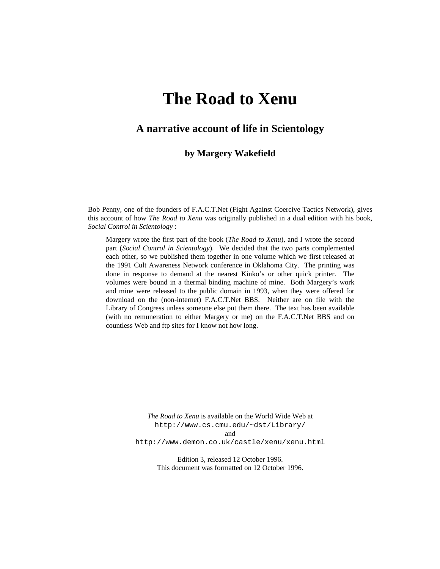# **The Road to Xenu**

#### **A narrative account of life in Scientology**

#### **by Margery Wakefield**

Bob Penny, one of the founders of F.A.C.T.Net (Fight Against Coercive Tactics Network), gives this account of how *The Road to Xenu* was originally published in a dual edition with his book, *Social Control in Scientology* :

Margery wrote the first part of the book (*The Road to Xenu*), and I wrote the second part (*Social Control in Scientology*). We decided that the two parts complemented each other, so we published them together in one volume which we first released at the 1991 Cult Awareness Network conference in Oklahoma City. The printing was done in response to demand at the nearest Kinko's or other quick printer. The volumes were bound in a thermal binding machine of mine. Both Margery's work and mine were released to the public domain in 1993, when they were offered for download on the (non-internet) F.A.C.T.Net BBS. Neither are on file with the Library of Congress unless someone else put them there. The text has been available (with no remuneration to either Margery or me) on the F.A.C.T.Net BBS and on countless Web and ftp sites for I know not how long.

> *The Road to Xenu* is available on the World Wide Web at http://www.cs.cmu.edu/~dst/Library/ and http://www.demon.co.uk/castle/xenu/xenu.html

> > Edition 3, released 12 October 1996. This document was formatted on 12 October 1996.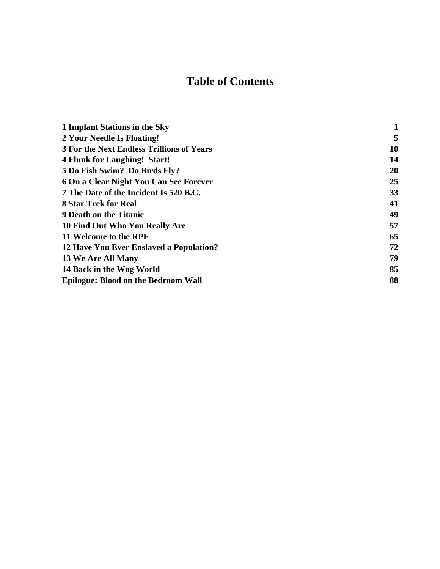## **Table of Contents**

| 5  |
|----|
| 10 |
| 14 |
| 20 |
| 25 |
| 33 |
| 41 |
| 49 |
| 57 |
| 65 |
| 72 |
| 79 |
| 85 |
| 88 |
|    |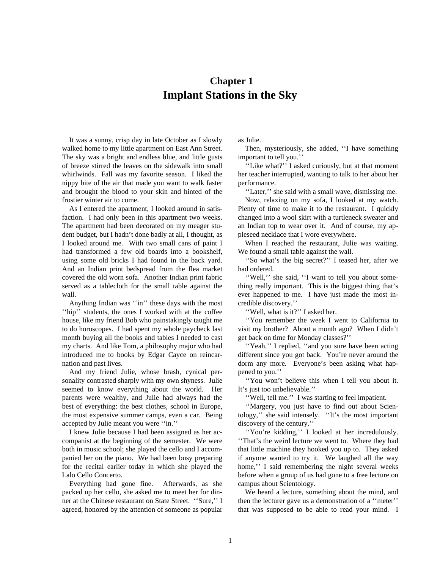### **Chapter 1 Implant Stations in the Sky**

It was a sunny, crisp day in late October as I slowly walked home to my little apartment on East Ann Street. The sky was a bright and endless blue, and little gusts of breeze stirred the leaves on the sidewalk into small whirlwinds. Fall was my favorite season. I liked the nippy bite of the air that made you want to walk faster and brought the blood to your skin and hinted of the frostier winter air to come.

As I entered the apartment, I looked around in satisfaction. I had only been in this apartment two weeks. The apartment had been decorated on my meager student budget, but I hadn't done badly at all, I thought, as I looked around me. With two small cans of paint I had transformed a few old boards into a bookshelf, using some old bricks I had found in the back yard. And an Indian print bedspread from the flea market covered the old worn sofa. Another Indian print fabric served as a tablecloth for the small table against the wall.

Anything Indian was ''in'' these days with the most ''hip'' students, the ones I worked with at the coffee house, like my friend Bob who painstakingly taught me to do horoscopes. I had spent my whole paycheck last month buying all the books and tables I needed to cast my charts. And like Tom, a philosophy major who had introduced me to books by Edgar Cayce on reincarnation and past lives.

And my friend Julie, whose brash, cynical personality contrasted sharply with my own shyness. Julie seemed to know everything about the world. Her parents were wealthy, and Julie had always had the best of everything: the best clothes, school in Europe, the most expensive summer camps, even a car. Being accepted by Julie meant you were ''in.''

I knew Julie because I had been assigned as her accompanist at the beginning of the semester. We were both in music school; she played the cello and I accompanied her on the piano. We had been busy preparing for the recital earlier today in which she played the Lalo Cello Concerto.

Everything had gone fine. Afterwards, as she packed up her cello, she asked me to meet her for dinner at the Chinese restaurant on State Street. ''Sure,'' I agreed, honored by the attention of someone as popular as Julie.

Then, mysteriously, she added, ''I have something important to tell you.''

''Like what?'' I asked curiously, but at that moment her teacher interrupted, wanting to talk to her about her performance.

''Later,'' she said with a small wave, dismissing me.

Now, relaxing on my sofa, I looked at my watch. Plenty of time to make it to the restaurant. I quickly changed into a wool skirt with a turtleneck sweater and an Indian top to wear over it. And of course, my appleseed necklace that I wore everywhere.

When I reached the restaurant, Julie was waiting. We found a small table against the wall.

''So what's the big secret?'' I teased her, after we had ordered.

''Well,'' she said, ''I want to tell you about something really important. This is the biggest thing that's ever happened to me. I have just made the most incredible discovery.''

''Well, what is it?'' I asked her.

''You remember the week I went to California to visit my brother? About a month ago? When I didn't get back on time for Monday classes?''

''Yeah,'' I replied, ''and you sure have been acting different since you got back. You're never around the dorm any more. Everyone's been asking what happened to you.''

''You won't believe this when I tell you about it. It's just too unbelievable.''

''Well, tell me.'' I was starting to feel impatient.

''Margery, you just have to find out about Scientology,'' she said intensely. ''It's the most important discovery of the century.''

''You're kidding,'' I looked at her incredulously. ''That's the weird lecture we went to. Where they had that little machine they hooked you up to. They asked if anyone wanted to try it. We laughed all the way home,'' I said remembering the night several weeks before when a group of us had gone to a free lecture on campus about Scientology.

We heard a lecture, something about the mind, and then the lecturer gave us a demonstration of a ''meter'' that was supposed to be able to read your mind. I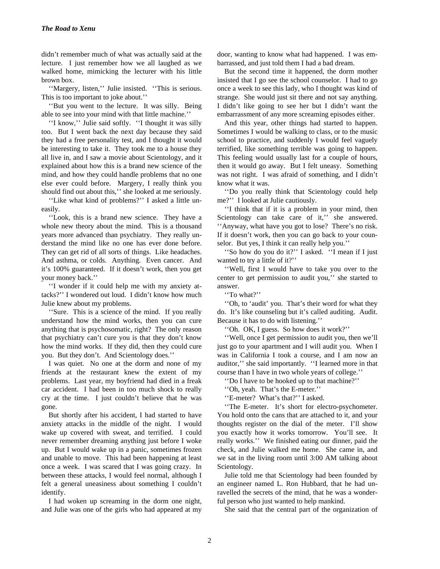didn't remember much of what was actually said at the lecture. I just remember how we all laughed as we walked home, mimicking the lecturer with his little brown box.

''Margery, listen,'' Julie insisted. ''This is serious. This is too important to joke about.''

''But you went to the lecture. It was silly. Being able to see into your mind with that little machine.''

''I know,'' Julie said softly. ''I thought it was silly too. But I went back the next day because they said they had a free personality test, and I thought it would be interesting to take it. They took me to a house they all live in, and I saw a movie about Scientology, and it explained about how this is a brand new science of the mind, and how they could handle problems that no one else ever could before. Margery, I really think you should find out about this,'' she looked at me seriously.

''Like what kind of problems?'' I asked a little uneasily.

''Look, this is a brand new science. They have a whole new theory about the mind. This is a thousand years more advanced than psychiatry. They really understand the mind like no one has ever done before. They can get rid of all sorts of things. Like headaches. And asthma, or colds. Anything. Even cancer. And it's 100% guaranteed. If it doesn't work, then you get your money back.''

''I wonder if it could help me with my anxiety attacks?'' I wondered out loud. I didn't know how much Julie knew about my problems.

''Sure. This is a science of the mind. If you really understand how the mind works, then you can cure anything that is psychosomatic, right? The only reason that psychiatry can't cure you is that they don't know how the mind works. If they did, then they could cure you. But they don't. And Scientology does.''

I was quiet. No one at the dorm and none of my friends at the restaurant knew the extent of my problems. Last year, my boyfriend had died in a freak car accident. I had been in too much shock to really cry at the time. I just couldn't believe that he was gone.

But shortly after his accident, I had started to have anxiety attacks in the middle of the night. I would wake up covered with sweat, and terrified. I could never remember dreaming anything just before I woke up. But I would wake up in a panic, sometimes frozen and unable to move. This had been happening at least once a week. I was scared that I was going crazy. In between these attacks, I would feel normal, although I felt a general uneasiness about something I couldn't identify.

I had woken up screaming in the dorm one night, and Julie was one of the girls who had appeared at my door, wanting to know what had happened. I was embarrassed, and just told them I had a bad dream.

But the second time it happened, the dorm mother insisted that I go see the school counselor. I had to go once a week to see this lady, who I thought was kind of strange. She would just sit there and not say anything. I didn't like going to see her but I didn't want the embarrassment of any more screaming episodes either.

And this year, other things had started to happen. Sometimes I would be walking to class, or to the music school to practice, and suddenly I would feel vaguely terrified, like something terrible was going to happen. This feeling would usually last for a couple of hours, then it would go away. But I felt uneasy. Something was not right. I was afraid of something, and I didn't know what it was.

''Do you really think that Scientology could help me?'' I looked at Julie cautiously.

''I think that if it is a problem in your mind, then Scientology can take care of it," she answered. ''Anyway, what have you got to lose? There's no risk. If it doesn't work, then you can go back to your counselor. But yes, I think it can really help you.''

''So how do you do it?'' I asked. ''I mean if I just wanted to try a little of it?''

''Well, first I would have to take you over to the center to get permission to audit you,'' she started to answer.

''To what?''

''Oh, to 'audit' you. That's their word for what they do. It's like counseling but it's called auditing. Audit. Because it has to do with listening.''

''Oh. OK, I guess. So how does it work?''

''Well, once I get permission to audit you, then we'll just go to your apartment and I will audit you. When I was in California I took a course, and I am now an auditor,'' she said importantly. ''I learned more in that course than I have in two whole years of college.''

''Do I have to be hooked up to that machine?''

''Oh, yeah. That's the E-meter.''

''E-meter? What's that?'' I asked.

''The E-meter. It's short for electro-psychometer. You hold onto the cans that are attached to it, and your thoughts register on the dial of the meter. I'll show you exactly how it works tomorrow. You'll see. It really works.'' We finished eating our dinner, paid the check, and Julie walked me home. She came in, and we sat in the living room until 3:00 AM talking about Scientology.

Julie told me that Scientology had been founded by an engineer named L. Ron Hubbard, that he had unravelled the secrets of the mind, that he was a wonderful person who just wanted to help mankind.

She said that the central part of the organization of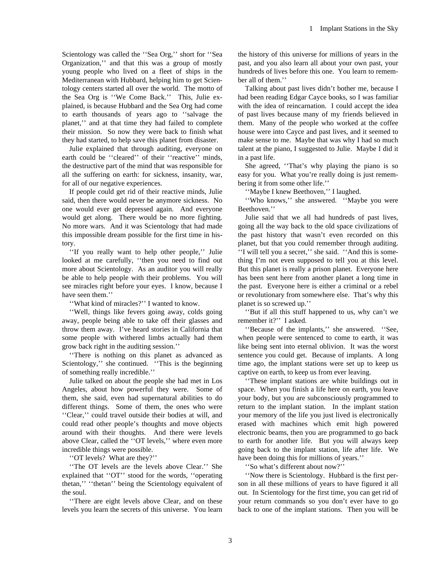Scientology was called the ''Sea Org,'' short for ''Sea Organization,'' and that this was a group of mostly young people who lived on a fleet of ships in the Mediterranean with Hubbard, helping him to get Scientology centers started all over the world. The motto of the Sea Org is ''We Come Back.'' This, Julie explained, is because Hubbard and the Sea Org had come to earth thousands of years ago to ''salvage the planet,'' and at that time they had failed to complete their mission. So now they were back to finish what they had started, to help save this planet from disaster.

Julie explained that through auditing, everyone on earth could be ''cleared'' of their ''reactive'' minds, the destructive part of the mind that was responsible for all the suffering on earth: for sickness, insanity, war, for all of our negative experiences.

If people could get rid of their reactive minds, Julie said, then there would never be anymore sickness. No one would ever get depressed again. And everyone would get along. There would be no more fighting. No more wars. And it was Scientology that had made this impossible dream possible for the first time in history.

''If you really want to help other people,'' Julie looked at me carefully, ''then you need to find out more about Scientology. As an auditor you will really be able to help people with their problems. You will see miracles right before your eyes. I know, because I have seen them.''

''What kind of miracles?'' I wanted to know.

''Well, things like fevers going away, colds going away, people being able to take off their glasses and throw them away. I've heard stories in California that some people with withered limbs actually had them grow back right in the auditing session.''

''There is nothing on this planet as advanced as Scientology,'' she continued. ''This is the beginning of something really incredible.''

Julie talked on about the people she had met in Los Angeles, about how powerful they were. Some of them, she said, even had supernatural abilities to do different things. Some of them, the ones who were ''Clear,'' could travel outside their bodies at will, and could read other people's thoughts and move objects around with their thoughts. And there were levels above Clear, called the ''OT levels,'' where even more incredible things were possible.

''OT levels? What are they?''

''The OT levels are the levels above Clear.'' She explained that ''OT'' stood for the words, ''operating thetan," "thetan" being the Scientology equivalent of the soul.

''There are eight levels above Clear, and on these levels you learn the secrets of this universe. You learn the history of this universe for millions of years in the past, and you also learn all about your own past, your hundreds of lives before this one. You learn to remember all of them.''

Talking about past lives didn't bother me, because I had been reading Edgar Cayce books, so I was familiar with the idea of reincarnation. I could accept the idea of past lives because many of my friends believed in them. Many of the people who worked at the coffee house were into Cayce and past lives, and it seemed to make sense to me. Maybe that was why I had so much talent at the piano, I suggested to Julie. Maybe I did it in a past life.

She agreed, ''That's why playing the piano is so easy for you. What you're really doing is just remembering it from some other life.''

''Maybe I knew Beethoven,'' I laughed.

''Who knows,'' she answered. ''Maybe you were Beethoven.''

Julie said that we all had hundreds of past lives, going all the way back to the old space civilizations of the past history that wasn't even recorded on this planet, but that you could remember through auditing. ''I will tell you a secret,'' she said. ''And this is something I'm not even supposed to tell you at this level. But this planet is really a prison planet. Everyone here has been sent here from another planet a long time in the past. Everyone here is either a criminal or a rebel or revolutionary from somewhere else. That's why this planet is so screwed up.''

''But if all this stuff happened to us, why can't we remember it?'' I asked.

''Because of the implants,'' she answered. ''See, when people were sentenced to come to earth, it was like being sent into eternal oblivion. It was the worst sentence you could get. Because of implants. A long time ago, the implant stations were set up to keep us captive on earth, to keep us from ever leaving.

''These implant stations are white buildings out in space. When you finish a life here on earth, you leave your body, but you are subconsciously programmed to return to the implant station. In the implant station your memory of the life you just lived is electronically erased with machines which emit high powered electronic beams, then you are programmed to go back to earth for another life. But you will always keep going back to the implant station, life after life. We have been doing this for millions of years.''

''So what's different about now?''

''Now there is Scientology. Hubbard is the first person in all these millions of years to have figured it all out. In Scientology for the first time, you can get rid of your return commands so you don't ever have to go back to one of the implant stations. Then you will be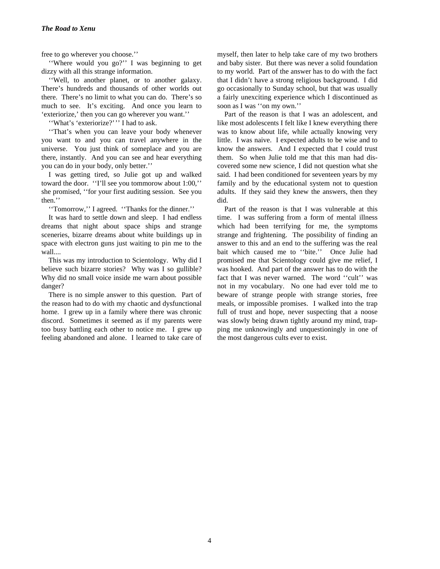free to go wherever you choose.''

''Where would you go?'' I was beginning to get dizzy with all this strange information.

''Well, to another planet, or to another galaxy. There's hundreds and thousands of other worlds out there. There's no limit to what you can do. There's so much to see. It's exciting. And once you learn to 'exteriorize,' then you can go wherever you want.''

''What's 'exteriorize?''' I had to ask.

''That's when you can leave your body whenever you want to and you can travel anywhere in the universe. You just think of someplace and you are there, instantly. And you can see and hear everything you can do in your body, only better.''

I was getting tired, so Julie got up and walked toward the door. ''I'll see you tommorow about 1:00,'' she promised, ''for your first auditing session. See you then.''

''Tomorrow,'' I agreed. ''Thanks for the dinner.''

It was hard to settle down and sleep. I had endless dreams that night about space ships and strange sceneries, bizarre dreams about white buildings up in space with electron guns just waiting to pin me to the wall....

This was my introduction to Scientology. Why did I believe such bizarre stories? Why was I so gullible? Why did no small voice inside me warn about possible danger?

There is no simple answer to this question. Part of the reason had to do with my chaotic and dysfunctional home. I grew up in a family where there was chronic discord. Sometimes it seemed as if my parents were too busy battling each other to notice me. I grew up feeling abandoned and alone. I learned to take care of myself, then later to help take care of my two brothers and baby sister. But there was never a solid foundation to my world. Part of the answer has to do with the fact that I didn't have a strong religious background. I did go occasionally to Sunday school, but that was usually a fairly unexciting experience which I discontinued as soon as I was ''on my own.''

Part of the reason is that I was an adolescent, and like most adolescents I felt like I knew everything there was to know about life, while actually knowing very little. I was naive. I expected adults to be wise and to know the answers. And I expected that I could trust them. So when Julie told me that this man had discovered some new science, I did not question what she said. I had been conditioned for seventeen years by my family and by the educational system not to question adults. If they said they knew the answers, then they did.

Part of the reason is that I was vulnerable at this time. I was suffering from a form of mental illness which had been terrifying for me, the symptoms strange and frightening. The possibility of finding an answer to this and an end to the suffering was the real bait which caused me to ''bite.'' Once Julie had promised me that Scientology could give me relief, I was hooked. And part of the answer has to do with the fact that I was never warned. The word ''cult'' was not in my vocabulary. No one had ever told me to beware of strange people with strange stories, free meals, or impossible promises. I walked into the trap full of trust and hope, never suspecting that a noose was slowly being drawn tightly around my mind, trapping me unknowingly and unquestioningly in one of the most dangerous cults ever to exist.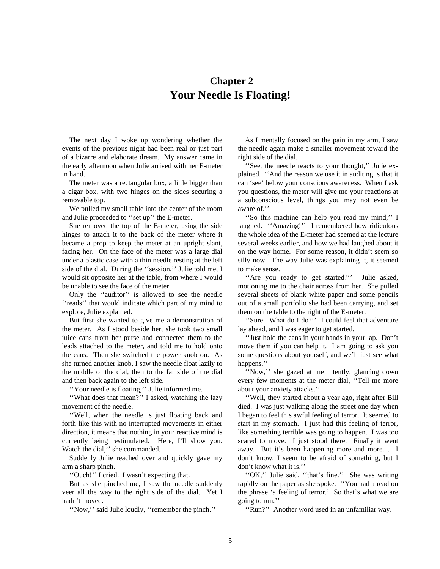### **Chapter 2 Your Needle Is Floating!**

The next day I woke up wondering whether the events of the previous night had been real or just part of a bizarre and elaborate dream. My answer came in the early afternoon when Julie arrived with her E-meter in hand.

The meter was a rectangular box, a little bigger than a cigar box, with two hinges on the sides securing a removable top.

We pulled my small table into the center of the room and Julie proceeded to ''set up'' the E-meter.

She removed the top of the E-meter, using the side hinges to attach it to the back of the meter where it became a prop to keep the meter at an upright slant, facing her. On the face of the meter was a large dial under a plastic case with a thin needle resting at the left side of the dial. During the ''session,'' Julie told me, I would sit opposite her at the table, from where I would be unable to see the face of the meter.

Only the ''auditor'' is allowed to see the needle ''reads'' that would indicate which part of my mind to explore, Julie explained.

But first she wanted to give me a demonstration of the meter. As I stood beside her, she took two small juice cans from her purse and connected them to the leads attached to the meter, and told me to hold onto the cans. Then she switched the power knob on. As she turned another knob, I saw the needle float lazily to the middle of the dial, then to the far side of the dial and then back again to the left side.

''Your needle is floating,'' Julie informed me.

''What does that mean?'' I asked, watching the lazy movement of the needle.

''Well, when the needle is just floating back and forth like this with no interrupted movements in either direction, it means that nothing in your reactive mind is currently being restimulated. Here, I'll show you. Watch the dial," she commanded.

Suddenly Julie reached over and quickly gave my arm a sharp pinch.

''Ouch!'' I cried. I wasn't expecting that.

But as she pinched me, I saw the needle suddenly veer all the way to the right side of the dial. Yet I hadn't moved.

''Now,'' said Julie loudly, ''remember the pinch.''

As I mentally focused on the pain in my arm, I saw the needle again make a smaller movement toward the right side of the dial.

''See, the needle reacts to your thought,'' Julie explained. ''And the reason we use it in auditing is that it can 'see' below your conscious awareness. When I ask you questions, the meter will give me your reactions at a subconscious level, things you may not even be aware of.''

''So this machine can help you read my mind,'' I laughed. ''Amazing!'' I remembered how ridiculous the whole idea of the E-meter had seemed at the lecture several weeks earlier, and how we had laughed about it on the way home. For some reason, it didn't seem so silly now. The way Julie was explaining it, it seemed to make sense.

"Are you ready to get started?" Julie asked, motioning me to the chair across from her. She pulled several sheets of blank white paper and some pencils out of a small portfolio she had been carrying, and set them on the table to the right of the E-meter.

''Sure. What do I do?'' I could feel that adventure lay ahead, and I was eager to get started.

''Just hold the cans in your hands in your lap. Don't move them if you can help it. I am going to ask you some questions about yourself, and we'll just see what happens."

''Now,'' she gazed at me intently, glancing down every few moments at the meter dial, ''Tell me more about your anxiety attacks.''

''Well, they started about a year ago, right after Bill died. I was just walking along the street one day when I began to feel this awful feeling of terror. It seemed to start in my stomach. I just had this feeling of terror, like something terrible was going to happen. I was too scared to move. I just stood there. Finally it went away. But it's been happening more and more.... I don't know, I seem to be afraid of something, but I don't know what it is.''

''OK,'' Julie said, ''that's fine.'' She was writing rapidly on the paper as she spoke. ''You had a read on the phrase 'a feeling of terror.' So that's what we are going to run.''

''Run?'' Another word used in an unfamiliar way.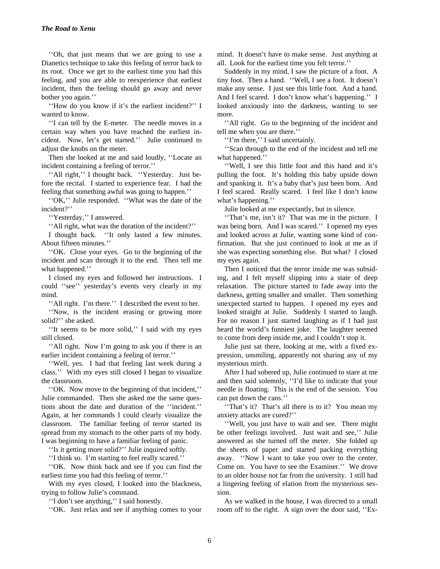''Oh, that just means that we are going to use a Dianetics technique to take this feeling of terror back to its root. Once we get to the earliest time you had this feeling, and you are able to reexperience that earliest incident, then the feeling should go away and never bother you again.''

''How do you know if it's the earliest incident?'' I wanted to know.

''I can tell by the E-meter. The needle moves in a certain way when you have reached the earliest incident. Now, let's get started.'' Julie continued to adjust the knobs on the meter.

Then she looked at me and said loudly, ''Locate an incident containing a feeling of terror.''

''All right,'' I thought back. ''Yesterday. Just before the recital. I started to experience fear. I had the feeling that something awful was going to happen.''

''OK,'' Julie responded. ''What was the date of the incident?''

''Yesterday,'' I answered.

''All right, what was the duration of the incident?''

I thought back. ''It only lasted a few minutes. About fifteen minutes.''

''OK. Close your eyes. Go to the beginning of the incident and scan through it to the end. Then tell me what happened.''

I closed my eyes and followed her instructions. I could ''see'' yesterday's events very clearly in my mind.

''All right. I'm there.'' I described the event to her.

''Now, is the incident erasing or growing more solid?'' she asked.

''It seems to be more solid,'' I said with my eyes still closed.

''All right. Now I'm going to ask you if there is an earlier incident containing a feeling of terror.''

''Well, yes. I had that feeling last week during a class.'' With my eyes still closed I began to visualize the classroom.

''OK. Now move to the beginning of that incident,'' Julie commanded. Then she asked me the same questions about the date and duration of the ''incident.'' Again, at her commands I could clearly visualize the classroom. The familiar feeling of terror started its spread from my stomach to the other parts of my body. I was beginning to have a familiar feeling of panic.

''Is it getting more solid?'' Julie inquired softly.

''I think so. I'm starting to feel really scared.''

''OK. Now think back and see if you can find the earliest time you had this feeling of terror.''

With my eyes closed, I looked into the blackness, trying to follow Julie's command.

''I don't see anything,'' I said honestly.

''OK. Just relax and see if anything comes to your

mind. It doesn't have to make sense. Just anything at all. Look for the earliest time you felt terror.''

Suddenly in my mind, I saw the picture of a foot. A tiny foot. Then a hand. ''Well, I see a foot. It doesn't make any sense. I just see this little foot. And a hand. And I feel scared. I don't know what's happening.'' I looked anxiously into the darkness, wanting to see more.

''All right. Go to the beginning of the incident and tell me when you are there.''

''I'm there,'' I said uncertainly.

''Scan through to the end of the incident and tell me what happened.''

''Well, I see this little foot and this hand and it's pulling the foot. It's holding this baby upside down and spanking it. It's a baby that's just been born. And I feel scared. Really scared. I feel like I don't know what's happening.''

Julie looked at me expectantly, but in silence.

''That's me, isn't it? That was me in the picture. I was being born. And I was scared.'' I opened my eyes and looked across at Julie, wanting some kind of confirmation. But she just continued to look at me as if she was expecting something else. But what? I closed my eyes again.

Then I noticed that the terror inside me was subsiding, and I felt myself slipping into a state of deep relaxation. The picture started to fade away into the darkness, getting smaller and smaller. Then something unexpected started to happen. I opened my eyes and looked straight at Julie. Suddenly I started to laugh. For no reason I just started laughing as if I had just heard the world's funniest joke. The laughter seemed to come from deep inside me, and I couldn't stop it.

Julie just sat there, looking at me, with a fixed expression, unsmiling, apparently not sharing any of my mysterious mirth.

After I had sobered up, Julie continued to stare at me and then said solemnly, ''I'd like to indicate that your needle is floating. This is the end of the session. You can put down the cans.''

"That's it? That's all there is to it? You mean my anxiety attacks are cured?''

''Well, you just have to wait and see. There might be other feelings involved. Just wait and see,'' Julie answered as she turned off the meter. She folded up the sheets of paper and started packing everything away. ''Now I want to take you over to the center. Come on. You have to see the Examiner.'' We drove to an older house not far from the university. I still had a lingering feeling of elation from the mysterious session.

As we walked in the house, I was directed to a small room off to the right. A sign over the door said, ''Ex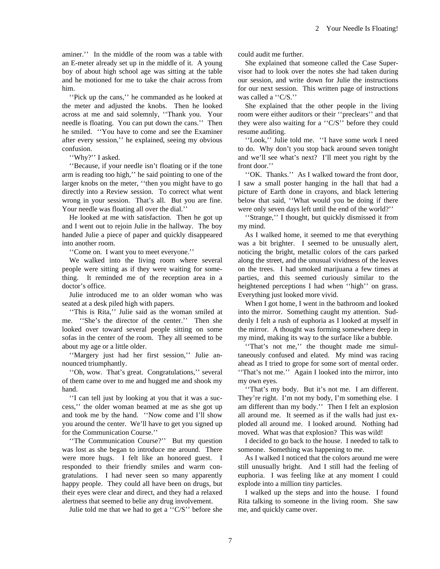aminer.'' In the middle of the room was a table with an E-meter already set up in the middle of it. A young boy of about high school age was sitting at the table and he motioned for me to take the chair across from him.

''Pick up the cans,'' he commanded as he looked at the meter and adjusted the knobs. Then he looked across at me and said solemnly, ''Thank you. Your needle is floating. You can put down the cans.'' Then he smiled. ''You have to come and see the Examiner after every session,'' he explained, seeing my obvious confusion.

''Why?'' I asked.

''Because, if your needle isn't floating or if the tone arm is reading too high,'' he said pointing to one of the larger knobs on the meter, ''then you might have to go directly into a Review session. To correct what went wrong in your session. That's all. But you are fine. Your needle was floating all over the dial.''

He looked at me with satisfaction. Then he got up and I went out to rejoin Julie in the hallway. The boy handed Julie a piece of paper and quickly disappeared into another room.

''Come on. I want you to meet everyone.''

We walked into the living room where several people were sitting as if they were waiting for something. It reminded me of the reception area in a doctor's office.

Julie introduced me to an older woman who was seated at a desk piled high with papers.

''This is Rita,'' Julie said as the woman smiled at me. ''She's the director of the center.'' Then she looked over toward several people sitting on some sofas in the center of the room. They all seemed to be about my age or a little older.

''Margery just had her first session,'' Julie announced triumphantly.

''Oh, wow. That's great. Congratulations,'' several of them came over to me and hugged me and shook my hand.

''I can tell just by looking at you that it was a success,'' the older woman beamed at me as she got up and took me by the hand. ''Now come and I'll show you around the center. We'll have to get you signed up for the Communication Course.''

''The Communication Course?'' But my question was lost as she began to introduce me around. There were more hugs. I felt like an honored guest. I responded to their friendly smiles and warm congratulations. I had never seen so many apparently happy people. They could all have been on drugs, but their eyes were clear and direct, and they had a relaxed alertness that seemed to belie any drug involvement.

Julie told me that we had to get a ''C/S'' before she

could audit me further.

She explained that someone called the Case Supervisor had to look over the notes she had taken during our session, and write down for Julie the instructions for our next session. This written page of instructions was called a ''C/S.''

She explained that the other people in the living room were either auditors or their ''preclears'' and that they were also waiting for a ''C/S'' before they could resume auditing.

''Look,'' Julie told me. ''I have some work I need to do. Why don't you stop back around seven tonight and we'll see what's next? I'll meet you right by the front door.''

''OK. Thanks.'' As I walked toward the front door, I saw a small poster hanging in the hall that had a picture of Earth done in crayons, and black lettering below that said, ''What would you be doing if there were only seven days left until the end of the world?''

''Strange,'' I thought, but quickly dismissed it from my mind.

As I walked home, it seemed to me that everything was a bit brighter. I seemed to be unusually alert, noticing the bright, metallic colors of the cars parked along the street, and the unusual vividness of the leaves on the trees. I had smoked marijuana a few times at parties, and this seemed curiously similar to the heightened perceptions I had when ''high'' on grass. Everything just looked more vivid.

When I got home, I went in the bathroom and looked into the mirror. Something caught my attention. Suddenly I felt a rush of euphoria as I looked at myself in the mirror. A thought was forming somewhere deep in my mind, making its way to the surface like a bubble.

''That's not me,'' the thought made me simultaneously confused and elated. My mind was racing ahead as I tried to grope for some sort of mental order. ''That's not me.'' Again I looked into the mirror, into my own eyes.

''That's my body. But it's not me. I am different. They're right. I'm not my body, I'm something else. I am different than my body.'' Then I felt an explosion all around me. It seemed as if the walls had just exploded all around me. I looked around. Nothing had moved. What was that explosion? This was wild!

I decided to go back to the house. I needed to talk to someone. Something was happening to me.

As I walked I noticed that the colors around me were still unusually bright. And I still had the feeling of euphoria. I was feeling like at any moment I could explode into a million tiny particles.

I walked up the steps and into the house. I found Rita talking to someone in the living room. She saw me, and quickly came over.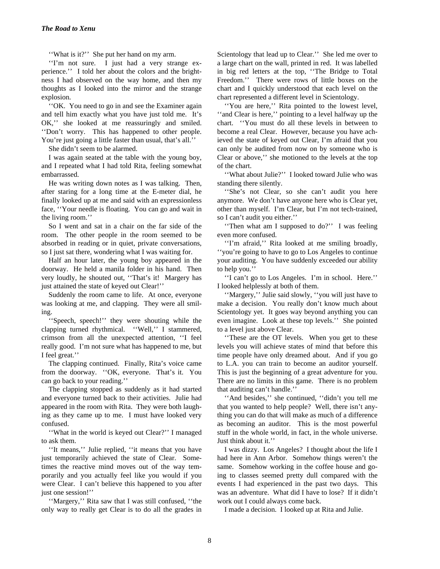''What is it?'' She put her hand on my arm.

''I'm not sure. I just had a very strange experience.'' I told her about the colors and the brightness I had observed on the way home, and then my thoughts as I looked into the mirror and the strange explosion.

''OK. You need to go in and see the Examiner again and tell him exactly what you have just told me. It's OK,'' she looked at me reassuringly and smiled. ''Don't worry. This has happened to other people. You're just going a little faster than usual, that's all.''

She didn't seem to be alarmed.

I was again seated at the table with the young boy, and I repeated what I had told Rita, feeling somewhat embarrassed.

He was writing down notes as I was talking. Then, after staring for a long time at the E-meter dial, he finally looked up at me and said with an expressionless face, ''Your needle is floating. You can go and wait in the living room.''

So I went and sat in a chair on the far side of the room. The other people in the room seemed to be absorbed in reading or in quiet, private conversations, so I just sat there, wondering what I was waiting for.

Half an hour later, the young boy appeared in the doorway. He held a manila folder in his hand. Then very loudly, he shouted out, ''That's it! Margery has just attained the state of keyed out Clear!''

Suddenly the room came to life. At once, everyone was looking at me, and clapping. They were all smiling.

''Speech, speech!'' they were shouting while the clapping turned rhythmical. ''Well,'' I stammered, crimson from all the unexpected attention, ''I feel really good. I'm not sure what has happened to me, but I feel great.''

The clapping continued. Finally, Rita's voice came from the doorway. ''OK, everyone. That's it. You can go back to your reading.''

The clapping stopped as suddenly as it had started and everyone turned back to their activities. Julie had appeared in the room with Rita. They were both laughing as they came up to me. I must have looked very confused.

''What in the world is keyed out Clear?'' I managed to ask them.

''It means,'' Julie replied, ''it means that you have just temporarily achieved the state of Clear. Sometimes the reactive mind moves out of the way temporarily and you actually feel like you would if you were Clear. I can't believe this happened to you after just one session!"

''Margery,'' Rita saw that I was still confused, ''the only way to really get Clear is to do all the grades in Scientology that lead up to Clear.'' She led me over to a large chart on the wall, printed in red. It was labelled in big red letters at the top, ''The Bridge to Total Freedom.'' There were rows of little boxes on the chart and I quickly understood that each level on the chart represented a different level in Scientology.

''You are here,'' Rita pointed to the lowest level, ''and Clear is here,'' pointing to a level halfway up the chart. ''You must do all these levels in between to become a real Clear. However, because you have achieved the state of keyed out Clear, I'm afraid that you can only be audited from now on by someone who is Clear or above,'' she motioned to the levels at the top of the chart.

''What about Julie?'' I looked toward Julie who was standing there silently.

''She's not Clear, so she can't audit you here anymore. We don't have anyone here who is Clear yet, other than myself. I'm Clear, but I'm not tech-trained, so I can't audit you either.''

''Then what am I supposed to do?'' I was feeling even more confused.

''I'm afraid,'' Rita looked at me smiling broadly, ''you're going to have to go to Los Angeles to continue your auditing. You have suddenly exceeded our ability to help you.''

''I can't go to Los Angeles. I'm in school. Here.'' I looked helplessly at both of them.

''Margery,'' Julie said slowly, ''you will just have to make a decision. You really don't know much about Scientology yet. It goes way beyond anything you can even imagine. Look at these top levels.'' She pointed to a level just above Clear.

''These are the OT levels. When you get to these levels you will achieve states of mind that before this time people have only dreamed about. And if you go to L.A. you can train to become an auditor yourself. This is just the beginning of a great adventure for you. There are no limits in this game. There is no problem that auditing can't handle.''

''And besides,'' she continued, ''didn't you tell me that you wanted to help people? Well, there isn't anything you can do that will make as much of a difference as becoming an auditor. This is the most powerful stuff in the whole world, in fact, in the whole universe. Just think about it.''

I was dizzy. Los Angeles? I thought about the life I had here in Ann Arbor. Somehow things weren't the same. Somehow working in the coffee house and going to classes seemed pretty dull compared with the events I had experienced in the past two days. This was an adventure. What did I have to lose? If it didn't work out I could always come back.

I made a decision. I looked up at Rita and Julie.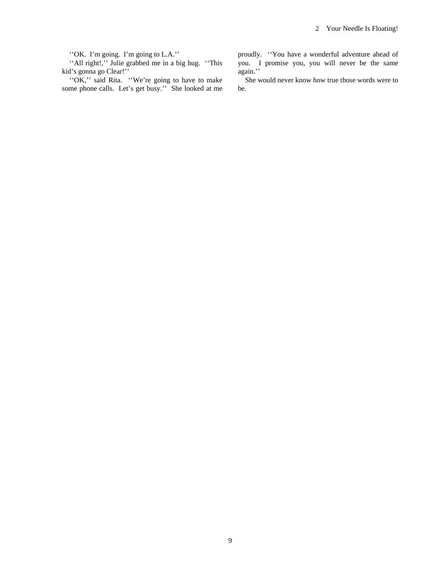''OK. I'm going. I'm going to L.A.''

''All right!,'' Julie grabbed me in a big hug. ''This kid's gonna go Clear!''

''OK,'' said Rita. ''We're going to have to make some phone calls. Let's get busy.'' She looked at me proudly. ''You have a wonderful adventure ahead of you. I promise you, you will never be the same again.''

She would never know how true those words were to be.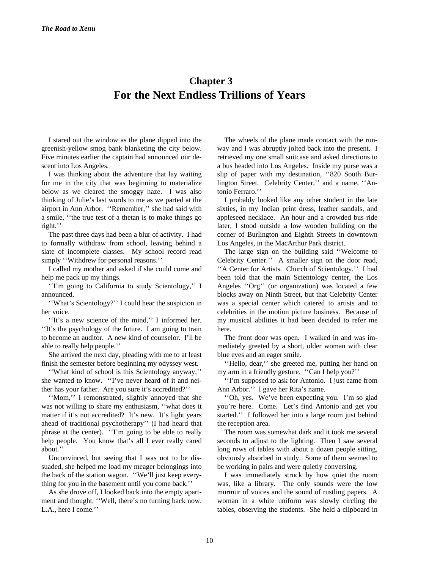### **Chapter 3 For the Next Endless Trillions of Years**

I stared out the window as the plane dipped into the greenish-yellow smog bank blanketing the city below. Five minutes earlier the captain had announced our descent into Los Angeles.

I was thinking about the adventure that lay waiting for me in the city that was beginning to materialize below as we cleared the smoggy haze. I was also thinking of Julie's last words to me as we parted at the airport in Ann Arbor. ''Remember,'' she had said with a smile, ''the true test of a thetan is to make things go right.''

The past three days had been a blur of activity. I had to formally withdraw from school, leaving behind a slate of incomplete classes. My school record read simply "Withdrew for personal reasons."

I called my mother and asked if she could come and help me pack up my things.

''I'm going to California to study Scientology,'' I announced.

''What's Scientology?'' I could hear the suspicion in her voice.

''It's a new science of the mind,'' I informed her. ''It's the psychology of the future. I am going to train to become an auditor. A new kind of counselor. I'll be able to really help people.''

She arrived the next day, pleading with me to at least finish the semester before beginning my odyssey west.

''What kind of school is this Scientology anyway,'' she wanted to know. ''I've never heard of it and neither has your father. Are you sure it's accredited?''

''Mom,'' I remonstrated, slightly annoyed that she was not willing to share my enthusiasm, ''what does it matter if it's not accredited? It's new. It's light years ahead of traditional psychotherapy'' (I had heard that phrase at the center). ''I'm going to be able to really help people. You know that's all I ever really cared about.''

Unconvinced, but seeing that I was not to be dissuaded, she helped me load my meager belongings into the back of the station wagon. ''We'll just keep everything for you in the basement until you come back.''

As she drove off, I looked back into the empty apartment and thought, ''Well, there's no turning back now. L.A., here I come.''

The wheels of the plane made contact with the runway and I was abruptly jolted back into the present. I retrieved my one small suitcase and asked directions to a bus headed into Los Angeles. Inside my purse was a slip of paper with my destination, ''820 South Burlington Street. Celebrity Center,'' and a name, ''Antonio Ferraro.''

I probably looked like any other student in the late sixties, in my Indian print dress, leather sandals, and appleseed necklace. An hour and a crowded bus ride later, I stood outside a low wooden building on the corner of Burlington and Eighth Streets in downtown Los Angeles, in the MacArthur Park district.

The large sign on the building said ''Welcome to Celebrity Center.'' A smaller sign on the door read, ''A Center for Artists. Church of Scientology.'' I had been told that the main Scientology center, the Los Angeles ''Org'' (or organization) was located a few blocks away on Ninth Street, but that Celebrity Center was a special center which catered to artists and to celebrities in the motion picture business. Because of my musical abilities it had been decided to refer me here.

The front door was open. I walked in and was immediately greeted by a short, older woman with clear blue eyes and an eager smile.

''Hello, dear,'' she greeted me, putting her hand on my arm in a friendly gesture. ''Can I help you?''

''I'm supposed to ask for Antonio. I just came from Ann Arbor.'' I gave her Rita's name.

''Oh, yes. We've been expecting you. I'm so glad you're here. Come. Let's find Antonio and get you started.'' I followed her into a large room just behind the reception area.

The room was somewhat dark and it took me several seconds to adjust to the lighting. Then I saw several long rows of tables with about a dozen people sitting, obviously absorbed in study. Some of them seemed to be working in pairs and were quietly conversing.

I was immediately struck by how quiet the room was, like a library. The only sounds were the low murmur of voices and the sound of rustling papers. A woman in a white uniform was slowly circling the tables, observing the students. She held a clipboard in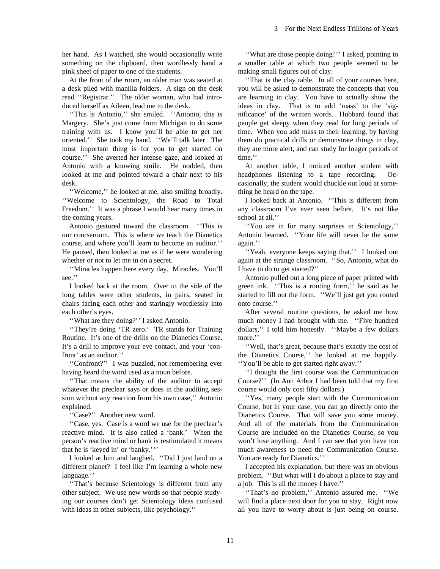her hand. As I watched, she would occasionally write something on the clipboard, then wordlessly hand a pink sheet of paper to one of the students.

At the front of the room, an older man was seated at a desk piled with manilla folders. A sign on the desk read ''Registrar.'' The older woman, who had introduced herself as Aileen, lead me to the desk.

''This is Antonio,'' she smiled. ''Antonio, this is Margery. She's just come from Michigan to do some training with us. I know you'll be able to get her oriented.'' She took my hand. ''We'll talk later. The most important thing is for you to get started on course.'' She averted her intense gaze, and looked at Antonio with a knowing smile. He nodded, then looked at me and pointed toward a chair next to his desk.

''Welcome,'' he looked at me, also smiling broadly. ''Welcome to Scientology, the Road to Total Freedom.'' It was a phrase I would hear many times in the coming years.

Antonio gestured toward the classroom. ''This is our courseroom. This is where we teach the Dianetics course, and where you'll learn to become an auditor.'' He paused, then looked at me as if he were wondering whether or not to let me in on a secret.

''Miracles happen here every day. Miracles. You'll see.''

I looked back at the room. Over to the side of the long tables were other students, in pairs, seated in chairs facing each other and staringly wordlessly into each other's eyes.

''What are they doing?'' I asked Antonio.

''They're doing 'TR zero.' TR stands for Training Routine. It's one of the drills on the Dianetics Course. It's a drill to improve your eye contact, and your 'confront' as an auditor.''

''Confront?'' I was puzzled, not remembering ever having heard the word used as a noun before.

''That means the ability of the auditor to accept whatever the preclear says or does in the auditing session without any reaction from his own case,'' Antonio explained.

''Case?'' Another new word.

''Case, yes. Case is a word we use for the preclear's reactive mind. It is also called a 'bank.' When the person's reactive mind or bank is restimulated it means that he is 'keyed in' or 'banky.'''

I looked at him and laughed. ''Did I just land on a different planet? I feel like I'm learning a whole new language.''

''That's because Scientology is different from any other subject. We use new words so that people studying our courses don't get Scientology ideas confused with ideas in other subjects, like psychology.''

''What are those people doing?'' I asked, pointing to a smaller table at which two people seemed to be making small figures out of clay.

''That is the clay table. In all of your courses here, you will be asked to demonstrate the concepts that you are learning in clay. You have to actually show the ideas in clay. That is to add 'mass' to the 'significance' of the written words. Hubbard found that people get sleepy when they read for long periods of time. When you add mass to their learning, by having them do practical drills or demonstrate things in clay, they are more alert, and can study for longer periods of time.''

At another table, I noticed another student with headphones listening to a tape recording. Occasionally, the student would chuckle out loud at something he heard on the tape.

I looked back at Antonio. ''This is different from any classroom I've ever seen before. It's not like school at all.''

''You are in for many surprises in Scientology,'' Antonio beamed. ''Your life will never be the same again.''

''Yeah, everyone keeps saying that.'' I looked out again at the strange classroom. ''So, Antonio, what do I have to do to get started?''

Antonio pulled out a long piece of paper printed with green ink. ''This is a routing form,'' he said as he started to fill out the form. ''We'll just get you routed onto course.''

After several routine questions, he asked me how much money I had brought with me. ''Five hundred dollars,'' I told him honestly. ''Maybe a few dollars more.''

''Well, that's great, because that's exactly the cost of the Dianetics Course,'' he looked at me happily. ''You'll be able to get started right away.''

''I thought the first course was the Communication Course?'' (In Ann Arbor I had been told that my first course would only cost fifty dollars.)

''Yes, many people start with the Communication Course, but in your case, you can go directly onto the Dianetics Course. That will save you some money. And all of the materials from the Communication Course are included on the Dianetics Course, so you won't lose anything. And I can see that you have too much awareness to need the Communication Course. You are ready for Dianetics.''

I accepted his explanation, but there was an obvious problem. ''But what will I do about a place to stay and a job. This is all the money I have.''

''That's no problem,'' Antonio assured me. ''We will find a place next door for you to stay. Right now all you have to worry about is just being on course.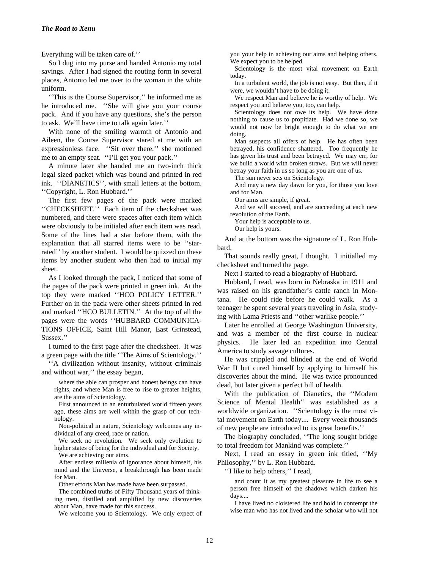Everything will be taken care of.''

So I dug into my purse and handed Antonio my total savings. After I had signed the routing form in several places, Antonio led me over to the woman in the white uniform.

''This is the Course Supervisor,'' he informed me as he introduced me. ''She will give you your course pack. And if you have any questions, she's the person to ask. We'll have time to talk again later.''

With none of the smiling warmth of Antonio and Aileen, the Course Supervisor stared at me with an expressionless face. ''Sit over there,'' she motioned me to an empty seat. ''I'll get you your pack.''

A minute later she handed me an two-inch thick legal sized packet which was bound and printed in red ink. ''DIANETICS'', with small letters at the bottom. ''Copyright, L. Ron Hubbard.''

The first few pages of the pack were marked ''CHECKSHEET.'' Each item of the checksheet was numbered, and there were spaces after each item which were obviously to be initialed after each item was read. Some of the lines had a star before them, with the explanation that all starred items were to be ''starrated'' by another student. I would be quizzed on these items by another student who then had to initial my sheet.

As I looked through the pack, I noticed that some of the pages of the pack were printed in green ink. At the top they were marked ''HCO POLICY LETTER.'' Further on in the pack were other sheets printed in red and marked ''HCO BULLETIN.'' At the top of all the pages were the words ''HUBBARD COMMUNICA-TIONS OFFICE, Saint Hill Manor, East Grinstead, Sussex.''

I turned to the first page after the checksheet. It was a green page with the title ''The Aims of Scientology.''

''A civilization without insanity, without criminals and without war,'' the essay began,

where the able can prosper and honest beings can have rights, and where Man is free to rise to greater heights, are the aims of Scientology.

First announced to an enturbulated world fifteen years ago, these aims are well within the grasp of our technology.

Non-political in nature, Scientology welcomes any individual of any creed, race or nation.

We seek no revolution. We seek only evolution to higher states of being for the individual and for Society. We are achieving our aims.

After endless millenia of ignorance about himself, his mind and the Universe, a breakthrough has been made for Man.

Other efforts Man has made have been surpassed.

The combined truths of Fifty Thousand years of thinking men, distilled and amplified by new discoveries about Man, have made for this success.

We welcome you to Scientology. We only expect of

you your help in achieving our aims and helping others. We expect you to be helped.

Scientology is the most vital movement on Earth today.

In a turbulent world, the job is not easy. But then, if it were, we wouldn't have to be doing it.

We respect Man and believe he is worthy of help. We respect you and believe you, too, can help.

Scientology does not owe its help. We have done nothing to cause us to propitiate. Had we done so, we would not now be bright enough to do what we are doing.

Man suspects all offers of help. He has often been betrayed, his confidence shattered. Too frequently he has given his trust and been betrayed. We may err, for we build a world with broken straws. But we will never betray your faith in us so long as you are one of us.

The sun never sets on Scientology.

And may a new day dawn for you, for those you love and for Man.

Our aims are simple, if great.

And we will succeed, and are succeeding at each new revolution of the Earth.

Your help is acceptable to us.

Our help is yours.

And at the bottom was the signature of L. Ron Hubbard.

That sounds really great, I thought. I initialled my checksheet and turned the page.

Next I started to read a biography of Hubbard.

Hubbard, I read, was born in Nebraska in 1911 and was raised on his grandfather's cattle ranch in Montana. He could ride before he could walk. As a teenager he spent several years traveling in Asia, studying with Lama Priests and ''other warlike people.''

Later he enrolled at George Washington University, and was a member of the first course in nuclear physics. He later led an expedition into Central America to study savage cultures.

He was crippled and blinded at the end of World War II but cured himself by applying to himself his discoveries about the mind. He was twice pronounced dead, but later given a perfect bill of health.

With the publication of Dianetics, the ''Modern Science of Mental Health'' was established as a worldwide organization. ''Scientology is the most vital movement on Earth today.... Every week thousands of new people are introduced to its great benefits.''

The biography concluded, ''The long sought bridge to total freedom for Mankind was complete.''

Next, I read an essay in green ink titled, ''My Philosophy,'' by L. Ron Hubbard.

''I like to help others,'' I read,

and count it as my greatest pleasure in life to see a person free himself of the shadows which darken his days....

I have lived no cloistered life and hold in contempt the wise man who has not lived and the scholar who will not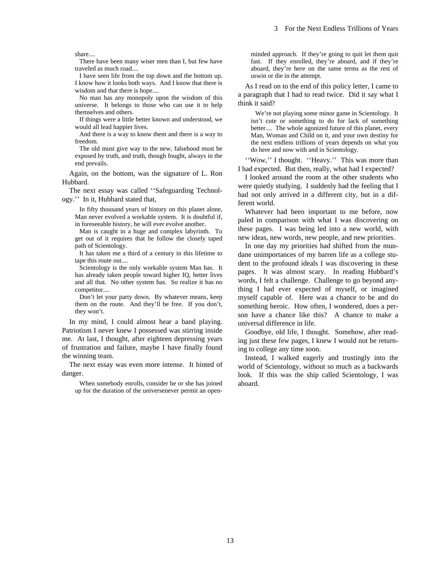share....

There have been many wiser men than I, but few have traveled as much road....

I have seen life from the top down and the bottom up. I know how it looks both ways. And I know that there is wisdom and that there is hope....

No man has any monopoly upon the wisdom of this universe. It belongs to those who can use it to help themselves and others.

If things were a little better known and understood, we would all lead happier lives.

And there is a way to know them and there is a way to freedom.

The old must give way to the new, falsehood must be exposed by truth, and truth, though fought, always in the end prevails.

Again, on the bottom, was the signature of L. Ron Hubbard.

The next essay was called ''Safeguarding Technology.'' In it, Hubbard stated that,

In fifty thousand years of history on this planet alone, Man never evolved a workable system. It is doubtful if, in foreseeable history, he will ever evolve another.

Man is caught in a huge and complex labyrinth. To get out of it requires that he follow the closely taped path of Scientology.

It has taken me a third of a century in this lifetime to tape this route out....

Scientology is the only workable system Man has. It has already taken people toward higher IQ, better lives and all that. No other system has. So realize it has no competitor....

Don't let your party down. By whatever means, keep them on the route. And they'll be free. If you don't, they won't.

In my mind, I could almost hear a band playing. Patriotism I never knew I possessed was stirring inside me. At last, I thought, after eighteen depressing years of frustration and failure, maybe I have finally found the winning team.

The next essay was even more intense. It hinted of danger.

When somebody enrolls, consider he or she has joined up for the duration of the universenever permit an openminded approach. If they're going to quit let them quit fast. If they enrolled, they're aboard, and if they're aboard, they're here on the same terms as the rest of uswin or die in the attempt.

As I read on to the end of this policy letter, I came to a paragraph that I had to read twice. Did it say what I think it said?

We're not playing some minor game in Scientology. It isn't cute or something to do for lack of something better.... The whole agonized future of this planet, every Man, Woman and Child on it, and your own destiny for the next endless trillions of years depends on what you do here and now with and in Scientology.

''Wow,'' I thought. ''Heavy.'' This was more than I had expected. But then, really, what had I expected?

I looked around the room at the other students who were quietly studying. I suddenly had the feeling that I had not only arrived in a different city, but in a different world.

Whatever had been important to me before, now paled in comparison with what I was discovering on these pages. I was being led into a new world, with new ideas, new words, new people, and new priorities.

In one day my priorities had shifted from the mundane unimportances of my barren life as a college student to the profound ideals I was discovering in these pages. It was almost scary. In reading Hubbard's words, I felt a challenge. Challenge to go beyond anything I had ever expected of myself, or imagined myself capable of. Here was a chance to be and do something heroic. How often, I wondered, does a person have a chance like this? A chance to make a universal difference in life.

Goodbye, old life, I thought. Somehow, after reading just these few pages, I knew I would not be returning to college any time soon.

Instead, I walked eagerly and trustingly into the world of Scientology, without so much as a backwards look. If this was the ship called Scientology, I was aboard.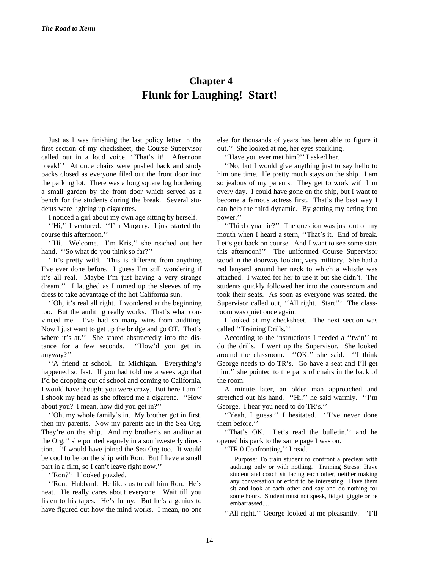### **Chapter 4 Flunk for Laughing! Start!**

Just as I was finishing the last policy letter in the first section of my checksheet, the Course Supervisor called out in a loud voice, ''That's it! Afternoon break!'' At once chairs were pushed back and study packs closed as everyone filed out the front door into the parking lot. There was a long square log bordering a small garden by the front door which served as a bench for the students during the break. Several students were lighting up cigarettes.

I noticed a girl about my own age sitting by herself.

''Hi,'' I ventured. ''I'm Margery. I just started the course this afternoon.''

''Hi. Welcome. I'm Kris,'' she reached out her hand. "So what do you think so far?"

''It's pretty wild. This is different from anything I've ever done before. I guess I'm still wondering if it's all real. Maybe I'm just having a very strange dream.'' I laughed as I turned up the sleeves of my dress to take advantage of the hot California sun.

''Oh, it's real all right. I wondered at the beginning too. But the auditing really works. That's what convinced me. I've had so many wins from auditing. Now I just want to get up the bridge and go OT. That's where it's at." She stared abstractedly into the distance for a few seconds. ''How'd you get in, anyway?''

''A friend at school. In Michigan. Everything's happened so fast. If you had told me a week ago that I'd be dropping out of school and coming to California, I would have thought you were crazy. But here I am.'' I shook my head as she offered me a cigarette. ''How about you? I mean, how did you get in?''

''Oh, my whole family's in. My brother got in first, then my parents. Now my parents are in the Sea Org. They're on the ship. And my brother's an auditor at the Org,'' she pointed vaguely in a southwesterly direction. ''I would have joined the Sea Org too. It would be cool to be on the ship with Ron. But I have a small part in a film, so I can't leave right now.''

''Ron?'' I looked puzzled.

''Ron. Hubbard. He likes us to call him Ron. He's neat. He really cares about everyone. Wait till you listen to his tapes. He's funny. But he's a genius to have figured out how the mind works. I mean, no one else for thousands of years has been able to figure it out.'' She looked at me, her eyes sparkling.

''Have you ever met him?'' I asked her.

''No, but I would give anything just to say hello to him one time. He pretty much stays on the ship. I am so jealous of my parents. They get to work with him every day. I could have gone on the ship, but I want to become a famous actress first. That's the best way I can help the third dynamic. By getting my acting into power.''

''Third dynamic?'' The question was just out of my mouth when I heard a stern, ''That's it. End of break. Let's get back on course. And I want to see some stats this afternoon!'' The uniformed Course Supervisor stood in the doorway looking very military. She had a red lanyard around her neck to which a whistle was attached. I waited for her to use it but she didn't. The students quickly followed her into the courseroom and took their seats. As soon as everyone was seated, the Supervisor called out, "All right. Start!" The classroom was quiet once again.

I looked at my checksheet. The next section was called ''Training Drills.''

According to the instructions I needed a ''twin'' to do the drills. I went up the Supervisor. She looked around the classroom. ''OK,'' she said. ''I think George needs to do TR's. Go have a seat and I'll get him," she pointed to the pairs of chairs in the back of the room.

A minute later, an older man approached and stretched out his hand. ''Hi,'' he said warmly. ''I'm George. I hear you need to do TR's.''

"Yeah, I guess," I hesitated. "I've never done them before.''

''That's OK. Let's read the bulletin,'' and he opened his pack to the same page I was on.

''TR 0 Confronting,'' I read.

Purpose: To train student to confront a preclear with auditing only or with nothing. Training Stress: Have student and coach sit facing each other, neither making any conversation or effort to be interesting. Have them sit and look at each other and say and do nothing for some hours. Student must not speak, fidget, giggle or be embarrassed....

''All right,'' George looked at me pleasantly. ''I'll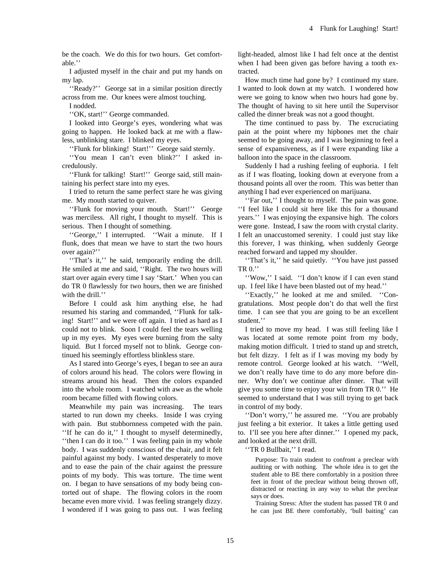be the coach. We do this for two hours. Get comfortable.''

I adjusted myself in the chair and put my hands on my lap.

''Ready?'' George sat in a similar position directly across from me. Our knees were almost touching.

I nodded.

''OK, start!'' George commanded.

I looked into George's eyes, wondering what was going to happen. He looked back at me with a flawless, unblinking stare. I blinked my eyes.

''Flunk for blinking! Start!'' George said sternly.

''You mean I can't even blink?'' I asked incredulously.

''Flunk for talking! Start!'' George said, still maintaining his perfect stare into my eyes.

I tried to return the same perfect stare he was giving me. My mouth started to quiver.

''Flunk for moving your mouth. Start!'' George was merciless. All right, I thought to myself. This is serious. Then I thought of something.

''George,'' I interrupted. ''Wait a minute. If I flunk, does that mean we have to start the two hours over again?''

''That's it,'' he said, temporarily ending the drill. He smiled at me and said, ''Right. The two hours will start over again every time I say 'Start.' When you can do TR 0 flawlessly for two hours, then we are finished with the drill."

Before I could ask him anything else, he had resumed his staring and commanded, ''Flunk for talking! Start!'' and we were off again. I tried as hard as I could not to blink. Soon I could feel the tears welling up in my eyes. My eyes were burning from the salty liquid. But I forced myself not to blink. George continued his seemingly effortless blinkless stare.

As I stared into George's eyes, I began to see an aura of colors around his head. The colors were flowing in streams around his head. Then the colors expanded into the whole room. I watched with awe as the whole room became filled with flowing colors.

Meanwhile my pain was increasing. The tears started to run down my cheeks. Inside I was crying with pain. But stubbornness competed with the pain. ''If he can do it,'' I thought to myself determinedly, ''then I can do it too.'' I was feeling pain in my whole body. I was suddenly conscious of the chair, and it felt painful against my body. I wanted desperately to move and to ease the pain of the chair against the pressure points of my body. This was torture. The time went on. I began to have sensations of my body being contorted out of shape. The flowing colors in the room became even more vivid. I was feeling strangely dizzy. I wondered if I was going to pass out. I was feeling light-headed, almost like I had felt once at the dentist when I had been given gas before having a tooth extracted.

How much time had gone by? I continued my stare. I wanted to look down at my watch. I wondered how were we going to know when two hours had gone by. The thought of having to sit here until the Supervisor called the dinner break was not a good thought.

The time continued to pass by. The excruciating pain at the point where my hipbones met the chair seemed to be going away, and I was beginning to feel a sense of expansiveness, as if I were expanding like a balloon into the space in the classroom.

Suddenly I had a rushing feeling of euphoria. I felt as if I was floating, looking down at everyone from a thousand points all over the room. This was better than anything I had ever experienced on marijuana.

''Far out,'' I thought to myself. The pain was gone. ''I feel like I could sit here like this for a thousand years.'' I was enjoying the expansive high. The colors were gone. Instead, I saw the room with crystal clarity. I felt an unaccustomed serenity. I could just stay like this forever, I was thinking, when suddenly George reached forward and tapped my shoulder.

''That's it,'' he said quietly. ''You have just passed TR 0.''

''Wow,'' I said. ''I don't know if I can even stand up. I feel like I have been blasted out of my head.''

''Exactly,'' he looked at me and smiled. ''Congratulations. Most people don't do that well the first time. I can see that you are going to be an excellent student.''

I tried to move my head. I was still feeling like I was located at some remote point from my body, making motion difficult. I tried to stand up and stretch, but felt dizzy. I felt as if I was moving my body by remote control. George looked at his watch. ''Well, we don't really have time to do any more before dinner. Why don't we continue after dinner. That will give you some time to enjoy your win from TR 0.'' He seemed to understand that I was still trying to get back in control of my body.

''Don't worry,'' he assured me. ''You are probably just feeling a bit exterior. It takes a little getting used to. I'll see you here after dinner.'' I opened my pack, and looked at the next drill.

''TR 0 Bullbait,'' I read.

Purpose: To train student to confront a preclear with auditing or with nothing. The whole idea is to get the student able to BE there comfortably in a position three feet in front of the preclear without being thrown off, distracted or reacting in any way to what the preclear says or does.

Training Stress: After the student has passed TR 0 and he can just BE there comfortably, 'bull baiting' can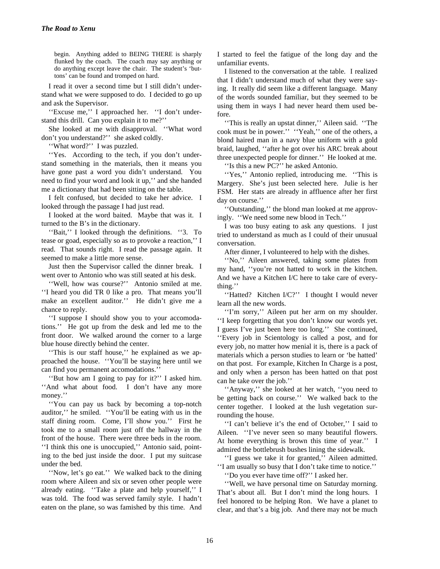begin. Anything added to BEING THERE is sharply flunked by the coach. The coach may say anything or do anything except leave the chair. The student's 'buttons' can be found and tromped on hard.

I read it over a second time but I still didn't understand what we were supposed to do. I decided to go up and ask the Supervisor.

''Excuse me,'' I approached her. ''I don't understand this drill. Can you explain it to me?''

She looked at me with disapproval. ''What word don't you understand?'' she asked coldly.

''What word?'' I was puzzled.

''Yes. According to the tech, if you don't understand something in the materials, then it means you have gone past a word you didn't understand. You need to find your word and look it up,'' and she handed me a dictionary that had been sitting on the table.

I felt confused, but decided to take her advice. I looked through the passage I had just read.

I looked at the word baited. Maybe that was it. I turned to the B's in the dictionary.

''Bait,'' I looked through the definitions. ''3. To tease or goad, especially so as to provoke a reaction,'' I read. That sounds right. I read the passage again. It seemed to make a little more sense.

Just then the Supervisor called the dinner break. I went over to Antonio who was still seated at his desk.

''Well, how was course?'' Antonio smiled at me. ''I heard you did TR 0 like a pro. That means you'll make an excellent auditor.'' He didn't give me a chance to reply.

''I suppose I should show you to your accomodations.'' He got up from the desk and led me to the front door. We walked around the corner to a large blue house directly behind the center.

''This is our staff house,'' he explained as we approached the house. ''You'll be staying here until we can find you permanent accomodations.''

''But how am I going to pay for it?'' I asked him. ''And what about food. I don't have any more money."

''You can pay us back by becoming a top-notch auditor,'' he smiled. ''You'll be eating with us in the staff dining room. Come, I'll show you.'' First he took me to a small room just off the hallway in the front of the house. There were three beds in the room. ''I think this one is unoccupied,'' Antonio said, pointing to the bed just inside the door. I put my suitcase under the bed.

''Now, let's go eat.'' We walked back to the dining room where Aileen and six or seven other people were already eating. ''Take a plate and help yourself,'' I was told. The food was served family style. I hadn't eaten on the plane, so was famished by this time. And I started to feel the fatigue of the long day and the unfamiliar events.

I listened to the conversation at the table. I realized that I didn't understand much of what they were saying. It really did seem like a different language. Many of the words sounded familiar, but they seemed to be using them in ways I had never heard them used before.

''This is really an upstat dinner,'' Aileen said. ''The cook must be in power.'' ''Yeah,'' one of the others, a blond haired man in a navy blue uniform with a gold braid, laughed, ''after he got over his ARC break about three unexpected people for dinner.'' He looked at me.

''Is this a new PC?'' he asked Antonio.

''Yes,'' Antonio replied, introducing me. ''This is Margery. She's just been selected here. Julie is her FSM. Her stats are already in affluence after her first day on course.''

''Outstanding,'' the blond man looked at me approvingly. ''We need some new blood in Tech.''

I was too busy eating to ask any questions. I just tried to understand as much as I could of their unusual conversation.

After dinner, I volunteered to help with the dishes.

''No,'' Aileen answered, taking some plates from my hand, ''you're not hatted to work in the kitchen. And we have a Kitchen I/C here to take care of everything.''

''Hatted? Kitchen I/C?'' I thought I would never learn all the new words.

''I'm sorry,'' Aileen put her arm on my shoulder. ''I keep forgetting that you don't know our words yet. I guess I've just been here too long.'' She continued, ''Every job in Scientology is called a post, and for every job, no matter how menial it is, there is a pack of materials which a person studies to learn or 'be hatted' on that post. For example, Kitchen In Charge is a post, and only when a person has been hatted on that post can he take over the job.''

''Anyway,'' she looked at her watch, ''you need to be getting back on course.'' We walked back to the center together. I looked at the lush vegetation surrounding the house.

''I can't believe it's the end of October,'' I said to Aileen. ''I've never seen so many beautiful flowers. At home everything is brown this time of year.'' I admired the bottlebrush bushes lining the sidewalk.

''I guess we take it for granted,'' Aileen admitted. ''I am usually so busy that I don't take time to notice.''

''Do you ever have time off?'' I asked her.

''Well, we have personal time on Saturday morning. That's about all. But I don't mind the long hours. I feel honored to be helping Ron. We have a planet to clear, and that's a big job. And there may not be much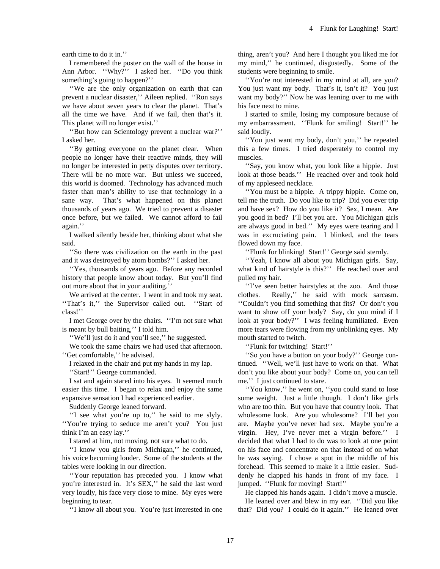earth time to do it in.''

I remembered the poster on the wall of the house in Ann Arbor. ''Why?'' I asked her. ''Do you think something's going to happen?''

''We are the only organization on earth that can prevent a nuclear disaster,'' Aileen replied. ''Ron says we have about seven years to clear the planet. That's all the time we have. And if we fail, then that's it. This planet will no longer exist.''

''But how can Scientology prevent a nuclear war?'' I asked her.

''By getting everyone on the planet clear. When people no longer have their reactive minds, they will no longer be interested in petty disputes over territory. There will be no more war. But unless we succeed, this world is doomed. Technology has advanced much faster than man's ability to use that technology in a sane way. That's what happened on this planet thousands of years ago. We tried to prevent a disaster once before, but we failed. We cannot afford to fail again.''

I walked silently beside her, thinking about what she said.

''So there was civilization on the earth in the past and it was destroyed by atom bombs?'' I asked her.

''Yes, thousands of years ago. Before any recorded history that people know about today. But you'll find out more about that in your auditing.''

We arrived at the center. I went in and took my seat. ''That's it,'' the Supervisor called out. ''Start of class!''

I met George over by the chairs. ''I'm not sure what is meant by bull baiting,'' I told him.

''We'll just do it and you'll see,'' he suggested.

We took the same chairs we had used that afternoon. ''Get comfortable,'' he advised.

I relaxed in the chair and put my hands in my lap.

''Start!'' George commanded.

I sat and again stared into his eyes. It seemed much easier this time. I began to relax and enjoy the same expansive sensation I had experienced earlier.

Suddenly George leaned forward.

''I see what you're up to,'' he said to me slyly. ''You're trying to seduce me aren't you? You just think I'm an easy lay.''

I stared at him, not moving, not sure what to do.

''I know you girls from Michigan,'' he continued, his voice becoming louder. Some of the students at the tables were looking in our direction.

''Your reputation has preceded you. I know what you're interested in. It's SEX,'' he said the last word very loudly, his face very close to mine. My eyes were beginning to tear.

''I know all about you. You're just interested in one

thing, aren't you? And here I thought you liked me for my mind,'' he continued, disgustedly. Some of the students were beginning to smile.

''You're not interested in my mind at all, are you? You just want my body. That's it, isn't it? You just want my body?'' Now he was leaning over to me with his face next to mine.

I started to smile, losing my composure because of my embarrassment. ''Flunk for smiling! Start!'' he said loudly.

''You just want my body, don't you,'' he repeated this a few times. I tried desperately to control my muscles.

''Say, you know what, you look like a hippie. Just look at those beads.'' He reached over and took hold of my appleseed necklace.

''You must be a hippie. A trippy hippie. Come on, tell me the truth. Do you like to trip? Did you ever trip and have sex? How do you like it? Sex, I mean. Are you good in bed? I'll bet you are. You Michigan girls are always good in bed.'' My eyes were tearing and I was in excruciating pain. I blinked, and the tears flowed down my face.

''Flunk for blinking! Start!'' George said sternly.

''Yeah, I know all about you Michigan girls. Say, what kind of hairstyle is this?'' He reached over and pulled my hair.

''I've seen better hairstyles at the zoo. And those clothes. Really,'' he said with mock sarcasm. ''Couldn't you find something that fits? Or don't you want to show off your body? Say, do you mind if I look at your body?'' I was feeling humiliated. Even more tears were flowing from my unblinking eyes. My mouth started to twitch.

''Flunk for twitching! Start!''

''So you have a button on your body?'' George continued. ''Well, we'll just have to work on that. What don't you like about your body? Come on, you can tell me.'' I just continued to stare.

''You know,'' he went on, ''you could stand to lose some weight. Just a little though. I don't like girls who are too thin. But you have that country look. That wholesome look. Are you wholesome? I'll bet you are. Maybe you've never had sex. Maybe you're a virgin. Hey, I've never met a virgin before.'' I decided that what I had to do was to look at one point on his face and concentrate on that instead of on what he was saying. I chose a spot in the middle of his forehead. This seemed to make it a little easier. Suddenly he clapped his hands in front of my face. I jumped. ''Flunk for moving! Start!''

He clapped his hands again. I didn't move a muscle.

He leaned over and blew in my ear. ''Did you like that? Did you? I could do it again.'' He leaned over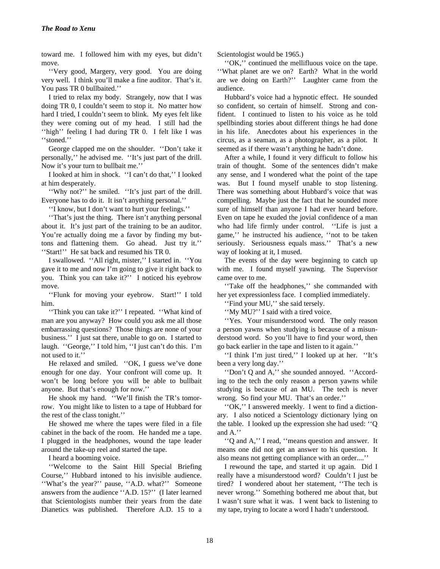toward me. I followed him with my eyes, but didn't move.

''Very good, Margery, very good. You are doing very well. I think you'll make a fine auditor. That's it. You pass TR 0 bullbaited.''

I tried to relax my body. Strangely, now that I was doing TR 0, I couldn't seem to stop it. No matter how hard I tried, I couldn't seem to blink. My eyes felt like they were coming out of my head. I still had the ''high'' feeling I had during TR 0. I felt like I was ''stoned.''

George clapped me on the shoulder. ''Don't take it personally,'' he advised me. ''It's just part of the drill. Now it's your turn to bullbait me.''

I looked at him in shock. ''I can't do that,'' I looked at him desperately.

''Why not?'' he smiled. ''It's just part of the drill. Everyone has to do it. It isn't anything personal.''

''I know, but I don't want to hurt your feelings.''

''That's just the thing. There isn't anything personal about it. It's just part of the training to be an auditor. You're actually doing me a favor by finding my buttons and flattening them. Go ahead. Just try it.'' ''Start!'' He sat back and resumed his TR 0.

I swallowed. ''All right, mister,'' I started in. ''You gave it to me and now I'm going to give it right back to you. Think you can take it?'' I noticed his eyebrow move.

''Flunk for moving your eyebrow. Start!'' I told him.

''Think you can take it?'' I repeated. ''What kind of man are you anyway? How could you ask me all those embarrassing questions? Those things are none of your business.'' I just sat there, unable to go on. I started to laugh. ''George,'' I told him, ''I just can't do this. I'm not used to it.''

He relaxed and smiled. ''OK, I guess we've done enough for one day. Your confront will come up. It won't be long before you will be able to bullbait anyone. But that's enough for now.''

He shook my hand. ''We'll finish the TR's tomorrow. You might like to listen to a tape of Hubbard for the rest of the class tonight.''

He showed me where the tapes were filed in a file cabinet in the back of the room. He handed me a tape. I plugged in the headphones, wound the tape leader around the take-up reel and started the tape.

I heard a booming voice.

''Welcome to the Saint Hill Special Briefing Course,'' Hubbard intoned to his invisible audience. ''What's the year?'' pause, ''A.D. what?'' Someone answers from the audience ''A.D. 15?'' (I later learned that Scientologists number their years from the date Dianetics was published. Therefore A.D. 15 to a Scientologist would be 1965.)

''OK,'' continued the mellifluous voice on the tape. ''What planet are we on? Earth? What in the world are we doing on Earth?'' Laughter came from the audience.

Hubbard's voice had a hypnotic effect. He sounded so confident, so certain of himself. Strong and confident. I continued to listen to his voice as he told spellbinding stories about different things he had done in his life. Anecdotes about his experiences in the circus, as a seaman, as a photographer, as a pilot. It seemed as if there wasn't anything he hadn't done.

After a while, I found it very difficult to follow his train of thought. Some of the sentences didn't make any sense, and I wondered what the point of the tape was. But I found myself unable to stop listening. There was something about Hubbard's voice that was compelling. Maybe just the fact that he sounded more sure of himself than anyone I had ever heard before. Even on tape he exuded the jovial confidence of a man who had life firmly under control. ''Life is just a game,'' he instructed his audience, ''not to be taken seriously. Seriousness equals mass.'' That's a new way of looking at it, I mused.

The events of the day were beginning to catch up with me. I found myself yawning. The Supervisor came over to me.

''Take off the headphones,'' she commanded with her yet expressionless face. I complied immediately.

''Find your MU,'' she said tersely.

''My MU?'' I said with a tired voice.

''Yes. Your misunderstood word. The only reason a person yawns when studying is because of a misunderstood word. So you'll have to find your word, then go back earlier in the tape and listen to it again.''

''I think I'm just tired,'' I looked up at her. ''It's been a very long day.''

''Don't Q and A,'' she sounded annoyed. ''According to the tech the only reason a person yawns while studying is because of an MU. The tech is never wrong. So find your MU. That's an order.''

''OK,'' I answered meekly. I went to find a dictionary. I also noticed a Scientology dictionary lying on the table. I looked up the expression she had used: ''Q and A.''

''Q and A,'' I read, ''means question and answer. It means one did not get an answer to his question. It also means not getting compliance with an order....''

I rewound the tape, and started it up again. Did I really have a misunderstood word? Couldn't I just be tired? I wondered about her statement, ''The tech is never wrong.'' Something bothered me about that, but I wasn't sure what it was. I went back to listening to my tape, trying to locate a word I hadn't understood.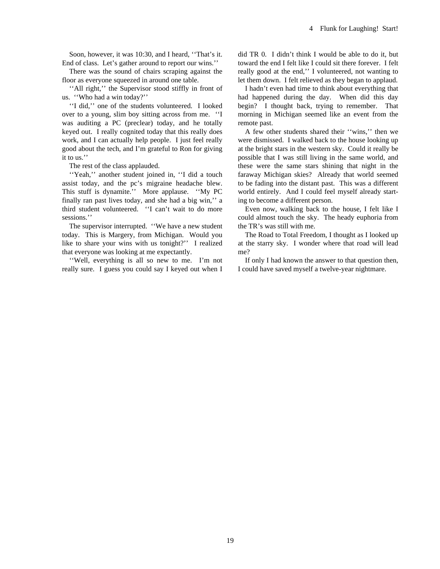Soon, however, it was 10:30, and I heard, ''That's it. End of class. Let's gather around to report our wins.''

There was the sound of chairs scraping against the floor as everyone squeezed in around one table.

''All right,'' the Supervisor stood stiffly in front of us. ''Who had a win today?''

''I did,'' one of the students volunteered. I looked over to a young, slim boy sitting across from me. ''I was auditing a PC (preclear) today, and he totally keyed out. I really cognited today that this really does work, and I can actually help people. I just feel really good about the tech, and I'm grateful to Ron for giving it to us.''

The rest of the class applauded.

''Yeah,'' another student joined in, ''I did a touch assist today, and the pc's migraine headache blew. This stuff is dynamite.'' More applause. ''My PC finally ran past lives today, and she had a big win,'' a third student volunteered. ''I can't wait to do more sessions.''

The supervisor interrupted. ''We have a new student today. This is Margery, from Michigan. Would you like to share your wins with us tonight?'' I realized that everyone was looking at me expectantly.

''Well, everything is all so new to me. I'm not really sure. I guess you could say I keyed out when I did TR 0. I didn't think I would be able to do it, but toward the end I felt like I could sit there forever. I felt really good at the end,'' I volunteered, not wanting to let them down. I felt relieved as they began to applaud.

I hadn't even had time to think about everything that had happened during the day. When did this day begin? I thought back, trying to remember. That morning in Michigan seemed like an event from the remote past.

A few other students shared their ''wins,'' then we were dismissed. I walked back to the house looking up at the bright stars in the western sky. Could it really be possible that I was still living in the same world, and these were the same stars shining that night in the faraway Michigan skies? Already that world seemed to be fading into the distant past. This was a different world entirely. And I could feel myself already starting to become a different person.

Even now, walking back to the house, I felt like I could almost touch the sky. The heady euphoria from the TR's was still with me.

The Road to Total Freedom, I thought as I looked up at the starry sky. I wonder where that road will lead me?

If only I had known the answer to that question then, I could have saved myself a twelve-year nightmare.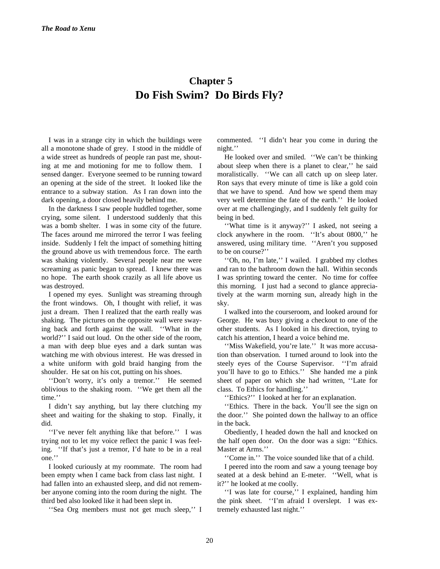### **Chapter 5 Do Fish Swim? Do Birds Fly?**

I was in a strange city in which the buildings were all a monotone shade of grey. I stood in the middle of a wide street as hundreds of people ran past me, shouting at me and motioning for me to follow them. I sensed danger. Everyone seemed to be running toward an opening at the side of the street. It looked like the entrance to a subway station. As I ran down into the dark opening, a door closed heavily behind me.

In the darkness I saw people huddled together, some crying, some silent. I understood suddenly that this was a bomb shelter. I was in some city of the future. The faces around me mirrored the terror I was feeling inside. Suddenly I felt the impact of something hitting the ground above us with tremendous force. The earth was shaking violently. Several people near me were screaming as panic began to spread. I knew there was no hope. The earth shook crazily as all life above us was destroyed.

I opened my eyes. Sunlight was streaming through the front windows. Oh, I thought with relief, it was just a dream. Then I realized that the earth really was shaking. The pictures on the opposite wall were swaying back and forth against the wall. ''What in the world?'' I said out loud. On the other side of the room, a man with deep blue eyes and a dark suntan was watching me with obvious interest. He was dressed in a white uniform with gold braid hanging from the shoulder. He sat on his cot, putting on his shoes.

''Don't worry, it's only a tremor.'' He seemed oblivious to the shaking room. ''We get them all the time.''

I didn't say anything, but lay there clutching my sheet and waiting for the shaking to stop. Finally, it did.

''I've never felt anything like that before.'' I was trying not to let my voice reflect the panic I was feeling. ''If that's just a tremor, I'd hate to be in a real one.''

I looked curiously at my roommate. The room had been empty when I came back from class last night. I had fallen into an exhausted sleep, and did not remember anyone coming into the room during the night. The third bed also looked like it had been slept in.

''Sea Org members must not get much sleep,'' I

commented. ''I didn't hear you come in during the night.''

He looked over and smiled. ''We can't be thinking about sleep when there is a planet to clear,'' he said moralistically. ''We can all catch up on sleep later. Ron says that every minute of time is like a gold coin that we have to spend. And how we spend them may very well determine the fate of the earth.'' He looked over at me challengingly, and I suddenly felt guilty for being in bed.

''What time is it anyway?'' I asked, not seeing a clock anywhere in the room. ''It's about 0800,'' he answered, using military time. ''Aren't you supposed to be on course?''

''Oh, no, I'm late,'' I wailed. I grabbed my clothes and ran to the bathroom down the hall. Within seconds I was sprinting toward the center. No time for coffee this morning. I just had a second to glance appreciatively at the warm morning sun, already high in the sky.

I walked into the courseroom, and looked around for George. He was busy giving a checkout to one of the other students. As I looked in his direction, trying to catch his attention, I heard a voice behind me.

''Miss Wakefield, you're late.'' It was more accusation than observation. I turned around to look into the steely eyes of the Course Supervisor. ''I'm afraid you'll have to go to Ethics.'' She handed me a pink sheet of paper on which she had written, ''Late for class. To Ethics for handling.''

''Ethics?'' I looked at her for an explanation.

''Ethics. There in the back. You'll see the sign on the door.'' She pointed down the hallway to an office in the back.

Obediently, I headed down the hall and knocked on the half open door. On the door was a sign: ''Ethics. Master at Arms.''

''Come in.'' The voice sounded like that of a child.

I peered into the room and saw a young teenage boy seated at a desk behind an E-meter. ''Well, what is it?'' he looked at me coolly.

''I was late for course,'' I explained, handing him the pink sheet. ''I'm afraid I overslept. I was extremely exhausted last night.''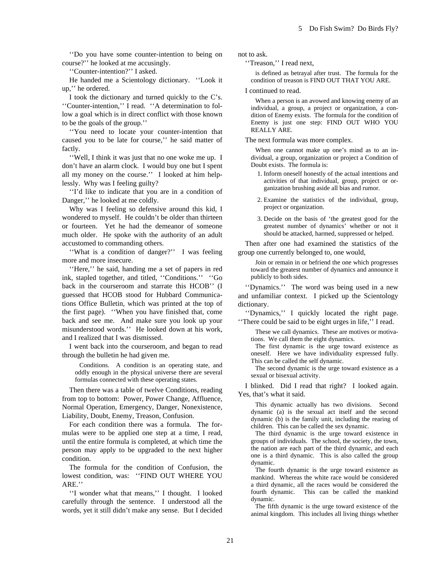''Do you have some counter-intention to being on course?'' he looked at me accusingly.

''Counter-intention?'' I asked.

He handed me a Scientology dictionary. ''Look it up,'' he ordered.

I took the dictionary and turned quickly to the C's. ''Counter-intention,'' I read. ''A determination to follow a goal which is in direct conflict with those known to be the goals of the group.''

''You need to locate your counter-intention that caused you to be late for course,'' he said matter of factly.

''Well, I think it was just that no one woke me up. I don't have an alarm clock. I would buy one but I spent all my money on the course.'' I looked at him helplessly. Why was I feeling guilty?

''I'd like to indicate that you are in a condition of Danger," he looked at me coldly.

Why was I feeling so defensive around this kid, I wondered to myself. He couldn't be older than thirteen or fourteen. Yet he had the demeanor of someone much older. He spoke with the authority of an adult accustomed to commanding others.

''What is a condition of danger?'' I was feeling more and more insecure.

''Here,'' he said, handing me a set of papers in red ink, stapled together, and titled, ''Conditions.'' ''Go back in the courseroom and starrate this HCOB'' (I guessed that HCOB stood for Hubbard Communications Office Bulletin, which was printed at the top of the first page). ''When you have finished that, come back and see me. And make sure you look up your misunderstood words.'' He looked down at his work, and I realized that I was dismissed.

I went back into the courseroom, and began to read through the bulletin he had given me.

Conditions. A condition is an operating state, and oddly enough in the physical universe there are several formulas connected with these operating states.

Then there was a table of twelve Conditions, reading from top to bottom: Power, Power Change, Affluence, Normal Operation, Emergency, Danger, Nonexistence, Liability, Doubt, Enemy, Treason, Confusion.

For each condition there was a formula. The formulas were to be applied one step at a time, I read, until the entire formula is completed, at which time the person may apply to be upgraded to the next higher condition.

The formula for the condition of Confusion, the lowest condition, was: ''FIND OUT WHERE YOU ARE.''

''I wonder what that means,'' I thought. I looked carefully through the sentence. I understood all the words, yet it still didn't make any sense. But I decided

not to ask.

''Treason,'' I read next,

is defined as betrayal after trust. The formula for the condition of treason is FIND OUT THAT YOU ARE.

I continued to read.

When a person is an avowed and knowing enemy of an individual, a group, a project or organization, a condition of Enemy exists. The formula for the condition of Enemy is just one step: FIND OUT WHO YOU REALLY ARE.

The next formula was more complex.

When one cannot make up one's mind as to an individual, a group, organization or project a Condition of Doubt exists. The formula is:

- 1. Inform oneself honestly of the actual intentions and activities of that individual, group, project or organization brushing aside all bias and rumor.
- 2. Examine the statistics of the individual, group, project or organization.
- 3. Decide on the basis of 'the greatest good for the greatest number of dynamics' whether or not it should be attacked, harmed, suppressed or helped.

Then after one had examined the statistics of the group one currently belonged to, one would,

Join or remain in or befriend the one which progresses toward the greatest number of dynamics and announce it publicly to both sides.

''Dynamics.'' The word was being used in a new and unfamiliar context. I picked up the Scientology dictionary.

''Dynamics,'' I quickly located the right page. ''There could be said to be eight urges in life,'' I read.

These we call dynamics. These are motives or motivations. We call them the eight dynamics.

The first dynamic is the urge toward existence as oneself. Here we have individuality expressed fully. This can be called the self dynamic.

The second dynamic is the urge toward existence as a sexual or bisexual activity.

I blinked. Did I read that right? I looked again. Yes, that's what it said.

This dynamic actually has two divisions. Second dynamic (a) is the sexual act itself and the second dynamic (b) is the family unit, including the rearing of children. This can be called the sex dynamic.

The third dynamic is the urge toward existence in groups of individuals. The school, the society, the town, the nation are each part of the third dynamic, and each one is a third dynamic. This is also called the group dynamic.

The fourth dynamic is the urge toward existence as mankind. Whereas the white race would be considered a third dynamic, all the races would be considered the fourth dynamic. This can be called the mankind dynamic.

The fifth dynamic is the urge toward existence of the animal kingdom. This includes all living things whether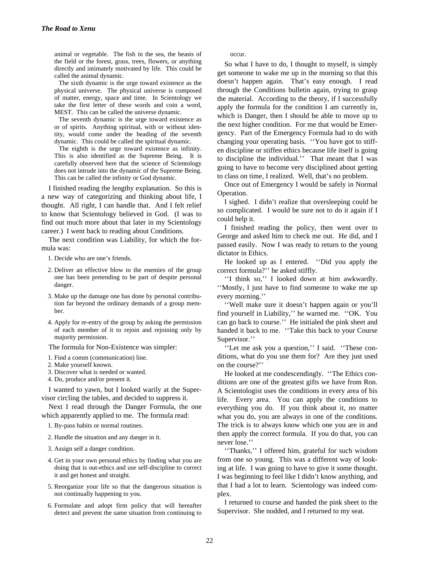animal or vegetable. The fish in the sea, the beasts of the field or the forest, grass, trees, flowers, or anything directly and intimately motivated by life. This could be called the animal dynamic.

The sixth dynamic is the urge toward existence as the physical universe. The physical universe is composed of matter, energy, space and time. In Scientology we take the first letter of these words and coin a word, MEST. This can be called the universe dynamic.

The seventh dynamic is the urge toward existence as or of spirits. Anything spiritual, with or without identity, would come under the heading of the seventh dynamic. This could be called the spiritual dynamic.

The eighth is the urge toward existence as infinity. This is also identified as the Supreme Being. It is carefully observed here that the science of Scientology does not intrude into the dynamic of the Supreme Being. This can be called the infinity or God dynamic.

I finished reading the lengthy explanation. So this is a new way of categorizing and thinking about life, I thought. All right, I can handle that. And I felt relief to know that Scientology believed in God. (I was to find out much more about that later in my Scientology career.) I went back to reading about Conditions.

The next condition was Liability, for which the formula was:

- 1. Decide who are one's friends.
- 2. Deliver an effective blow to the enemies of the group one has been pretending to be part of despite personal danger.
- 3. Make up the damage one has done by personal contribution far beyond the ordinary demands of a group member.
- 4. Apply for re-entry of the group by asking the permission of each member of it to rejoin and rejoining only by majority permission.

The formula for Non-Existence was simpler:

- 1. Find a comm (communication) line.
- 2. Make yourself known.
- 3. Discover what is needed or wanted.
- 4. Do, produce and/or present it.

I wanted to yawn, but I looked warily at the Supervisor circling the tables, and decided to suppress it.

Next I read through the Danger Formula, the one which apparently applied to me. The formula read:

1. By-pass habits or normal routines.

- 2. Handle the situation and any danger in it.
- 3. Assign self a danger condition.
- 4. Get in your own personal ethics by finding what you are doing that is out-ethics and use self-discipline to correct it and get honest and straight.
- 5. Reorganize your life so that the dangerous situation is not continually happening to you.
- 6. Formulate and adopt firm policy that will hereafter detect and prevent the same situation from continuing to

occur.

So what I have to do, I thought to myself, is simply get someone to wake me up in the morning so that this doesn't happen again. That's easy enough. I read through the Conditions bulletin again, trying to grasp the material. According to the theory, if I successfully apply the formula for the condition I am currently in, which is Danger, then I should be able to move up to the next higher condition. For me that would be Emergency. Part of the Emergency Formula had to do with changing your operating basis. ''You have got to stiffen discipline or stiffen ethics because life itself is going to discipline the individual.'' That meant that I was going to have to become very disciplined about getting to class on time, I realized. Well, that's no problem.

Once out of Emergency I would be safely in Normal Operation.

I sighed. I didn't realize that oversleeping could be so complicated. I would be sure not to do it again if I could help it.

I finished reading the policy, then went over to George and asked him to check me out. He did, and I passed easily. Now I was ready to return to the young dictator in Ethics.

He looked up as I entered. ''Did you apply the correct formula?'' he asked stiffly.

''I think so,'' I looked down at him awkwardly. ''Mostly, I just have to find someone to wake me up every morning.''

''Well make sure it doesn't happen again or you'll find yourself in Liability,'' he warned me. ''OK. You can go back to course.'' He initialed the pink sheet and handed it back to me. ''Take this back to your Course Supervisor.''

''Let me ask you a question,'' I said. ''These conditions, what do you use them for? Are they just used on the course?''

He looked at me condescendingly. ''The Ethics conditions are one of the greatest gifts we have from Ron. A Scientologist uses the conditions in every area of his life. Every area. You can apply the conditions to everything you do. If you think about it, no matter what you do, you are always in one of the conditions. The trick is to always know which one you are in and then apply the correct formula. If you do that, you can never lose.''

''Thanks,'' I offered him, grateful for such wisdom from one so young. This was a different way of looking at life. I was going to have to give it some thought. I was beginning to feel like I didn't know anything, and that I had a lot to learn. Scientology was indeed complex.

I returned to course and handed the pink sheet to the Supervisor. She nodded, and I returned to my seat.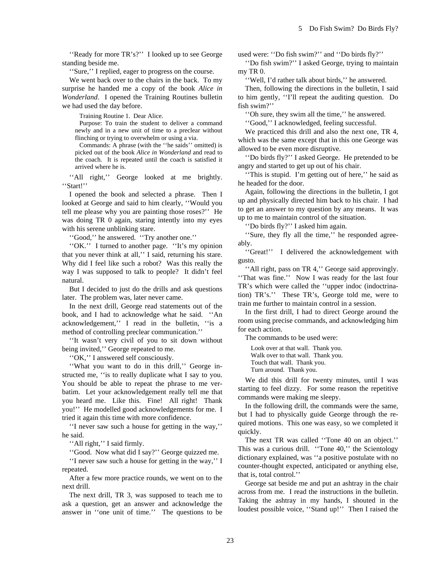''Ready for more TR's?'' I looked up to see George standing beside me.

''Sure,'' I replied, eager to progress on the course.

We went back over to the chairs in the back. To my surprise he handed me a copy of the book *Alice in Wonderland*. I opened the Training Routines bulletin we had used the day before.

Training Routine 1. Dear Alice.

Purpose: To train the student to deliver a command newly and in a new unit of time to a preclear without flinching or trying to overwhelm or using a via.

Commands: A phrase (with the ''he saids'' omitted) is picked out of the book *Alice in Wonderland* and read to the coach. It is repeated until the coach is satisfied it arrived where he is.

''All right,'' George looked at me brightly. ''Start!''

I opened the book and selected a phrase. Then I looked at George and said to him clearly, ''Would you tell me please why you are painting those roses?'' He was doing TR 0 again, staring intently into my eyes with his serene unblinking stare.

''Good,'' he answered. ''Try another one.''

''OK.'' I turned to another page. ''It's my opinion that you never think at all,'' I said, returning his stare. Why did I feel like such a robot? Was this really the way I was supposed to talk to people? It didn't feel natural.

But I decided to just do the drills and ask questions later. The problem was, later never came.

In the next drill, George read statements out of the book, and I had to acknowledge what he said. ''An acknowledgement,'' I read in the bulletin, ''is a method of controlling preclear communication.''

''It wasn't very civil of you to sit down without being invited,'' George repeated to me.

''OK,'' I answered self consciously.

''What you want to do in this drill,'' George instructed me, ''is to really duplicate what I say to you. You should be able to repeat the phrase to me verbatim. Let your acknowledgement really tell me that you heard me. Like this. Fine! All right! Thank you!'' He modelled good acknowledgements for me. I tried it again this time with more confidence.

''I never saw such a house for getting in the way,'' he said.

''All right,'' I said firmly.

''Good. Now what did I say?'' George quizzed me.

''I never saw such a house for getting in the way,'' I repeated.

After a few more practice rounds, we went on to the next drill.

The next drill, TR 3, was supposed to teach me to ask a question, get an answer and acknowledge the answer in ''one unit of time.'' The questions to be used were: ''Do fish swim?'' and ''Do birds fly?''

''Do fish swim?'' I asked George, trying to maintain my TR 0.

''Well, I'd rather talk about birds,'' he answered.

Then, following the directions in the bulletin, I said to him gently, ''I'll repeat the auditing question. Do fish swim?''

''Oh sure, they swim all the time,'' he answered.

''Good,'' I acknowledged, feeling successful.

We practiced this drill and also the next one, TR 4, which was the same except that in this one George was allowed to be even more disruptive.

''Do birds fly?'' I asked George. He pretended to be angry and started to get up out of his chair.

''This is stupid. I'm getting out of here,'' he said as he headed for the door.

Again, following the directions in the bulletin, I got up and physically directed him back to his chair. I had to get an answer to my question by any means. It was up to me to maintain control of the situation.

''Do birds fly?'' I asked him again.

''Sure, they fly all the time,'' he responded agreeably.

''Great!'' I delivered the acknowledgement with gusto.

''All right, pass on TR 4,'' George said approvingly. ''That was fine.'' Now I was ready for the last four TR's which were called the ''upper indoc (indoctrination) TR's.'' These TR's, George told me, were to train me further to maintain control in a session.

In the first drill, I had to direct George around the room using precise commands, and acknowledging him for each action.

The commands to be used were:

Look over at that wall. Thank you. Walk over to that wall. Thank you. Touch that wall. Thank you. Turn around. Thank you.

We did this drill for twenty minutes, until I was starting to feel dizzy. For some reason the repetitive commands were making me sleepy.

In the following drill, the commands were the same, but I had to physically guide George through the required motions. This one was easy, so we completed it quickly.

The next TR was called ''Tone 40 on an object.'' This was a curious drill. ''Tone 40,'' the Scientology dictionary explained, was ''a positive postulate with no counter-thought expected, anticipated or anything else, that is, total control.''

George sat beside me and put an ashtray in the chair across from me. I read the instructions in the bulletin. Taking the ashtray in my hands, I shouted in the loudest possible voice, ''Stand up!'' Then I raised the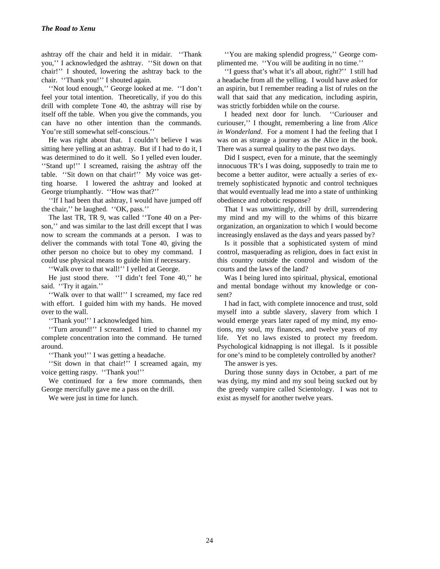ashtray off the chair and held it in midair. ''Thank you,'' I acknowledged the ashtray. ''Sit down on that chair!'' I shouted, lowering the ashtray back to the chair. ''Thank you!'' I shouted again.

''Not loud enough,'' George looked at me. ''I don't feel your total intention. Theoretically, if you do this drill with complete Tone 40, the ashtray will rise by itself off the table. When you give the commands, you can have no other intention than the commands. You're still somewhat self-conscious.''

He was right about that. I couldn't believe I was sitting here yelling at an ashtray. But if I had to do it, I was determined to do it well. So I yelled even louder. ''Stand up!'' I screamed, raising the ashtray off the table. ''Sit down on that chair!'' My voice was getting hoarse. I lowered the ashtray and looked at George triumphantly. "How was that?"

''If I had been that ashtray, I would have jumped off the chair,'' he laughed. ''OK, pass.''

The last TR, TR 9, was called ''Tone 40 on a Person,'' and was similar to the last drill except that I was now to scream the commands at a person. I was to deliver the commands with total Tone 40, giving the other person no choice but to obey my command. I could use physical means to guide him if necessary.

''Walk over to that wall!'' I yelled at George.

He just stood there. ''I didn't feel Tone 40,'' he said. "Try it again."

''Walk over to that wall!'' I screamed, my face red with effort. I guided him with my hands. He moved over to the wall.

''Thank you!'' I acknowledged him.

''Turn around!'' I screamed. I tried to channel my complete concentration into the command. He turned around.

''Thank you!'' I was getting a headache.

''Sit down in that chair!'' I screamed again, my voice getting raspy. ''Thank you!''

We continued for a few more commands, then George mercifully gave me a pass on the drill.

We were just in time for lunch.

''You are making splendid progress,'' George complimented me. ''You will be auditing in no time.''

''I guess that's what it's all about, right?'' I still had a headache from all the yelling. I would have asked for an aspirin, but I remember reading a list of rules on the wall that said that any medication, including aspirin, was strictly forbidden while on the course.

I headed next door for lunch. ''Curiouser and curiouser,'' I thought, remembering a line from *Alice in Wonderland*. For a moment I had the feeling that I was on as strange a journey as the Alice in the book. There was a surreal quality to the past two days.

Did I suspect, even for a minute, that the seemingly innocuous TR's I was doing, supposedly to train me to become a better auditor, were actually a series of extremely sophisticated hypnotic and control techniques that would eventually lead me into a state of unthinking obedience and robotic response?

That I was unwittingly, drill by drill, surrendering my mind and my will to the whims of this bizarre organization, an organization to which I would become increasingly enslaved as the days and years passed by?

Is it possible that a sophisticated system of mind control, masquerading as religion, does in fact exist in this country outside the control and wisdom of the courts and the laws of the land?

Was I being lured into spiritual, physical, emotional and mental bondage without my knowledge or consent?

I had in fact, with complete innocence and trust, sold myself into a subtle slavery, slavery from which I would emerge years later raped of my mind, my emotions, my soul, my finances, and twelve years of my life. Yet no laws existed to protect my freedom. Psychological kidnapping is not illegal. Is it possible for one's mind to be completely controlled by another?

The answer is yes.

During those sunny days in October, a part of me was dying, my mind and my soul being sucked out by the greedy vampire called Scientology. I was not to exist as myself for another twelve years.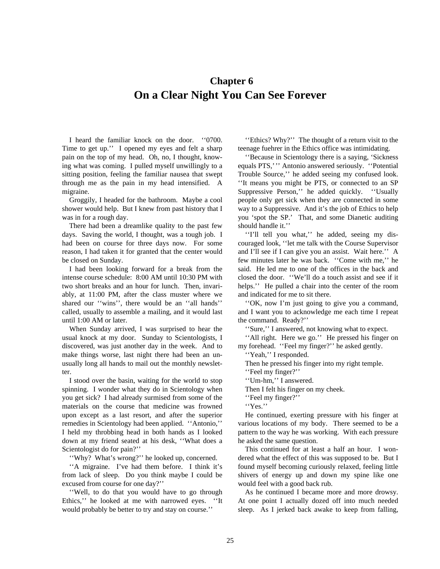### **Chapter 6 On a Clear Night You Can See Forever**

I heard the familiar knock on the door. ''0700. Time to get up.'' I opened my eyes and felt a sharp pain on the top of my head. Oh, no, I thought, knowing what was coming. I pulled myself unwillingly to a sitting position, feeling the familiar nausea that swept through me as the pain in my head intensified. A migraine.

Groggily, I headed for the bathroom. Maybe a cool shower would help. But I knew from past history that I was in for a rough day.

There had been a dreamlike quality to the past few days. Saving the world, I thought, was a tough job. I had been on course for three days now. For some reason, I had taken it for granted that the center would be closed on Sunday.

I had been looking forward for a break from the intense course schedule: 8:00 AM until 10:30 PM with two short breaks and an hour for lunch. Then, invariably, at 11:00 PM, after the class muster where we shared our ''wins'', there would be an ''all hands'' called, usually to assemble a mailing, and it would last until 1:00 AM or later.

When Sunday arrived, I was surprised to hear the usual knock at my door. Sunday to Scientologists, I discovered, was just another day in the week. And to make things worse, last night there had been an unusually long all hands to mail out the monthly newsletter.

I stood over the basin, waiting for the world to stop spinning. I wonder what they do in Scientology when you get sick? I had already surmised from some of the materials on the course that medicine was frowned upon except as a last resort, and after the superior remedies in Scientology had been applied. ''Antonio,'' I held my throbbing head in both hands as I looked down at my friend seated at his desk, ''What does a Scientologist do for pain?''

''Why? What's wrong?'' he looked up, concerned.

''A migraine. I've had them before. I think it's from lack of sleep. Do you think maybe I could be excused from course for one day?''

''Well, to do that you would have to go through Ethics,'' he looked at me with narrowed eyes. ''It would probably be better to try and stay on course.''

''Ethics? Why?'' The thought of a return visit to the teenage fuehrer in the Ethics office was intimidating.

''Because in Scientology there is a saying, 'Sickness equals PTS,''' Antonio answered seriously. ''Potential Trouble Source,'' he added seeing my confused look. ''It means you might be PTS, or connected to an SP Suppressive Person,'' he added quickly. ''Usually people only get sick when they are connected in some way to a Suppressive. And it's the job of Ethics to help you 'spot the SP.' That, and some Dianetic auditing should handle it.''

''I'll tell you what,'' he added, seeing my discouraged look, ''let me talk with the Course Supervisor and I'll see if I can give you an assist. Wait here.'' A few minutes later he was back. ''Come with me,'' he said. He led me to one of the offices in the back and closed the door. ''We'll do a touch assist and see if it helps.'' He pulled a chair into the center of the room and indicated for me to sit there.

''OK, now I'm just going to give you a command, and I want you to acknowledge me each time I repeat the command. Ready?''

''Sure,'' I answered, not knowing what to expect.

''All right. Here we go.'' He pressed his finger on my forehead. ''Feel my finger?'' he asked gently.

''Yeah,'' I responded.

Then he pressed his finger into my right temple.

''Feel my finger?''

''Um-hm,'' I answered.

Then I felt his finger on my cheek.

''Feel my finger?''

''Yes.''

He continued, exerting pressure with his finger at various locations of my body. There seemed to be a pattern to the way he was working. With each pressure he asked the same question.

This continued for at least a half an hour. I wondered what the effect of this was supposed to be. But I found myself becoming curiously relaxed, feeling little shivers of energy up and down my spine like one would feel with a good back rub.

As he continued I became more and more drowsy. At one point I actually dozed off into much needed sleep. As I jerked back awake to keep from falling,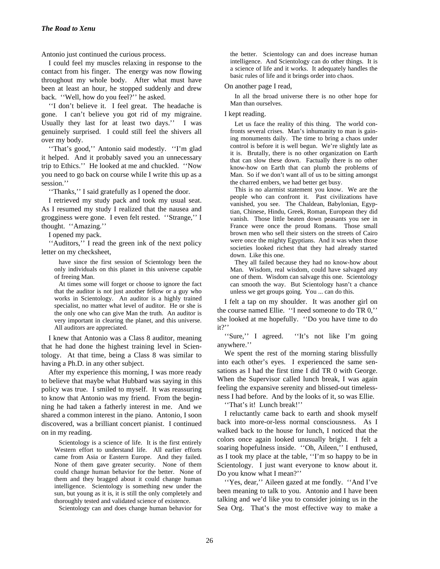Antonio just continued the curious process.

I could feel my muscles relaxing in response to the contact from his finger. The energy was now flowing throughout my whole body. After what must have been at least an hour, he stopped suddenly and drew back. ''Well, how do you feel?'' he asked.

''I don't believe it. I feel great. The headache is gone. I can't believe you got rid of my migraine. Usually they last for at least two days.'' I was genuinely surprised. I could still feel the shivers all over my body.

''That's good,'' Antonio said modestly. ''I'm glad it helped. And it probably saved you an unnecessary trip to Ethics.'' He looked at me and chuckled. ''Now you need to go back on course while I write this up as a session.''

''Thanks,'' I said gratefully as I opened the door.

I retrieved my study pack and took my usual seat. As I resumed my study I realized that the nausea and grogginess were gone. I even felt rested. ''Strange,'' I thought. ''Amazing.''

I opened my pack.

''Auditors,'' I read the green ink of the next policy letter on my checksheet,

have since the first session of Scientology been the only individuals on this planet in this universe capable of freeing Man.

At times some will forget or choose to ignore the fact that the auditor is not just another fellow or a guy who works in Scientology. An auditor is a highly trained specialist, no matter what level of auditor. He or she is the only one who can give Man the truth. An auditor is very important in clearing the planet, and this universe. All auditors are appreciated.

I knew that Antonio was a Class 8 auditor, meaning that he had done the highest training level in Scientology. At that time, being a Class 8 was similar to having a Ph.D. in any other subject.

After my experience this morning, I was more ready to believe that maybe what Hubbard was saying in this policy was true. I smiled to myself. It was reassuring to know that Antonio was my friend. From the beginning he had taken a fatherly interest in me. And we shared a common interest in the piano. Antonio, I soon discovered, was a brilliant concert pianist. I continued on in my reading.

Scientology is a science of life. It is the first entirely Western effort to understand life. All earlier efforts came from Asia or Eastern Europe. And they failed. None of them gave greater security. None of them could change human behavior for the better. None of them and they bragged about it could change human intelligence. Scientology is something new under the sun, but young as it is, it is still the only completely and thoroughly tested and validated science of existence.

Scientology can and does change human behavior for

the better. Scientology can and does increase human intelligence. And Scientology can do other things. It is a science of life and it works. It adequately handles the basic rules of life and it brings order into chaos.

#### On another page I read,

In all the broad universe there is no other hope for Man than ourselves.

#### I kept reading.

Let us face the reality of this thing. The world confronts several crises. Man's inhumanity to man is gaining monuments daily. The time to bring a chaos under control is before it is well begun. We're slightly late as it is. Brutally, there is no other organization on Earth that can slow these down. Factually there is no other know-how on Earth that can plumb the problems of Man. So if we don't want all of us to be sitting amongst the charred embers, we had better get busy.

This is no alarmist statement you know. We are the people who can confront it. Past civilizations have vanished, you see. The Chaldean, Babylonian, Egyptian, Chinese, Hindu, Greek, Roman, European they did vanish. Those little beaten down peasants you see in France were once the proud Romans. Those small brown men who sell their sisters on the streets of Cairo were once the mighty Egyptians. And it was when those societies looked richest that they had already started down. Like this one.

They all failed because they had no know-how about Man. Wisdom, real wisdom, could have salvaged any one of them. Wisdom can salvage this one. Scientology can smooth the way. But Scientology hasn't a chance unless we get groups going. You ... can do this.

I felt a tap on my shoulder. It was another girl on the course named Ellie. ''I need someone to do TR 0,'' she looked at me hopefully. ''Do you have time to do it?''

"Sure," I agreed. "It's not like I'm going anywhere.''

We spent the rest of the morning staring blissfully into each other's eyes. I experienced the same sensations as I had the first time I did TR 0 with George. When the Supervisor called lunch break, I was again feeling the expansive serenity and blissed-out timelessness I had before. And by the looks of it, so was Ellie.

''That's it! Lunch break!''

I reluctantly came back to earth and shook myself back into more-or-less normal consciousness. As I walked back to the house for lunch, I noticed that the colors once again looked unusually bright. I felt a soaring hopefulness inside. ''Oh, Aileen,'' I enthused, as I took my place at the table, ''I'm so happy to be in Scientology. I just want everyone to know about it. Do you know what I mean?''

''Yes, dear,'' Aileen gazed at me fondly. ''And I've been meaning to talk to you. Antonio and I have been talking and we'd like you to consider joining us in the Sea Org. That's the most effective way to make a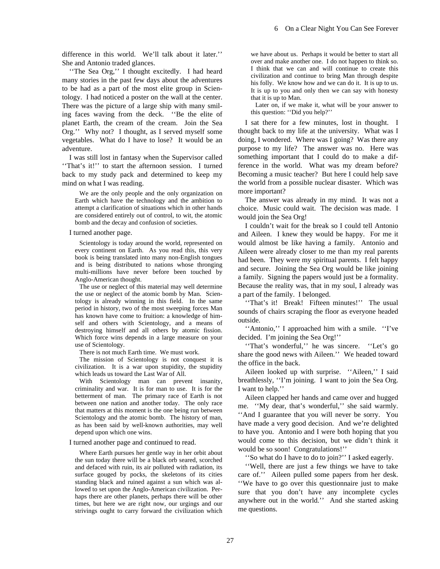difference in this world. We'll talk about it later.'' She and Antonio traded glances.

''The Sea Org,'' I thought excitedly. I had heard many stories in the past few days about the adventures to be had as a part of the most elite group in Scientology. I had noticed a poster on the wall at the center. There was the picture of a large ship with many smiling faces waving from the deck. ''Be the elite of planet Earth, the cream of the cream. Join the Sea Org.'' Why not? I thought, as I served myself some vegetables. What do I have to lose? It would be an adventure.

I was still lost in fantasy when the Supervisor called ''That's it!'' to start the afternoon session. I turned back to my study pack and determined to keep my mind on what I was reading.

We are the only people and the only organization on Earth which have the technology and the ambition to attempt a clarification of situations which in other hands are considered entirely out of control, to wit, the atomic bomb and the decay and confusion of societies.

I turned another page.

Scientology is today around the world, represented on every continent on Earth. As you read this, this very book is being translated into many non-English tongues and is being distributed to nations whose thronging multi-millions have never before been touched by Anglo-American thought.

The use or neglect of this material may well determine the use or neglect of the atomic bomb by Man. Scientology is already winning in this field. In the same period in history, two of the most sweeping forces Man has known have come to fruition: a knowledge of himself and others with Scientology, and a means of destroying himself and all others by atomic fission. Which force wins depends in a large measure on your use of Scientology.

There is not much Earth time. We must work.

The mission of Scientology is not conquest it is civilization. It is a war upon stupidity, the stupidity which leads us toward the Last War of All.

With Scientology man can prevent insanity, criminality and war. It is for man to use. It is for the betterment of man. The primary race of Earth is not between one nation and another today. The only race that matters at this moment is the one being run between Scientology and the atomic bomb. The history of man, as has been said by well-known authorities, may well depend upon which one wins.

I turned another page and continued to read.

Where Earth pursues her gentle way in her orbit about the sun today there will be a black orb seared, scorched and defaced with ruin, its air polluted with radiation, its surface gouged by pocks, the skeletons of its cities standing black and ruined against a sun which was allowed to set upon the Anglo-American civilization. Perhaps there are other planets, perhaps there will be other times, but here we are right now, our urgings and our strivings ought to carry forward the civilization which

we have about us. Perhaps it would be better to start all over and make another one. I do not happen to think so. I think that we can and will continue to create this civilization and continue to bring Man through despite his folly. We know how and we can do it. It is up to us. It is up to you and only then we can say with honesty that it is up to Man.

Later on, if we make it, what will be your answer to this question: ''Did you help?''

I sat there for a few minutes, lost in thought. I thought back to my life at the university. What was I doing, I wondered. Where was I going? Was there any purpose to my life? The answer was no. Here was something important that I could do to make a difference in the world. What was my dream before? Becoming a music teacher? But here I could help save the world from a possible nuclear disaster. Which was more important?

The answer was already in my mind. It was not a choice. Music could wait. The decision was made. I would join the Sea Org!

I couldn't wait for the break so I could tell Antonio and Aileen. I knew they would be happy. For me it would almost be like having a family. Antonio and Aileen were already closer to me than my real parents had been. They were my spiritual parents. I felt happy and secure. Joining the Sea Org would be like joining a family. Signing the papers would just be a formality. Because the reality was, that in my soul, I already was a part of the family. I belonged.

''That's it! Break! Fifteen minutes!'' The usual sounds of chairs scraping the floor as everyone headed outside.

''Antonio,'' I approached him with a smile. ''I've decided. I'm joining the Sea Org!''

''That's wonderful,'' he was sincere. ''Let's go share the good news with Aileen.'' We headed toward the office in the back.

Aileen looked up with surprise. ''Aileen,'' I said breathlessly, ''I'm joining. I want to join the Sea Org. I want to help.''

Aileen clapped her hands and came over and hugged me. ''My dear, that's wonderful,'' she said warmly. ''And I guarantee that you will never be sorry. You have made a very good decision. And we're delighted to have you. Antonio and I were both hoping that you would come to this decision, but we didn't think it would be so soon! Congratulations!''

''So what do I have to do to join?'' I asked eagerly.

''Well, there are just a few things we have to take care of.'' Aileen pulled some papers from her desk. ''We have to go over this questionnaire just to make sure that you don't have any incomplete cycles anywhere out in the world.'' And she started asking me questions.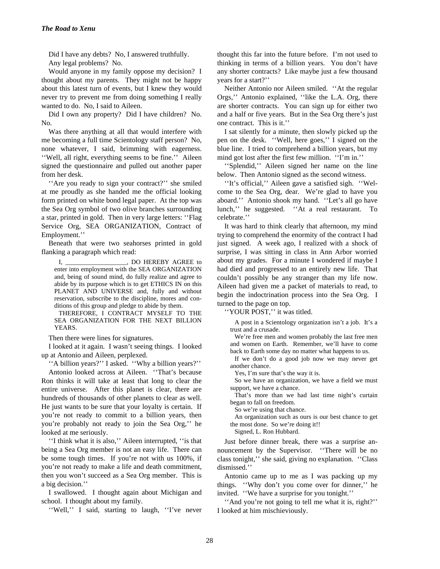Did I have any debts? No, I answered truthfully.

Any legal problems? No.

Would anyone in my family oppose my decision? I thought about my parents. They might not be happy about this latest turn of events, but I knew they would never try to prevent me from doing something I really wanted to do. No, I said to Aileen.

Did I own any property? Did I have children? No. No.

Was there anything at all that would interfere with me becoming a full time Scientology staff person? No, none whatever, I said, brimming with eagerness. ''Well, all right, everything seems to be fine.'' Aileen signed the questionnaire and pulled out another paper from her desk.

''Are you ready to sign your contract?'' she smiled at me proudly as she handed me the official looking form printed on white bond legal paper. At the top was the Sea Org symbol of two olive branches surrounding a star, printed in gold. Then in very large letters: ''Flag Service Org, SEA ORGANIZATION, Contract of Employment.''

Beneath that were two seahorses printed in gold flanking a paragraph which read:

I, \_\_\_\_\_\_\_\_\_\_\_\_\_\_\_\_, DO HEREBY AGREE to enter into employment with the SEA ORGANIZATION and, being of sound mind, do fully realize and agree to abide by its purpose which is to get ETHICS IN on this PLANET AND UNIVERSE and, fully and without reservation, subscribe to the discipline, mores and conditions of this group and pledge to abide by them.

THEREFORE, I CONTRACT MYSELF TO THE SEA ORGANIZATION FOR THE NEXT BILLION YEARS.

Then there were lines for signatures.

I looked at it again. I wasn't seeing things. I looked up at Antonio and Aileen, perplexed.

''A billion years?'' I asked. ''Why a billion years?''

Antonio looked across at Aileen. ''That's because Ron thinks it will take at least that long to clear the entire universe. After this planet is clear, there are hundreds of thousands of other planets to clear as well. He just wants to be sure that your loyalty is certain. If you're not ready to commit to a billion years, then you're probably not ready to join the Sea Org,'' he looked at me seriously.

''I think what it is also,'' Aileen interrupted, ''is that being a Sea Org member is not an easy life. There can be some tough times. If you're not with us 100%, if you're not ready to make a life and death commitment, then you won't succeed as a Sea Org member. This is a big decision.''

I swallowed. I thought again about Michigan and school. I thought about my family.

''Well,'' I said, starting to laugh, ''I've never

thought this far into the future before. I'm not used to thinking in terms of a billion years. You don't have any shorter contracts? Like maybe just a few thousand years for a start?''

Neither Antonio nor Aileen smiled. ''At the regular Orgs,'' Antonio explained, ''like the L.A. Org, there are shorter contracts. You can sign up for either two and a half or five years. But in the Sea Org there's just one contract. This is it.''

I sat silently for a minute, then slowly picked up the pen on the desk. ''Well, here goes,'' I signed on the blue line. I tried to comprehend a billion years, but my mind got lost after the first few million. ''I'm in.''

''Splendid,'' Aileen signed her name on the line below. Then Antonio signed as the second witness.

''It's official,'' Aileen gave a satisfied sigh. ''Welcome to the Sea Org, dear. We're glad to have you aboard.'' Antonio shook my hand. ''Let's all go have lunch,'' he suggested. ''At a real restaurant. To celebrate.''

It was hard to think clearly that afternoon, my mind trying to comprehend the enormity of the contract I had just signed. A week ago, I realized with a shock of surprise, I was sitting in class in Ann Arbor worried about my grades. For a minute I wondered if maybe I had died and progressed to an entirely new life. That couldn't possibly be any stranger than my life now. Aileen had given me a packet of materials to read, to begin the indoctrination process into the Sea Org. I turned to the page on top.

''YOUR POST,'' it was titled.

A post in a Scientology organization isn't a job. It's a trust and a crusade.

We're free men and women probably the last free men and women on Earth. Remember, we'll have to come back to Earth some day no matter what happens to us.

If we don't do a good job now we may never get another chance.

Yes, I'm sure that's the way it is.

So we have an organization, we have a field we must support, we have a chance.

That's more than we had last time night's curtain began to fall on freedom.

So we're using that chance.

An organization such as ours is our best chance to get the most done. So we're doing it!!

Signed, L. Ron Hubbard.

Just before dinner break, there was a surprise announcement by the Supervisor. ''There will be no class tonight,'' she said, giving no explanation. ''Class dismissed.''

Antonio came up to me as I was packing up my things. ''Why don't you come over for dinner,'' he invited. ''We have a surprise for you tonight.''

''And you're not going to tell me what it is, right?'' I looked at him mischieviously.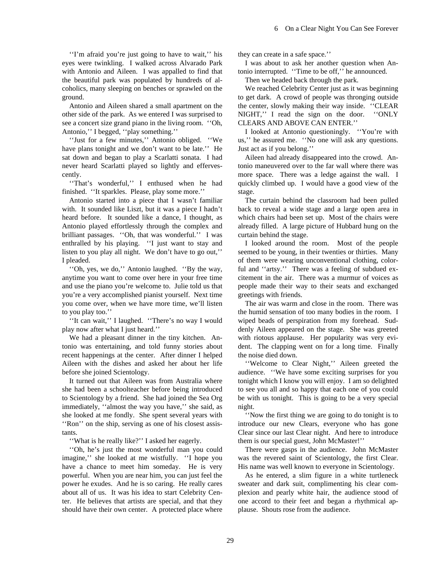''I'm afraid you're just going to have to wait,'' his eyes were twinkling. I walked across Alvarado Park with Antonio and Aileen. I was appalled to find that the beautiful park was populated by hundreds of alcoholics, many sleeping on benches or sprawled on the ground.

Antonio and Aileen shared a small apartment on the other side of the park. As we entered I was surprised to see a concert size grand piano in the living room. ''Oh, Antonio,'' I begged, ''play something.''

''Just for a few minutes,'' Antonio obliged. ''We have plans tonight and we don't want to be late.'' He sat down and began to play a Scarlatti sonata. I had never heard Scarlatti played so lightly and effervescently.

''That's wonderful,'' I enthused when he had finished. ''It sparkles. Please, play some more.''

Antonio started into a piece that I wasn't familiar with. It sounded like Liszt, but it was a piece I hadn't heard before. It sounded like a dance, I thought, as Antonio played effortlessly through the complex and brilliant passages. ''Oh, that was wonderful.'' I was enthralled by his playing. ''I just want to stay and listen to you play all night. We don't have to go out,'' I pleaded.

''Oh, yes, we do,'' Antonio laughed. ''By the way, anytime you want to come over here in your free time and use the piano you're welcome to. Julie told us that you're a very accomplished pianist yourself. Next time you come over, when we have more time, we'll listen to you play too.''

''It can wait,'' I laughed. ''There's no way I would play now after what I just heard.''

We had a pleasant dinner in the tiny kitchen. Antonio was entertaining, and told funny stories about recent happenings at the center. After dinner I helped Aileen with the dishes and asked her about her life before she joined Scientology.

It turned out that Aileen was from Australia where she had been a schoolteacher before being introduced to Scientology by a friend. She had joined the Sea Org immediately, ''almost the way you have,'' she said, as she looked at me fondly. She spent several years with ''Ron'' on the ship, serving as one of his closest assistants.

''What is he really like?'' I asked her eagerly.

''Oh, he's just the most wonderful man you could imagine,'' she looked at me wistfully. ''I hope you have a chance to meet him someday. He is very powerful. When you are near him, you can just feel the power he exudes. And he is so caring. He really cares about all of us. It was his idea to start Celebrity Center. He believes that artists are special, and that they should have their own center. A protected place where they can create in a safe space.''

I was about to ask her another question when Antonio interrupted. ''Time to be off,'' he announced.

Then we headed back through the park.

We reached Celebrity Center just as it was beginning to get dark. A crowd of people was thronging outside the center, slowly making their way inside. ''CLEAR NIGHT,'' I read the sign on the door. ''ONLY CLEARS AND ABOVE CAN ENTER.''

I looked at Antonio questioningly. ''You're with us,'' he assured me. ''No one will ask any questions. Just act as if you belong.''

Aileen had already disappeared into the crowd. Antonio maneuvered over to the far wall where there was more space. There was a ledge against the wall. I quickly climbed up. I would have a good view of the stage.

The curtain behind the classroom had been pulled back to reveal a wide stage and a large open area in which chairs had been set up. Most of the chairs were already filled. A large picture of Hubbard hung on the curtain behind the stage.

I looked around the room. Most of the people seemed to be young, in their twenties or thirties. Many of them were wearing unconventional clothing, colorful and ''artsy.'' There was a feeling of subdued excitement in the air. There was a murmur of voices as people made their way to their seats and exchanged greetings with friends.

The air was warm and close in the room. There was the humid sensation of too many bodies in the room. I wiped beads of perspiration from my forehead. Suddenly Aileen appeared on the stage. She was greeted with riotous applause. Her popularity was very evident. The clapping went on for a long time. Finally the noise died down.

''Welcome to Clear Night,'' Aileen greeted the audience. ''We have some exciting surprises for you tonight which I know you will enjoy. I am so delighted to see you all and so happy that each one of you could be with us tonight. This is going to be a very special night.

''Now the first thing we are going to do tonight is to introduce our new Clears, everyone who has gone Clear since our last Clear night. And here to introduce them is our special guest, John McMaster!''

There were gasps in the audience. John McMaster was the revered saint of Scientology, the first Clear. His name was well known to everyone in Scientology.

As he entered, a slim figure in a white turtleneck sweater and dark suit, complimenting his clear complexion and pearly white hair, the audience stood of one accord to their feet and began a rhythmical applause. Shouts rose from the audience.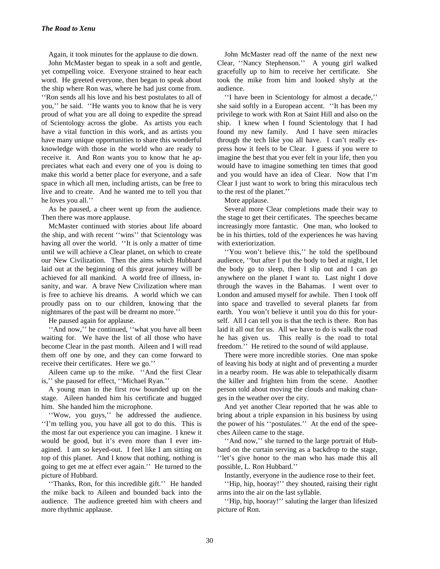Again, it took minutes for the applause to die down.

John McMaster began to speak in a soft and gentle, yet compelling voice. Everyone strained to hear each word. He greeted everyone, then began to speak about the ship where Ron was, where he had just come from. ''Ron sends all his love and his best postulates to all of you,'' he said. ''He wants you to know that he is very proud of what you are all doing to expedite the spread of Scientology across the globe. As artists you each have a vital function in this work, and as artists you have many unique opportunities to share this wonderful knowledge with those in the world who are ready to receive it. And Ron wants you to know that he appreciates what each and every one of you is doing to make this world a better place for everyone, and a safe space in which all men, including artists, can be free to live and to create. And he wanted me to tell you that he loves you all.''

As he paused, a cheer went up from the audience. Then there was more applause.

McMaster continued with stories about life aboard the ship, and with recent ''wins'' that Scientology was having all over the world. ''It is only a matter of time until we will achieve a Clear planet, on which to create our New Civilization. Then the aims which Hubbard laid out at the beginning of this great journey will be achieved for all mankind. A world free of illness, insanity, and war. A brave New Civilization where man is free to achieve his dreams. A world which we can proudly pass on to our children, knowing that the nightmares of the past will be dreamt no more.''

He paused again for applause.

''And now,'' he continued, ''what you have all been waiting for. We have the list of all those who have become Clear in the past month. Aileen and I will read them off one by one, and they can come forward to receive their certificates. Here we go.''

Aileen came up to the mike. ''And the first Clear is,'' she paused for effect, ''Michael Ryan.''

A young man in the first row bounded up on the stage. Aileen handed him his certificate and hugged him. She handed him the microphone.

''Wow, you guys,'' he addressed the audience. ''I'm telling you, you have all got to do this. This is the most far out experience you can imagine. I knew it would be good, but it's even more than I ever imagined. I am so keyed-out. I feel like I am sitting on top of this planet. And I know that nothing, nothing is going to get me at effect ever again.'' He turned to the picture of Hubbard.

''Thanks, Ron, for this incredible gift.'' He handed the mike back to Aileen and bounded back into the audience. The audience greeted him with cheers and more rhythmic applause.

John McMaster read off the name of the next new Clear, ''Nancy Stephenson.'' A young girl walked gracefully up to him to receive her certificate. She took the mike from him and looked shyly at the audience.

''I have been in Scientology for almost a decade,'' she said softly in a European accent. ''It has been my privilege to work with Ron at Saint Hill and also on the ship. I knew when I found Scientology that I had found my new family. And I have seen miracles through the tech like you all have. I can't really express how it feels to be Clear. I guess if you were to imagine the best that you ever felt in your life, then you would have to imagine something ten times that good and you would have an idea of Clear. Now that I'm Clear I just want to work to bring this miraculous tech to the rest of the planet.''

More applause.

Several more Clear completions made their way to the stage to get their certificates. The speeches became increasingly more fantastic. One man, who looked to be in his thirties, told of the experiences he was having with exteriorization.

''You won't believe this,'' he told the spellbound audience, ''but after I put the body to bed at night, I let the body go to sleep, then I slip out and I can go anywhere on the planet I want to. Last night I dove through the waves in the Bahamas. I went over to London and amused myself for awhile. Then I took off into space and travelled to several planets far from earth. You won't believe it until you do this for yourself. All I can tell you is that the tech is there. Ron has laid it all out for us. All we have to do is walk the road he has given us. This really is the road to total freedom.'' He retired to the sound of wild applause.

There were more incredible stories. One man spoke of leaving his body at night and of preventing a murder in a nearby room. He was able to telepathically disarm the killer and frighten him from the scene. Another person told about moving the clouds and making changes in the weather over the city.

And yet another Clear reported that he was able to bring about a triple expansion in his business by using the power of his ''postulates.'' At the end of the speeches Aileen came to the stage.

''And now,'' she turned to the large portrait of Hubbard on the curtain serving as a backdrop to the stage, ''let's give honor to the man who has made this all possible, L. Ron Hubbard.''

Instantly, everyone in the audience rose to their feet.

''Hip, hip, hooray!'' they shouted, raising their right arms into the air on the last syllable.

''Hip, hip, hooray!'' saluting the larger than lifesized picture of Ron.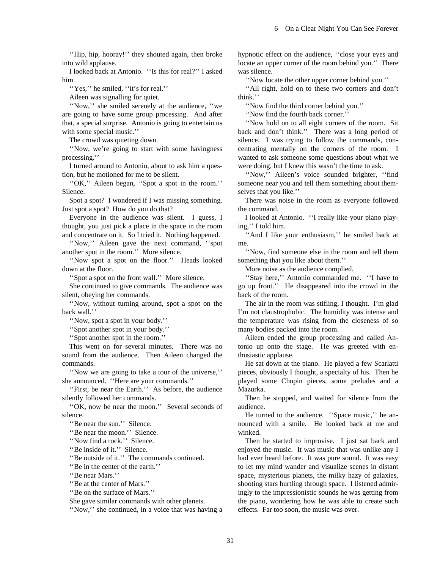''Hip, hip, hooray!'' they shouted again, then broke into wild applause.

I looked back at Antonio. ''Is this for real?'' I asked him.

''Yes,'' he smiled, ''it's for real.''

Aileen was signalling for quiet.

''Now,'' she smiled serenely at the audience, ''we are going to have some group processing. And after that, a special surprise. Antonio is going to entertain us with some special music.''

The crowd was quieting down.

''Now, we're going to start with some havingness processing.''

I turned around to Antonio, about to ask him a question, but he motioned for me to be silent.

''OK,'' Aileen began, ''Spot a spot in the room.'' Silence.

Spot a spot? I wondered if I was missing something. Just spot a spot? How do you do that?

Everyone in the audience was silent. I guess, I thought, you just pick a place in the space in the room and concentrate on it. So I tried it. Nothing happened.

''Now,'' Aileen gave the next command, ''spot another spot in the room.'' More silence.

''Now spot a spot on the floor.'' Heads looked down at the floor.

''Spot a spot on the front wall.'' More silence.

She continued to give commands. The audience was silent, obeying her commands.

''Now, without turning around, spot a spot on the back wall.''

''Now, spot a spot in your body.''

''Spot another spot in your body.''

''Spot another spot in the room.''

This went on for several minutes. There was no sound from the audience. Then Aileen changed the commands.

''Now we are going to take a tour of the universe,'' she announced. ''Here are your commands.''

''First, be near the Earth.'' As before, the audience silently followed her commands.

''OK, now be near the moon.'' Several seconds of silence.

''Be near the sun.'' Silence.

''Be near the moon.'' Silence.

''Now find a rock.'' Silence.

''Be inside of it.'' Silence.

''Be outside of it.'' The commands continued.

''Be in the center of the earth.''

''Be near Mars.''

''Be at the center of Mars.''

''Be on the surface of Mars.''

She gave similar commands with other planets.

''Now,'' she continued, in a voice that was having a

hypnotic effect on the audience, ''close your eyes and locate an upper corner of the room behind you.'' There was silence.

''Now locate the other upper corner behind you.''

''All right, hold on to these two corners and don't think.''

''Now find the third corner behind you.''

''Now find the fourth back corner.''

''Now hold on to all eight corners of the room. Sit back and don't think.'' There was a long period of silence. I was trying to follow the commands, concentrating mentally on the corners of the room. I wanted to ask someone some questions about what we were doing, but I knew this wasn't the time to ask.

''Now,'' Aileen's voice sounded brighter, ''find someone near you and tell them something about themselves that you like.''

There was noise in the room as everyone followed the command.

I looked at Antonio. ''I really like your piano playing,'' I told him.

''And I like your enthusiasm,'' he smiled back at me.

''Now, find someone else in the room and tell them something that you like about them.''

More noise as the audience complied.

''Stay here,'' Antonio commanded me. ''I have to go up front.'' He disappeared into the crowd in the back of the room.

The air in the room was stifling, I thought. I'm glad I'm not claustrophobic. The humidity was intense and the temperature was rising from the closeness of so many bodies packed into the room.

Aileen ended the group processing and called Antonio up onto the stage. He was greeted with enthusiastic applause.

He sat down at the piano. He played a few Scarlatti pieces, obviously I thought, a specialty of his. Then he played some Chopin pieces, some preludes and a Mazurka.

Then he stopped, and waited for silence from the audience.

He turned to the audience. ''Space music,'' he announced with a smile. He looked back at me and winked.

Then he started to improvise. I just sat back and enjoyed the music. It was music that was unlike any I had ever heard before. It was pure sound. It was easy to let my mind wander and visualize scenes in distant space, mysterious planets, the milky hazy of galaxies, shooting stars hurtling through space. I listened admiringly to the impressionistic sounds he was getting from the piano, wondering how he was able to create such effects. Far too soon, the music was over.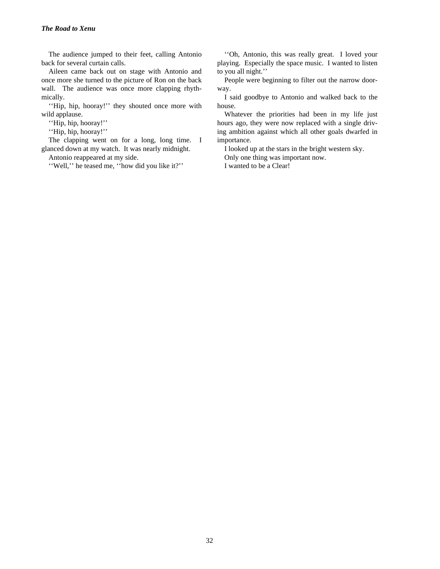The audience jumped to their feet, calling Antonio back for several curtain calls.

Aileen came back out on stage with Antonio and once more she turned to the picture of Ron on the back wall. The audience was once more clapping rhythmically.

''Hip, hip, hooray!'' they shouted once more with wild applause.

''Hip, hip, hooray!''

''Hip, hip, hooray!''

The clapping went on for a long, long time. I glanced down at my watch. It was nearly midnight.

Antonio reappeared at my side.

''Well,'' he teased me, ''how did you like it?''

''Oh, Antonio, this was really great. I loved your playing. Especially the space music. I wanted to listen to you all night.''

People were beginning to filter out the narrow doorway.

I said goodbye to Antonio and walked back to the house.

Whatever the priorities had been in my life just hours ago, they were now replaced with a single driving ambition against which all other goals dwarfed in importance.

I looked up at the stars in the bright western sky.

Only one thing was important now.

I wanted to be a Clear!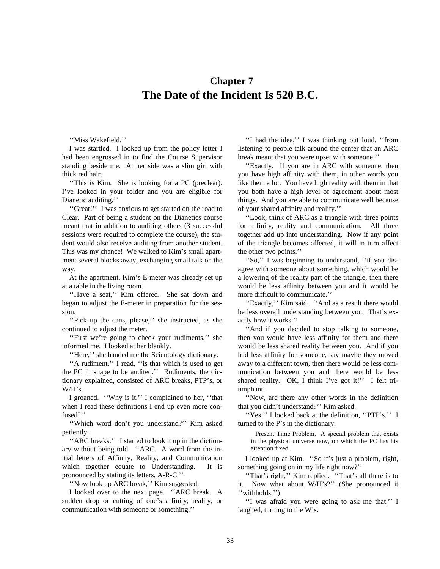### **Chapter 7 The Date of the Incident Is 520 B.C.**

''Miss Wakefield.''

I was startled. I looked up from the policy letter I had been engrossed in to find the Course Supervisor standing beside me. At her side was a slim girl with thick red hair.

''This is Kim. She is looking for a PC (preclear). I've looked in your folder and you are eligible for Dianetic auditing.''

''Great!'' I was anxious to get started on the road to Clear. Part of being a student on the Dianetics course meant that in addition to auditing others (3 successful sessions were required to complete the course), the student would also receive auditing from another student. This was my chance! We walked to Kim's small apartment several blocks away, exchanging small talk on the way.

At the apartment, Kim's E-meter was already set up at a table in the living room.

''Have a seat,'' Kim offered. She sat down and began to adjust the E-meter in preparation for the session.

''Pick up the cans, please,'' she instructed, as she continued to adjust the meter.

''First we're going to check your rudiments,'' she informed me. I looked at her blankly.

''Here,'' she handed me the Scientology dictionary.

''A rudiment,'' I read, ''is that which is used to get the PC in shape to be audited.'' Rudiments, the dictionary explained, consisted of ARC breaks, PTP's, or W/H's.

I groaned. ''Why is it,'' I complained to her, ''that when I read these definitions I end up even more confused?''

''Which word don't you understand?'' Kim asked patiently.

''ARC breaks.'' I started to look it up in the dictionary without being told. ''ARC. A word from the initial letters of Affinity, Reality, and Communication which together equate to Understanding. It is pronounced by stating its letters, A-R-C.''

''Now look up ARC break,'' Kim suggested.

I looked over to the next page. ''ARC break. A sudden drop or cutting of one's affinity, reality, or communication with someone or something.''

''I had the idea,'' I was thinking out loud, ''from listening to people talk around the center that an ARC break meant that you were upset with someone.''

''Exactly. If you are in ARC with someone, then you have high affinity with them, in other words you like them a lot. You have high reality with them in that you both have a high level of agreement about most things. And you are able to communicate well because of your shared affinity and reality.''

''Look, think of ARC as a triangle with three points for affinity, reality and communication. All three together add up into understanding. Now if any point of the triangle becomes affected, it will in turn affect the other two points.''

''So,'' I was beginning to understand, ''if you disagree with someone about something, which would be a lowering of the reality part of the triangle, then there would be less affinity between you and it would be more difficult to communicate.''

''Exactly,'' Kim said. ''And as a result there would be less overall understanding between you. That's exactly how it works.''

''And if you decided to stop talking to someone, then you would have less affinity for them and there would be less shared reality between you. And if you had less affinity for someone, say maybe they moved away to a different town, then there would be less communication between you and there would be less shared reality. OK, I think I've got it!'' I felt triumphant.

''Now, are there any other words in the definition that you didn't understand?'' Kim asked.

''Yes,'' I looked back at the definition, ''PTP's.'' I turned to the P's in the dictionary.

Present Time Problem. A special problem that exists in the physical universe now, on which the PC has his attention fixed.

I looked up at Kim. ''So it's just a problem, right, something going on in my life right now?''

''That's right,'' Kim replied. ''That's all there is to it. Now what about W/H's?'' (She pronounced it ''withholds.'')

''I was afraid you were going to ask me that,'' I laughed, turning to the W's.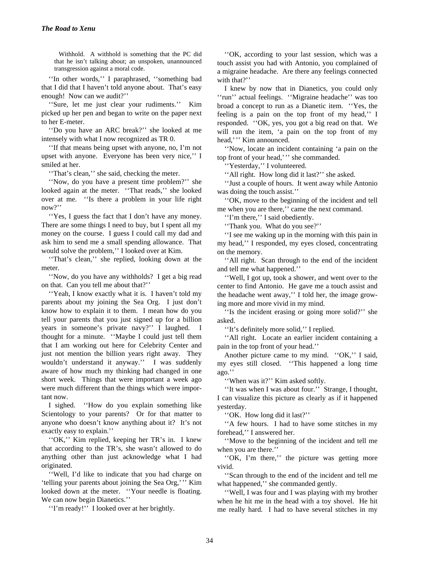Withhold. A withhold is something that the PC did that he isn't talking about; an unspoken, unannounced transgression against a moral code.

''In other words,'' I paraphrased, ''something bad that I did that I haven't told anyone about. That's easy enough! Now can we audit?''

''Sure, let me just clear your rudiments.'' Kim picked up her pen and began to write on the paper next to her E-meter.

''Do you have an ARC break?'' she looked at me intensely with what I now recognized as TR 0.

''If that means being upset with anyone, no, I'm not upset with anyone. Everyone has been very nice,'' I smiled at her.

''That's clean,'' she said, checking the meter.

''Now, do you have a present time problem?'' she looked again at the meter. ''That reads,'' she looked over at me. ''Is there a problem in your life right now?''

''Yes, I guess the fact that I don't have any money. There are some things I need to buy, but I spent all my money on the course. I guess I could call my dad and ask him to send me a small spending allowance. That would solve the problem,'' I looked over at Kim.

''That's clean,'' she replied, looking down at the meter.

''Now, do you have any withholds? I get a big read on that. Can you tell me about that?''

''Yeah, I know exactly what it is. I haven't told my parents about my joining the Sea Org. I just don't know how to explain it to them. I mean how do you tell your parents that you just signed up for a billion years in someone's private navy?'' I laughed. I thought for a minute. ''Maybe I could just tell them that I am working out here for Celebrity Center and just not mention the billion years right away. They wouldn't understand it anyway.'' I was suddenly aware of how much my thinking had changed in one short week. Things that were important a week ago were much different than the things which were important now.

I sighed. ''How do you explain something like Scientology to your parents? Or for that matter to anyone who doesn't know anything about it? It's not exactly easy to explain.''

''OK,'' Kim replied, keeping her TR's in. I knew that according to the TR's, she wasn't allowed to do anything other than just acknowledge what I had originated.

''Well, I'd like to indicate that you had charge on 'telling your parents about joining the Sea Org,''' Kim looked down at the meter. "Your needle is floating. We can now begin Dianetics.''

''I'm ready!'' I looked over at her brightly.

''OK, according to your last session, which was a touch assist you had with Antonio, you complained of a migraine headache. Are there any feelings connected with that?''

I knew by now that in Dianetics, you could only ''run'' actual feelings. ''Migraine headache'' was too broad a concept to run as a Dianetic item. ''Yes, the feeling is a pain on the top front of my head,'' I responded. ''OK, yes, you got a big read on that. We will run the item, 'a pain on the top front of my head,''' Kim announced.

''Now, locate an incident containing 'a pain on the top front of your head,''' she commanded.

''Yesterday,'' I volunteered.

''All right. How long did it last?'' she asked.

''Just a couple of hours. It went away while Antonio was doing the touch assist.''

''OK, move to the beginning of the incident and tell me when you are there,'' came the next command.

''I'm there,'' I said obediently.

''Thank you. What do you see?''

''I see me waking up in the morning with this pain in my head,'' I responded, my eyes closed, concentrating on the memory.

''All right. Scan through to the end of the incident and tell me what happened.''

''Well, I got up, took a shower, and went over to the center to find Antonio. He gave me a touch assist and the headache went away,'' I told her, the image growing more and more vivid in my mind.

''Is the incident erasing or going more solid?'' she asked.

''It's definitely more solid,'' I replied.

''All right. Locate an earlier incident containing a pain in the top front of your head.''

Another picture came to my mind. ''OK,'' I said, my eyes still closed. ''This happened a long time ago.''

''When was it?'' Kim asked softly.

''It was when I was about four.'' Strange, I thought, I can visualize this picture as clearly as if it happened yesterday.

''OK. How long did it last?''

''A few hours. I had to have some stitches in my forehead,'' I answered her.

''Move to the beginning of the incident and tell me when you are there.''

''OK, I'm there,'' the picture was getting more vivid.

''Scan through to the end of the incident and tell me what happened,'' she commanded gently.

''Well, I was four and I was playing with my brother when he hit me in the head with a toy shovel. He hit me really hard. I had to have several stitches in my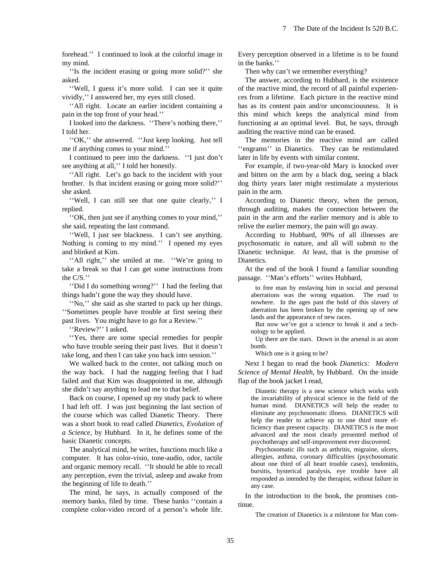forehead.'' I continued to look at the colorful image in my mind.

''Is the incident erasing or going more solid?'' she asked.

''Well, I guess it's more solid. I can see it quite vividly,'' I answered her, my eyes still closed.

''All right. Locate an earlier incident containing a pain in the top front of your head.''

I looked into the darkness. ''There's nothing there,'' I told her.

''OK,'' she answered. ''Just keep looking. Just tell me if anything comes to your mind.''

I continued to peer into the darkness. ''I just don't see anything at all,'' I told her honestly.

''All right. Let's go back to the incident with your brother. Is that incident erasing or going more solid?'' she asked.

''Well, I can still see that one quite clearly,'' I replied.

''OK, then just see if anything comes to your mind,'' she said, repeating the last command.

''Well, I just see blackness. I can't see anything. Nothing is coming to my mind.'' I opened my eyes and blinked at Kim.

''All right,'' she smiled at me. ''We're going to take a break so that I can get some instructions from the C/S.''

''Did I do something wrong?'' I had the feeling that things hadn't gone the way they should have.

''No,'' she said as she started to pack up her things. ''Sometimes people have trouble at first seeing their past lives. You might have to go for a Review.''

"Review?" I asked.

''Yes, there are some special remedies for people who have trouble seeing their past lives. But it doesn't take long, and then I can take you back into session.''

We walked back to the center, not talking much on the way back. I had the nagging feeling that I had failed and that Kim was disappointed in me, although she didn't say anything to lead me to that belief.

Back on course, I opened up my study pack to where I had left off. I was just beginning the last section of the course which was called Dianetic Theory. There was a short book to read called *Dianetics, Evolution of a Science*, by Hubbard. In it, he defines some of the basic Dianetic concepts.

The analytical mind, he writes, functions much like a computer. It has color-visio, tone-audio, odor, tactile and organic memory recall. ''It should be able to recall any perception, even the trivial, asleep and awake from the beginning of life to death.''

The mind, he says, is actually composed of the memory banks, filed by time. These banks ''contain a complete color-video record of a person's whole life. Every perception observed in a lifetime is to be found in the banks.''

Then why can't we remember everything?

The answer, according to Hubbard, is the existence of the reactive mind, the record of all painful experiences from a lifetime. Each picture in the reactive mind has as its content pain and/or unconsciousness. It is this mind which keeps the analytical mind from functioning at an optimal level. But, he says, through auditing the reactive mind can be erased.

The memories in the reactive mind are called ''engrams'' in Dianetics. They can be restimulated later in life by events with similar content.

For example, if two-year-old Mary is knocked over and bitten on the arm by a black dog, seeing a black dog thirty years later might restimulate a mysterious pain in the arm.

According to Dianetic theory, when the person, through auditing, makes the connection between the pain in the arm and the earlier memory and is able to relive the earlier memory, the pain will go away.

According to Hubbard, 90% of all illnesses are psychosomatic in nature, and all will submit to the Dianetic technique. At least, that is the promise of Dianetics.

At the end of the book I found a familiar sounding passage. ''Man's efforts'' writes Hubbard,

to free man by enslaving him in social and personal aberrations was the wrong equation. The road to nowhere. In the ages past the hold of this slavery of aberration has been broken by the opening up of new lands and the appearance of new races.

But now we've got a science to break it and a technology to be applied.

Up there are the stars. Down in the arsenal is an atom bomb.

Which one is it going to be?

Next I began to read the book *Dianetics: Modern Science of Mental Health*, by Hubbard. On the inside flap of the book jacket I read,

Dianetic therapy is a new science which works with the invariability of physical science in the field of the human mind. DIANETICS will help the reader to eliminate any psychosomatic illness. DIANETICS will help the reader to achieve up to one third more efficiency than present capacity. DIANETICS is the most advanced and the most clearly presented method of psychotherapy and self-improvement ever discovered.

Psychosomatic ills such as arthritis, migraine, ulcers, allergies, asthma, coronary difficulties (psychosomatic about one third of all heart trouble cases), tendonitis, bursitis, hysterical paralysis, eye trouble have all responded as intended by the therapist, without failure in any case.

In the introduction to the book, the promises continue.

The creation of Dianetics is a milestone for Man com-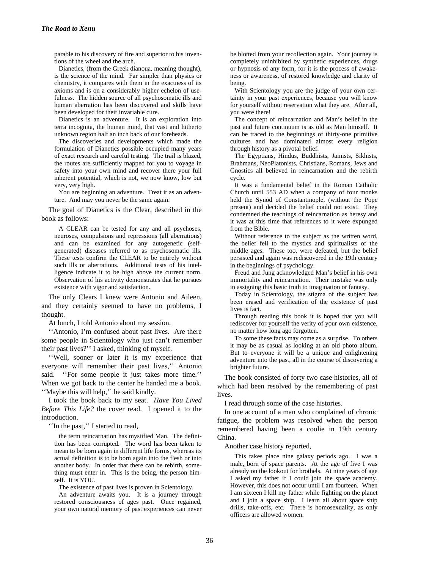parable to his discovery of fire and superior to his inventions of the wheel and the arch.

Dianetics, (from the Greek dianoua, meaning thought), is the science of the mind. Far simpler than physics or chemistry, it compares with them in the exactness of its axioms and is on a considerably higher echelon of usefulness. The hidden source of all psychosomatic ills and human aberration has been discovered and skills have been developed for their invariable cure.

Dianetics is an adventure. It is an exploration into terra incognita, the human mind, that vast and hitherto unknown region half an inch back of our foreheads.

The discoveries and developments which made the formulation of Dianetics possible occupied many years of exact research and careful testing. The trail is blazed, the routes are sufficiently mapped for you to voyage in safety into your own mind and recover there your full inherent potential, which is not, we now know, low but very, very high.

You are beginning an adventure. Treat it as an adventure. And may you never be the same again.

The goal of Dianetics is the Clear, described in the book as follows:

A CLEAR can be tested for any and all psychoses, neuroses, compulsions and repressions (all aberrations) and can be examined for any autogenetic (selfgenerated) diseases referred to as psychosomatic ills. These tests confirm the CLEAR to be entirely without such ills or aberrations. Additional tests of his intelligence indicate it to be high above the current norm. Observation of his activity demonstrates that he pursues existence with vigor and satisfaction.

The only Clears I knew were Antonio and Aileen, and they certainly seemed to have no problems, I thought.

At lunch, I told Antonio about my session.

''Antonio, I'm confused about past lives. Are there some people in Scientology who just can't remember their past lives?'' I asked, thinking of myself.

''Well, sooner or later it is my experience that everyone will remember their past lives,'' Antonio said. ''For some people it just takes more time.'' When we got back to the center he handed me a book. ''Maybe this will help,'' he said kindly.

I took the book back to my seat. *Have You Lived Before This Life?* the cover read. I opened it to the introduction.

''In the past,'' I started to read,

the term reincarnation has mystified Man. The definition has been corrupted. The word has been taken to mean to be born again in different life forms, whereas its actual definition is to be born again into the flesh or into another body. In order that there can be rebirth, something must enter in. This is the being, the person himself. It is YOU.

The existence of past lives is proven in Scientology.

An adventure awaits you. It is a journey through restored consciousness of ages past. Once regained, your own natural memory of past experiences can never be blotted from your recollection again. Your journey is completely uninhibited by synthetic experiences, drugs or hypnosis of any form, for it is the process of awakeness or awareness, of restored knowledge and clarity of being.

With Scientology you are the judge of your own certainty in your past experiences, because you will know for yourself without reservation what they are. After all, you were there!

The concept of reincarnation and Man's belief in the past and future continuum is as old as Man himself. It can be traced to the beginnings of thirty-one primitive cultures and has dominated almost every religion through history as a pivotal belief.

The Egyptians, Hindus, Buddhists, Jainists, Sikhists, Brahmans, NeoPlatonists, Christians, Romans, Jews and Gnostics all believed in reincarnation and the rebirth cycle.

It was a fundamental belief in the Roman Catholic Church until 553 AD when a company of four monks held the Synod of Constantinople, (without the Pope present) and decided the belief could not exist. They condemned the teachings of reincarnation as heresy and it was at this time that references to it were expunged from the Bible.

Without reference to the subject as the written word, the belief fell to the mystics and spiritualists of the middle ages. These too, were defeated, but the belief persisted and again was rediscovered in the 19th century in the beginnings of psychology.

Freud and Jung acknowledged Man's belief in his own immortality and reincarnation. Their mistake was only in assigning this basic truth to imagination or fantasy.

Today in Scientology, the stigma of the subject has been erased and verification of the existence of past lives is fact.

Through reading this book it is hoped that you will rediscover for yourself the verity of your own existence, no matter how long ago forgotten.

To some these facts may come as a surprise. To others it may be as casual as looking at an old photo album. But to everyone it will be a unique and enlightening adventure into the past, all in the course of discovering a brighter future.

The book consisted of forty two case histories, all of which had been resolved by the remembering of past lives.

I read through some of the case histories.

In one account of a man who complained of chronic fatigue, the problem was resolved when the person remembered having been a coolie in 19th century China.

Another case history reported,

This takes place nine galaxy periods ago. I was a male, born of space parents. At the age of five I was already on the lookout for brothels. At nine years of age I asked my father if I could join the space academy. However, this does not occur until I am fourteen. When I am sixteen I kill my father while fighting on the planet and I join a space ship. I learn all about space ship drills, take-offs, etc. There is homosexuality, as only officers are allowed women.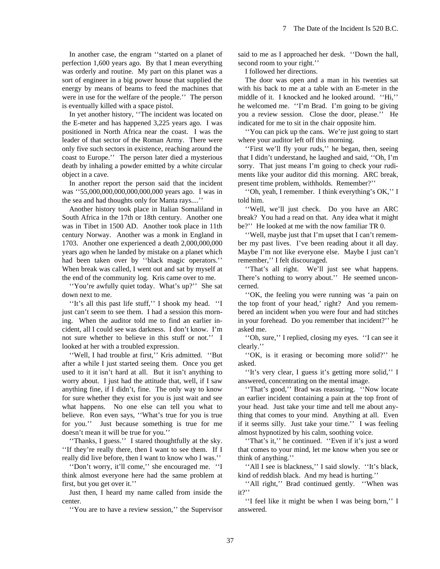In another case, the engram ''started on a planet of perfection 1,600 years ago. By that I mean everything was orderly and routine. My part on this planet was a sort of engineer in a big power house that supplied the energy by means of beams to feed the machines that were in use for the welfare of the people.'' The person is eventually killed with a space pistol.

In yet another history, ''The incident was located on the E-meter and has happened 3,225 years ago. I was positioned in North Africa near the coast. I was the leader of that sector of the Roman Army. There were only five such sectors in existence, reaching around the coast to Europe.'' The person later died a mysterious death by inhaling a powder emitted by a white circular object in a cave.

In another report the person said that the incident was ''55,000,000,000,000,000,000 years ago. I was in the sea and had thoughts only for Manta rays....''

Another history took place in Italian Somaliland in South Africa in the 17th or 18th century. Another one was in Tibet in 1500 AD. Another took place in 11th century Norway. Another was a monk in England in 1703. Another one experienced a death 2,000,000,000 years ago when he landed by mistake on a planet which had been taken over by ''black magic operators.'' When break was called, I went out and sat by myself at the end of the community log. Kris came over to me.

''You're awfully quiet today. What's up?'' She sat down next to me.

''It's all this past life stuff,'' I shook my head. ''I just can't seem to see them. I had a session this morning. When the auditor told me to find an earlier incident, all I could see was darkness. I don't know. I'm not sure whether to believe in this stuff or not.'' I looked at her with a troubled expression.

''Well, I had trouble at first,'' Kris admitted. ''But after a while I just started seeing them. Once you get used to it it isn't hard at all. But it isn't anything to worry about. I just had the attitude that, well, if I saw anything fine, if I didn't, fine. The only way to know for sure whether they exist for you is just wait and see what happens. No one else can tell you what to believe. Ron even says, ''What's true for you is true for you.'' Just because something is true for me doesn't mean it will be true for you.''

''Thanks, I guess.'' I stared thoughtfully at the sky. ''If they're really there, then I want to see them. If I really did live before, then I want to know who I was.''

''Don't worry, it'll come,'' she encouraged me. ''I think almost everyone here had the same problem at first, but you get over it.''

Just then, I heard my name called from inside the center.

''You are to have a review session,'' the Supervisor

said to me as I approached her desk. ''Down the hall, second room to your right.''

I followed her directions.

The door was open and a man in his twenties sat with his back to me at a table with an E-meter in the middle of it. I knocked and he looked around. ''Hi,'' he welcomed me. ''I'm Brad. I'm going to be giving you a review session. Close the door, please.'' He indicated for me to sit in the chair opposite him.

''You can pick up the cans. We're just going to start where your auditor left off this morning.

''First we'll fly your ruds,'' he began, then, seeing that I didn't understand, he laughed and said, ''Oh, I'm sorry. That just means I'm going to check your rudiments like your auditor did this morning. ARC break, present time problem, withholds. Remember?''

''Oh, yeah, I remember. I think everything's OK,'' I told him.

''Well, we'll just check. Do you have an ARC break? You had a read on that. Any idea what it might be?'' He looked at me with the now familiar TR 0.

''Well, maybe just that I'm upset that I can't remember my past lives. I've been reading about it all day. Maybe I'm not like everyone else. Maybe I just can't remember,'' I felt discouraged.

''That's all right. We'll just see what happens. There's nothing to worry about.'' He seemed unconcerned.

''OK, the feeling you were running was 'a pain on the top front of your head,' right? And you remembered an incident when you were four and had stitches in your forehead. Do you remember that incident?'' he asked me.

''Oh, sure,'' I replied, closing my eyes. ''I can see it clearly.''

''OK, is it erasing or becoming more solid?'' he asked.

''It's very clear, I guess it's getting more solid,'' I answered, concentrating on the mental image.

''That's good,'' Brad was reassuring. ''Now locate an earlier incident containing a pain at the top front of your head. Just take your time and tell me about anything that comes to your mind. Anything at all. Even if it seems silly. Just take your time.'' I was feeling almost hypnotized by his calm, soothing voice.

''That's it,'' he continued. ''Even if it's just a word that comes to your mind, let me know when you see or think of anything.''

''All I see is blackness,'' I said slowly. ''It's black, kind of reddish black. And my head is hurting.''

''All right,'' Brad continued gently. ''When was it?''

''I feel like it might be when I was being born,'' I answered.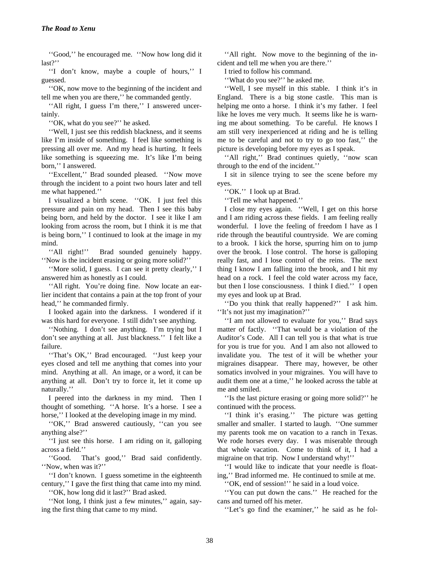''Good,'' he encouraged me. ''Now how long did it last?''

''I don't know, maybe a couple of hours,'' I guessed.

''OK, now move to the beginning of the incident and tell me when you are there,'' he commanded gently.

''All right, I guess I'm there,'' I answered uncertainly.

''OK, what do you see?'' he asked.

''Well, I just see this reddish blackness, and it seems like I'm inside of something. I feel like something is pressing all over me. And my head is hurting. It feels like something is squeezing me. It's like I'm being born,'' I answered.

''Excellent,'' Brad sounded pleased. ''Now move through the incident to a point two hours later and tell me what happened.''

I visualized a birth scene. ''OK. I just feel this pressure and pain on my head. Then I see this baby being born, and held by the doctor. I see it like I am looking from across the room, but I think it is me that is being born,'' I continued to look at the image in my mind.

''All right!'' Brad sounded genuinely happy. ''Now is the incident erasing or going more solid?''

''More solid, I guess. I can see it pretty clearly,'' I answered him as honestly as I could.

''All right. You're doing fine. Now locate an earlier incident that contains a pain at the top front of your head,'' he commanded firmly.

I looked again into the darkness. I wondered if it was this hard for everyone. I still didn't see anything.

''Nothing. I don't see anything. I'm trying but I don't see anything at all. Just blackness.'' I felt like a failure.

''That's OK,'' Brad encouraged. ''Just keep your eyes closed and tell me anything that comes into your mind. Anything at all. An image, or a word, it can be anything at all. Don't try to force it, let it come up naturally.''

I peered into the darkness in my mind. Then I thought of something. ''A horse. It's a horse. I see a horse," I looked at the developing image in my mind.

''OK,'' Brad answered cautiously, ''can you see anything alse?''

''I just see this horse. I am riding on it, galloping across a field.''

''Good. That's good,'' Brad said confidently. ''Now, when was it?''

''I don't known. I guess sometime in the eighteenth century,'' I gave the first thing that came into my mind. ''OK, how long did it last?'' Brad asked.

''Not long, I think just a few minutes,'' again, saying the first thing that came to my mind.

''All right. Now move to the beginning of the incident and tell me when you are there.''

I tried to follow his command.

''What do you see?'' he asked me.

''Well, I see myself in this stable. I think it's in England. There is a big stone castle. This man is helping me onto a horse. I think it's my father. I feel like he loves me very much. It seems like he is warning me about something. To be careful. He knows I am still very inexperienced at riding and he is telling me to be careful and not to try to go too fast,'' the picture is developing before my eyes as I speak.

''All right,'' Brad continues quietly, ''now scan through to the end of the incident.''

I sit in silence trying to see the scene before my eyes.

''OK.'' I look up at Brad.

''Tell me what happened.''

I close my eyes again. ''Well, I get on this horse and I am riding across these fields. I am feeling really wonderful. I love the feeling of freedom I have as I ride through the beautiful countryside. We are coming to a brook. I kick the horse, spurring him on to jump over the brook. I lose control. The horse is galloping really fast, and I lose control of the reins. The next thing I know I am falling into the brook, and I hit my head on a rock. I feel the cold water across my face, but then I lose consciousness. I think I died.'' I open my eyes and look up at Brad.

''Do you think that really happened?'' I ask him. ''It's not just my imagination?''

''I am not allowed to evaluate for you,'' Brad says matter of factly. ''That would be a violation of the Auditor's Code. All I can tell you is that what is true for you is true for you. And I am also not allowed to invalidate you. The test of it will be whether your migraines disappear. There may, however, be other somatics involved in your migraines. You will have to audit them one at a time,'' he looked across the table at me and smiled.

''Is the last picture erasing or going more solid?'' he continued with the process.

''I think it's erasing.'' The picture was getting smaller and smaller. I started to laugh. ''One summer my parents took me on vacation to a ranch in Texas. We rode horses every day. I was miserable through that whole vacation. Come to think of it, I had a migraine on that trip. Now I understand why!''

''I would like to indicate that your needle is floating,'' Brad informed me. He continued to smile at me. ''OK, end of session!'' he said in a loud voice.

''You can put down the cans.'' He reached for the cans and turned off his meter.

''Let's go find the examiner,'' he said as he fol-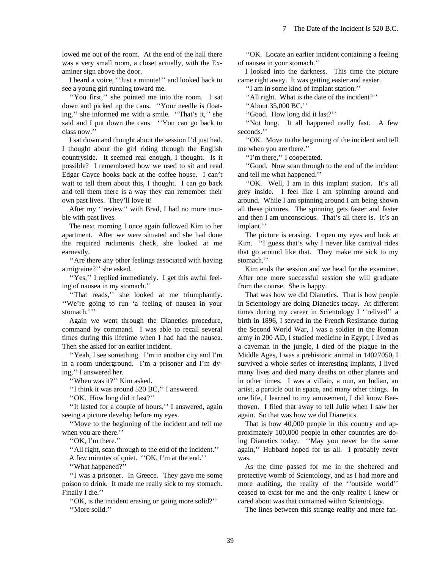lowed me out of the room. At the end of the hall there was a very small room, a closet actually, with the Examiner sign above the door.

I heard a voice, ''Just a minute!'' and looked back to see a young girl running toward me.

''You first,'' she pointed me into the room. I sat down and picked up the cans. ''Your needle is floating,'' she informed me with a smile. ''That's it,'' she said and I put down the cans. ''You can go back to class now.''

I sat down and thought about the session I'd just had. I thought about the girl riding through the English countryside. It seemed real enough, I thought. Is it possible? I remembered how we used to sit and read Edgar Cayce books back at the coffee house. I can't wait to tell them about this, I thought. I can go back and tell them there is a way they can remember their own past lives. They'll love it!

After my ''review'' with Brad, I had no more trouble with past lives.

The next morning I once again followed Kim to her apartment. After we were situated and she had done the required rudiments check, she looked at me earnestly.

''Are there any other feelings associated with having a migraine?'' she asked.

''Yes,'' I replied immediately. I get this awful feeling of nausea in my stomach.''

''That reads,'' she looked at me triumphantly. ''We're going to run 'a feeling of nausea in your stomach.'''

Again we went through the Dianetics procedure, command by command. I was able to recall several times during this lifetime when I had had the nausea. Then she asked for an earlier incident.

''Yeah, I see something. I'm in another city and I'm in a room underground. I'm a prisoner and I'm dying,'' I answered her.

''When was it?'' Kim asked.

''I think it was around 520 BC,'' I answered.

''OK. How long did it last?''

''It lasted for a couple of hours,'' I answered, again seeing a picture develop before my eyes.

''Move to the beginning of the incident and tell me when you are there.''

''OK, I'm there.''

''All right, scan through to the end of the incident.''

A few minutes of quiet. ''OK, I'm at the end.''

''What happened?''

''I was a prisoner. In Greece. They gave me some poison to drink. It made me really sick to my stomach. Finally I die.''

''OK, is the incident erasing or going more solid?'' ''More solid.''

''OK. Locate an earlier incident containing a feeling of nausea in your stomach.''

I looked into the darkness. This time the picture came right away. It was getting easier and easier.

''I am in some kind of implant station.''

''All right. What is the date of the incident?''

''About 35,000 BC.''

''Good. How long did it last?''

''Not long. It all happened really fast. A few seconds.''

''OK. Move to the beginning of the incident and tell me when you are there.''

''I'm there,'' I cooperated.

''Good. Now scan through to the end of the incident and tell me what happened.''

''OK. Well, I am in this implant station. It's all grey inside. I feel like I am spinning around and around. While I am spinning around I am being shown all these pictures. The spinning gets faster and faster and then I am unconscious. That's all there is. It's an implant.''

The picture is erasing. I open my eyes and look at Kim. ''I guess that's why I never like carnival rides that go around like that. They make me sick to my stomach.''

Kim ends the session and we head for the examiner. After one more successful session she will graduate from the course. She is happy.

That was how we did Dianetics. That is how people in Scientology are doing Dianetics today. At different times during my career in Scientology I ''relived'' a birth in 1896, I served in the French Resistance during the Second World War, I was a soldier in the Roman army in 200 AD, I studied medicine in Egypt, I lived as a caveman in the jungle, I died of the plague in the Middle Ages, I was a prehistoric animal in 14027050, I survived a whole series of interesting implants, I lived many lives and died many deaths on other planets and in other times. I was a villain, a nun, an Indian, an artist, a particle out in space, and many other things. In one life, I learned to my amusement, I did know Beethoven. I filed that away to tell Julie when I saw her again. So that was how we did Dianetics.

That is how 40,000 people in this country and approximately 100,000 people in other countries are doing Dianetics today. ''May you never be the same again,'' Hubbard hoped for us all. I probably never was.

As the time passed for me in the sheltered and protective womb of Scientology, and as I had more and more auditing, the reality of the ''outside world'' ceased to exist for me and the only reality I knew or cared about was that contained within Scientology.

The lines between this strange reality and mere fan-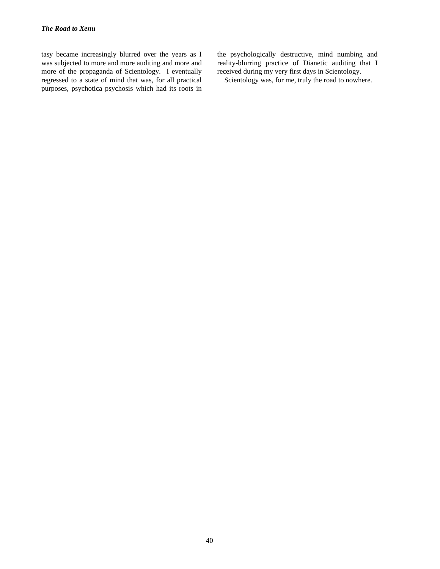tasy became increasingly blurred over the years as I was subjected to more and more auditing and more and more of the propaganda of Scientology. I eventually regressed to a state of mind that was, for all practical purposes, psychotica psychosis which had its roots in the psychologically destructive, mind numbing and reality-blurring practice of Dianetic auditing that I received during my very first days in Scientology.

Scientology was, for me, truly the road to nowhere.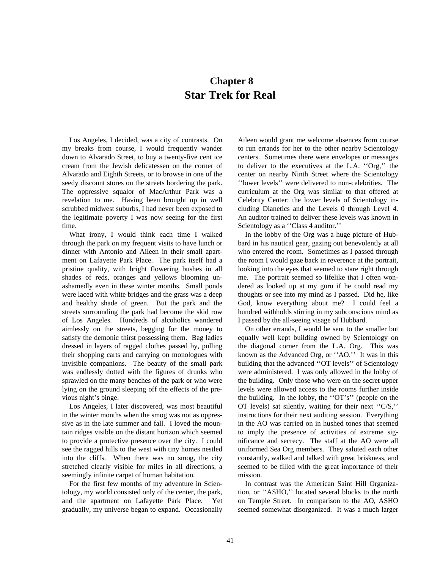# **Chapter 8 Star Trek for Real**

Los Angeles, I decided, was a city of contrasts. On my breaks from course, I would frequently wander down to Alvarado Street, to buy a twenty-five cent ice cream from the Jewish delicatessen on the corner of Alvarado and Eighth Streets, or to browse in one of the seedy discount stores on the streets bordering the park. The oppressive squalor of MacArthur Park was a revelation to me. Having been brought up in well scrubbed midwest suburbs, I had never been exposed to the legitimate poverty I was now seeing for the first time.

What irony, I would think each time I walked through the park on my frequent visits to have lunch or dinner with Antonio and Aileen in their small apartment on Lafayette Park Place. The park itself had a pristine quality, with bright flowering bushes in all shades of reds, oranges and yellows blooming unashamedly even in these winter months. Small ponds were laced with white bridges and the grass was a deep and healthy shade of green. But the park and the streets surrounding the park had become the skid row of Los Angeles. Hundreds of alcoholics wandered aimlessly on the streets, begging for the money to satisfy the demonic thirst possessing them. Bag ladies dressed in layers of ragged clothes passed by, pulling their shopping carts and carrying on monologues with invisible companions. The beauty of the small park was endlessly dotted with the figures of drunks who sprawled on the many benches of the park or who were lying on the ground sleeping off the effects of the previous night's binge.

Los Angeles, I later discovered, was most beautiful in the winter months when the smog was not as oppressive as in the late summer and fall. I loved the mountain ridges visible on the distant horizon which seemed to provide a protective presence over the city. I could see the ragged hills to the west with tiny homes nestled into the cliffs. When there was no smog, the city stretched clearly visible for miles in all directions, a seemingly infinite carpet of human habitation.

For the first few months of my adventure in Scientology, my world consisted only of the center, the park, and the apartment on Lafayette Park Place. Yet gradually, my universe began to expand. Occasionally Aileen would grant me welcome absences from course to run errands for her to the other nearby Scientology centers. Sometimes there were envelopes or messages to deliver to the executives at the L.A. ''Org,'' the center on nearby Ninth Street where the Scientology ''lower levels'' were delivered to non-celebrities. The curriculum at the Org was similar to that offered at Celebrity Center: the lower levels of Scientology including Dianetics and the Levels 0 through Level 4. An auditor trained to deliver these levels was known in Scientology as a ''Class 4 auditor.''

In the lobby of the Org was a huge picture of Hubbard in his nautical gear, gazing out benevolently at all who entered the room. Sometimes as I passed through the room I would gaze back in reverence at the portrait, looking into the eyes that seemed to stare right through me. The portrait seemed so lifelike that I often wondered as looked up at my guru if he could read my thoughts or see into my mind as I passed. Did he, like God, know everything about me? I could feel a hundred withholds stirring in my subconscious mind as I passed by the all-seeing visage of Hubbard.

On other errands, I would be sent to the smaller but equally well kept building owned by Scientology on the diagonal corner from the L.A. Org. This was known as the Advanced Org, or ''AO.'' It was in this building that the advanced ''OT levels'' of Scientology were administered. I was only allowed in the lobby of the building. Only those who were on the secret upper levels were allowed access to the rooms further inside the building. In the lobby, the ''OT's'' (people on the OT levels) sat silently, waiting for their next ''C/S,'' instructions for their next auditing session. Everything in the AO was carried on in hushed tones that seemed to imply the presence of activities of extreme significance and secrecy. The staff at the AO were all uniformed Sea Org members. They saluted each other constantly, walked and talked with great briskness, and seemed to be filled with the great importance of their mission.

In contrast was the American Saint Hill Organization, or ''ASHO,'' located several blocks to the north on Temple Street. In comparison to the AO, ASHO seemed somewhat disorganized. It was a much larger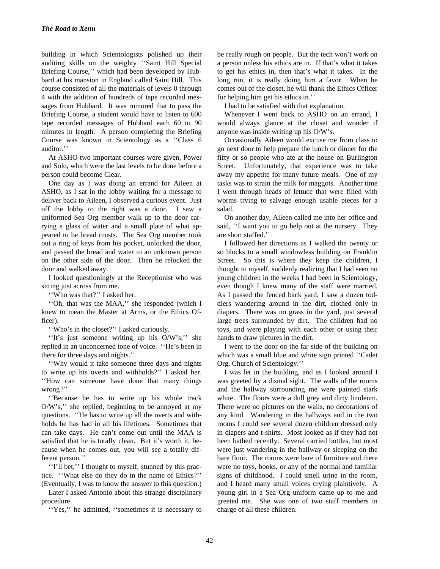building in which Scientologists polished up their auditing skills on the weighty ''Saint Hill Special Briefing Course,'' which had been developed by Hubbard at his mansion in England called Saint Hill. This course consisted of all the materials of levels 0 through 4 with the addition of hundreds of tape recorded messages from Hubbard. It was rumored that to pass the Briefing Course, a student would have to listen to 600 tape recorded messages of Hubbard each 60 to 90 minutes in length. A person completing the Briefing Course was known in Scientology as a ''Class 6 auditor.''

At ASHO two important courses were given, Power and Solo, which were the last levels to be done before a person could become Clear.

One day as I was doing an errand for Aileen at ASHO, as I sat in the lobby waiting for a message to deliver back to Aileen, I observed a curious event. Just off the lobby to the right was a door. I saw a uniformed Sea Org member walk up to the door carrying a glass of water and a small plate of what appeared to be bread crusts. The Sea Org member took out a ring of keys from his pocket, unlocked the door, and passed the bread and water to an unknown person on the other side of the door. Then he relocked the door and walked away.

I looked questioningly at the Receptionist who was sitting just across from me.

''Who was that?'' I asked her.

''Oh, that was the MAA,'' she responded (which I knew to mean the Master at Arms, or the Ethics Officer).

''Who's in the closet?'' I asked curiously.

''It's just someone writing up his O/W's,'' she replied in an unconcerned tone of voice. ''He's been in there for three days and nights.''

''Why would it take someone three days and nights to write up his overts and withholds?'' I asked her. ''How can someone have done that many things wrong?''

''Because he has to write up his whole track O/W's,'' she replied, beginning to be annoyed at my questions. ''He has to write up all the overts and withholds he has had in all his lifetimes. Sometimes that can take days. He can't come out until the MAA is satisfied that he is totally clean. But it's worth it, because when he comes out, you will see a totally different person.''

''I'll bet,'' I thought to myself, stunned by this practice. ''What else do they do in the name of Ethics?'' (Eventually, I was to know the answer to this question.)

Later I asked Antonio about this strange disciplinary procedure.

''Yes,'' he admitted, ''sometimes it is necessary to

be really rough on people. But the tech won't work on a person unless his ethics are in. If that's what it takes to get his ethics in, then that's what it takes. In the long run, it is really doing him a favor. When he comes out of the closet, he will thank the Ethics Officer for helping him get his ethics in.''

I had to be satisfied with that explanation.

Whenever I went back to ASHO on an errand, I would always glance at the closet and wonder if anyone was inside writing up his O/W's.

Occasionally Aileen would excuse me from class to go next door to help prepare the lunch or dinner for the fifty or so people who ate at the house on Burlington Street. Unfortunately, that experience was to take away my appetite for many future meals. One of my tasks was to strain the milk for maggots. Another time I went through heads of lettuce that were filled with worms trying to salvage enough usable pieces for a salad.

On another day, Aileen called me into her office and said, ''I want you to go help out at the nursery. They are short staffed.''

I followed her directions as I walked the twenty or so blocks to a small windowless building on Franklin Street. So this is where they keep the children, I thought to myself, suddenly realizing that I had seen no young children in the weeks I had been in Scientology, even though I knew many of the staff were married. As I passed the fenced back yard, I saw a dozen toddlers wandering around in the dirt, clothed only in diapers. There was no grass in the yard, just several large trees surrounded by dirt. The children had no toys, and were playing with each other or using their hands to draw pictures in the dirt.

I went to the door on the far side of the building on which was a small blue and white sign printed ''Cadet Org, Church of Scientology.''

I was let in the building, and as I looked around I was greeted by a dismal sight. The walls of the rooms and the hallway surrounding me were painted stark white. The floors were a dull grey and dirty linoleum. There were no pictures on the walls, no decorations of any kind. Wandering in the hallways and in the two rooms I could see several dozen children dressed only in diapers and t-shirts. Most looked as if they had not been bathed recently. Several carried bottles, but most were just wandering in the hallway or sleeping on the bare floor. The rooms were bare of furniture and there were no toys, books, or any of the normal and familiar signs of childhood. I could smell urine in the room, and I heard many small voices crying plaintively. A young girl in a Sea Org uniform came up to me and greeted me. She was one of two staff members in charge of all these children.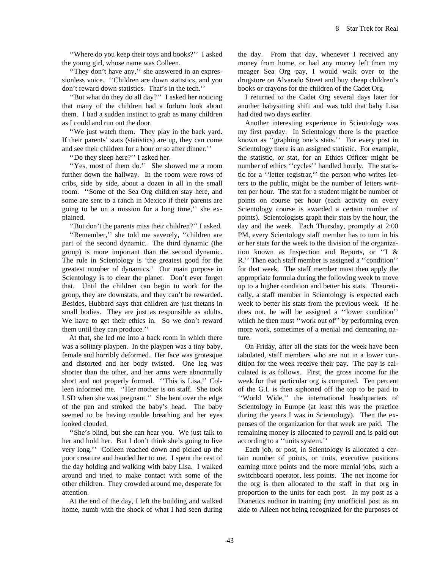''Where do you keep their toys and books?'' I asked the young girl, whose name was Colleen.

''They don't have any,'' she answered in an expressionless voice. ''Children are down statistics, and you don't reward down statistics. That's in the tech.''

''But what do they do all day?'' I asked her noticing that many of the children had a forlorn look about them. I had a sudden instinct to grab as many children as I could and run out the door.

''We just watch them. They play in the back yard. If their parents' stats (statistics) are up, they can come and see their children for a hour or so after dinner.''

''Do they sleep here?'' I asked her.

''Yes, most of them do.'' She showed me a room further down the hallway. In the room were rows of cribs, side by side, about a dozen in all in the small room. ''Some of the Sea Org children stay here, and some are sent to a ranch in Mexico if their parents are going to be on a mission for a long time,'' she explained.

''But don't the parents miss their children?'' I asked. ''Remember,'' she told me severely, ''children are part of the second dynamic. The third dynamic (the group) is more important than the second dynamic. The rule in Scientology is 'the greatest good for the greatest number of dynamics.' Our main purpose in Scientology is to clear the planet. Don't ever forget that. Until the children can begin to work for the group, they are downstats, and they can't be rewarded. Besides, Hubbard says that children are just thetans in small bodies. They are just as responsible as adults. We have to get their ethics in. So we don't reward them until they can produce.''

At that, she led me into a back room in which there was a solitary playpen. In the playpen was a tiny baby, female and horribly deformed. Her face was grotesque and distorted and her body twisted. One leg was shorter than the other, and her arms were abnormally short and not properly formed. ''This is Lisa,'' Colleen informed me. ''Her mother is on staff. She took LSD when she was pregnant.'' She bent over the edge of the pen and stroked the baby's head. The baby seemed to be having trouble breathing and her eyes looked clouded.

''She's blind, but she can hear you. We just talk to her and hold her. But I don't think she's going to live very long.'' Colleen reached down and picked up the poor creature and handed her to me. I spent the rest of the day holding and walking with baby Lisa. I walked around and tried to make contact with some of the other children. They crowded around me, desperate for attention.

At the end of the day, I left the building and walked home, numb with the shock of what I had seen during the day. From that day, whenever I received any money from home, or had any money left from my meager Sea Org pay, I would walk over to the drugstore on Alvarado Street and buy cheap children's books or crayons for the children of the Cadet Org.

I returned to the Cadet Org several days later for another babysitting shift and was told that baby Lisa had died two days earlier.

Another interesting experience in Scientology was my first payday. In Scientology there is the practice known as ''graphing one's stats.'' For every post in Scientology there is an assigned statistic. For example, the statistic, or stat, for an Ethics Officer might be number of ethics ''cycles'' handled hourly. The statistic for a ''letter registrar,'' the person who writes letters to the public, might be the number of letters written per hour. The stat for a student might be number of points on course per hour (each activity on every Scientology course is awarded a certain number of points). Scientologists graph their stats by the hour, the day and the week. Each Thursday, promptly at 2:00 PM, every Scientology staff member has to turn in his or her stats for the week to the division of the organization known as Inspection and Reports, or ''I & R.'' Then each staff member is assigned a ''condition'' for that week. The staff member must then apply the appropriate formula during the following week to move up to a higher condition and better his stats. Theoretically, a staff member in Scientology is expected each week to better his stats from the previous week. If he does not, he will be assigned a ''lower condition'' which he then must "work out of" by performing even more work, sometimes of a menial and demeaning nature.

On Friday, after all the stats for the week have been tabulated, staff members who are not in a lower condition for the week receive their pay. The pay is calculated is as follows. First, the gross income for the week for that particular org is computed. Ten percent of the G.I. is then siphoned off the top to be paid to ''World Wide,'' the international headquarters of Scientology in Europe (at least this was the practice during the years I was in Scientology). Then the expenses of the organization for that week are paid. The remaining money is allocated to payroll and is paid out according to a ''units system.''

Each job, or post, in Scientology is allocated a certain number of points, or units, executive positions earning more points and the more menial jobs, such a switchboard operator, less points. The net income for the org is then allocated to the staff in that org in proportion to the units for each post. In my post as a Dianetics auditor in training (my unofficial post as an aide to Aileen not being recognized for the purposes of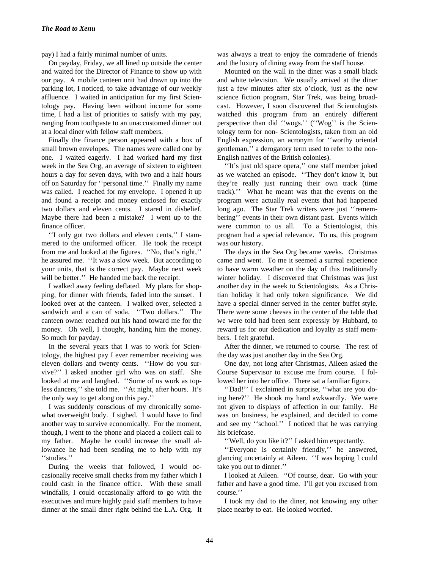pay) I had a fairly minimal number of units.

On payday, Friday, we all lined up outside the center and waited for the Director of Finance to show up with our pay. A mobile canteen unit had drawn up into the parking lot, I noticed, to take advantage of our weekly affluence. I waited in anticipation for my first Scientology pay. Having been without income for some time, I had a list of priorities to satisfy with my pay, ranging from toothpaste to an unaccustomed dinner out at a local diner with fellow staff members.

Finally the finance person appeared with a box of small brown envelopes. The names were called one by one. I waited eagerly. I had worked hard my first week in the Sea Org, an average of sixteen to eighteen hours a day for seven days, with two and a half hours off on Saturday for ''personal time.'' Finally my name was called. I reached for my envelope. I opened it up and found a receipt and money enclosed for exactly two dollars and eleven cents. I stared in disbelief. Maybe there had been a mistake? I went up to the finance officer.

''I only got two dollars and eleven cents,'' I stammered to the uniformed officer. He took the receipt from me and looked at the figures. ''No, that's right,'' he assured me. ''It was a slow week. But according to your units, that is the correct pay. Maybe next week will be better." He handed me back the receipt.

I walked away feeling deflated. My plans for shopping, for dinner with friends, faded into the sunset. I looked over at the canteen. I walked over, selected a sandwich and a can of soda. ''Two dollars.'' The canteen owner reached out his hand toward me for the money. Oh well, I thought, handing him the money. So much for payday.

In the several years that I was to work for Scientology, the highest pay I ever remember receiving was eleven dollars and twenty cents. ''How do you survive?'' I asked another girl who was on staff. She looked at me and laughed. ''Some of us work as topless dancers,'' she told me. ''At night, after hours. It's the only way to get along on this pay.''

I was suddenly conscious of my chronically somewhat overweight body. I sighed. I would have to find another way to survive economically. For the moment, though, I went to the phone and placed a collect call to my father. Maybe he could increase the small allowance he had been sending me to help with my ''studies.''

During the weeks that followed, I would occasionally receive small checks from my father which I could cash in the finance office. With these small windfalls, I could occasionally afford to go with the executives and more highly paid staff members to have dinner at the small diner right behind the L.A. Org. It was always a treat to enjoy the comraderie of friends and the luxury of dining away from the staff house.

Mounted on the wall in the diner was a small black and white television. We usually arrived at the diner just a few minutes after six o'clock, just as the new science fiction program, Star Trek, was being broadcast. However, I soon discovered that Scientologists watched this program from an entirely different perspective than did ''wogs.'' (''Wog'' is the Scientology term for non- Scientologists, taken from an old English expression, an acronym for ''worthy oriental gentleman,'' a derogatory term used to refer to the non-English natives of the British colonies).

''It's just old space opera,'' one staff member joked as we watched an episode. ''They don't know it, but they're really just running their own track (time track).'' What he meant was that the events on the program were actually real events that had happened long ago. The Star Trek writers were just ''remembering'' events in their own distant past. Events which were common to us all. To a Scientologist, this program had a special relevance. To us, this program was our history.

The days in the Sea Org became weeks. Christmas came and went. To me it seemed a surreal experience to have warm weather on the day of this traditionally winter holiday. I discovered that Christmas was just another day in the week to Scientologists. As a Christian holiday it had only token significance. We did have a special dinner served in the center buffet style. There were some cheeses in the center of the table that we were told had been sent expressly by Hubbard, to reward us for our dedication and loyalty as staff members. I felt grateful.

After the dinner, we returned to course. The rest of the day was just another day in the Sea Org.

One day, not long after Christmas, Aileen asked the Course Supervisor to excuse me from course. I followed her into her office. There sat a familiar figure.

''Dad!'' I exclaimed in surprise, ''what are you doing here?'' He shook my hand awkwardly. We were not given to displays of affection in our family. He was on business, he explained, and decided to come and see my ''school.'' I noticed that he was carrying his briefcase.

''Well, do you like it?'' I asked him expectantly.

''Everyone is certainly friendly,'' he answered, glancing uncertainly at Aileen. ''I was hoping I could take you out to dinner.''

I looked at Aileen. ''Of course, dear. Go with your father and have a good time. I'll get you excused from course.''

I took my dad to the diner, not knowing any other place nearby to eat. He looked worried.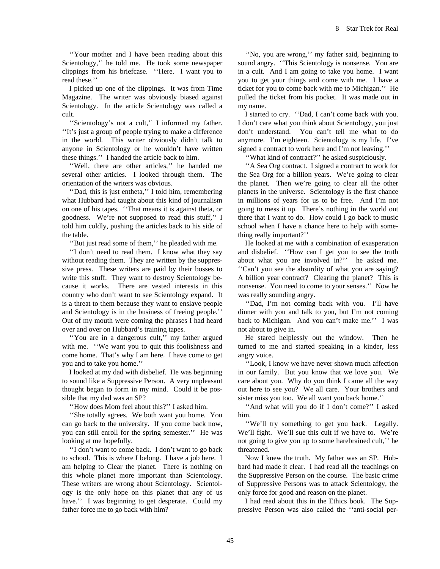''Your mother and I have been reading about this Scientology,'' he told me. He took some newspaper clippings from his briefcase. ''Here. I want you to read these.''

I picked up one of the clippings. It was from Time Magazine. The writer was obviously biased against Scientology. In the article Scientology was called a cult.

''Scientology's not a cult,'' I informed my father. ''It's just a group of people trying to make a difference in the world. This writer obviously didn't talk to anyone in Scientology or he wouldn't have written these things.'' I handed the article back to him.

''Well, there are other articles,'' he handed me several other articles. I looked through them. The orientation of the writers was obvious.

''Dad, this is just entheta,'' I told him, remembering what Hubbard had taught about this kind of journalism on one of his tapes. ''That means it is against theta, or goodness. We're not supposed to read this stuff,'' I told him coldly, pushing the articles back to his side of the table.

''But just read some of them,'' he pleaded with me.

''I don't need to read them. I know what they say without reading them. They are written by the suppressive press. These writers are paid by their bosses to write this stuff. They want to destroy Scientology because it works. There are vested interests in this country who don't want to see Scientology expand. It is a threat to them because they want to enslave people and Scientology is in the business of freeing people.'' Out of my mouth were coming the phrases I had heard over and over on Hubbard's training tapes.

''You are in a dangerous cult,'' my father argued with me. ''We want you to quit this foolishness and come home. That's why I am here. I have come to get you and to take you home.''

I looked at my dad with disbelief. He was beginning to sound like a Suppressive Person. A very unpleasant thought began to form in my mind. Could it be possible that my dad was an SP?

''How does Mom feel about this?'' I asked him.

''She totally agrees. We both want you home. You can go back to the university. If you come back now, you can still enroll for the spring semester.'' He was looking at me hopefully.

''I don't want to come back. I don't want to go back to school. This is where I belong. I have a job here. I am helping to Clear the planet. There is nothing on this whole planet more important than Scientology. These writers are wrong about Scientology. Scientology is the only hope on this planet that any of us have." I was beginning to get desperate. Could my father force me to go back with him?

''No, you are wrong,'' my father said, beginning to sound angry. ''This Scientology is nonsense. You are in a cult. And I am going to take you home. I want you to get your things and come with me. I have a ticket for you to come back with me to Michigan.'' He pulled the ticket from his pocket. It was made out in my name.

I started to cry. ''Dad, I can't come back with you. I don't care what you think about Scientology, you just don't understand. You can't tell me what to do anymore. I'm eighteen. Scientology is my life. I've signed a contract to work here and I'm not leaving.''

''What kind of contract?'' he asked suspiciously.

''A Sea Org contract. I signed a contract to work for the Sea Org for a billion years. We're going to clear the planet. Then we're going to clear all the other planets in the universe. Scientology is the first chance in millions of years for us to be free. And I'm not going to mess it up. There's nothing in the world out there that I want to do. How could I go back to music school when I have a chance here to help with something really important?''

He looked at me with a combination of exasperation and disbelief. ''How can I get you to see the truth about what you are involved in?'' he asked me. ''Can't you see the absurdity of what you are saying? A billion year contract? Clearing the planet? This is nonsense. You need to come to your senses.'' Now he was really sounding angry.

''Dad, I'm not coming back with you. I'll have dinner with you and talk to you, but I'm not coming back to Michigan. And you can't make me.'' I was not about to give in.

He stared helplessly out the window. Then he turned to me and started speaking in a kinder, less angry voice.

''Look, I know we have never shown much affection in our family. But you know that we love you. We care about you. Why do you think I came all the way out here to see you? We all care. Your brothers and sister miss you too. We all want you back home.''

''And what will you do if I don't come?'' I asked him.

''We'll try something to get you back. Legally. We'll fight. We'll sue this cult if we have to. We're not going to give you up to some harebrained cult,'' he threatened.

Now I knew the truth. My father was an SP. Hubbard had made it clear. I had read all the teachings on the Suppressive Person on the course. The basic crime of Suppressive Persons was to attack Scientology, the only force for good and reason on the planet.

I had read about this in the Ethics book. The Suppressive Person was also called the ''anti-social per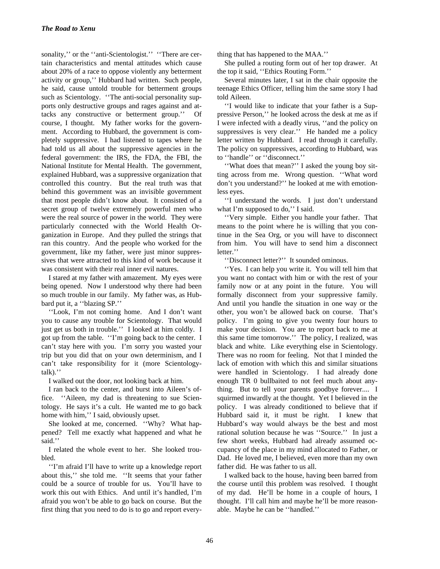sonality," or the "anti-Scientologist." "There are certain characteristics and mental attitudes which cause about 20% of a race to oppose violently any betterment activity or group,'' Hubbard had written. Such people, he said, cause untold trouble for betterment groups such as Scientology. "The anti-social personality supports only destructive groups and rages against and attacks any constructive or betterment group.'' Of course, I thought. My father works for the government. According to Hubbard, the government is completely suppressive. I had listened to tapes where he had told us all about the suppressive agencies in the federal government: the IRS, the FDA, the FBI, the National Institute for Mental Health. The government, explained Hubbard, was a suppressive organization that controlled this country. But the real truth was that behind this government was an invisible government that most people didn't know about. It consisted of a secret group of twelve extremely powerful men who were the real source of power in the world. They were particularly connected with the World Health Organization in Europe. And they pulled the strings that ran this country. And the people who worked for the government, like my father, were just minor suppressives that were attracted to this kind of work because it was consistent with their real inner evil natures.

I stared at my father with amazement. My eyes were being opened. Now I understood why there had been so much trouble in our family. My father was, as Hubbard put it, a ''blazing SP.''

''Look, I'm not coming home. And I don't want you to cause any trouble for Scientology. That would just get us both in trouble." I looked at him coldly. I got up from the table. ''I'm going back to the center. I can't stay here with you. I'm sorry you wasted your trip but you did that on your own determinism, and I can't take responsibility for it (more Scientologytalk).''

I walked out the door, not looking back at him.

I ran back to the center, and burst into Aileen's office. ''Aileen, my dad is threatening to sue Scientology. He says it's a cult. He wanted me to go back home with him,'' I said, obviously upset.

She looked at me, concerned. ''Why? What happened? Tell me exactly what happened and what he said.''

I related the whole event to her. She looked troubled.

''I'm afraid I'll have to write up a knowledge report about this,'' she told me. ''It seems that your father could be a source of trouble for us. You'll have to work this out with Ethics. And until it's handled, I'm afraid you won't be able to go back on course. But the first thing that you need to do is to go and report everything that has happened to the MAA.''

She pulled a routing form out of her top drawer. At the top it said, ''Ethics Routing Form.''

Several minutes later, I sat in the chair opposite the teenage Ethics Officer, telling him the same story I had told Aileen.

''I would like to indicate that your father is a Suppressive Person,'' he looked across the desk at me as if I were infected with a deadly virus, ''and the policy on suppressives is very clear.'' He handed me a policy letter written by Hubbard. I read through it carefully. The policy on suppressives, according to Hubbard, was to ''handle'' or ''disconnect.''

''What does that mean?'' I asked the young boy sitting across from me. Wrong question. ''What word don't you understand?'' he looked at me with emotionless eyes.

''I understand the words. I just don't understand what I'm supposed to do,'' I said.

''Very simple. Either you handle your father. That means to the point where he is willing that you continue in the Sea Org, or you will have to disconnect from him. You will have to send him a disconnect letter.''

''Disconnect letter?'' It sounded ominous.

''Yes. I can help you write it. You will tell him that you want no contact with him or with the rest of your family now or at any point in the future. You will formally disconnect from your suppressive family. And until you handle the situation in one way or the other, you won't be allowed back on course. That's policy. I'm going to give you twenty four hours to make your decision. You are to report back to me at this same time tomorrow.'' The policy, I realized, was black and white. Like everything else in Scientology. There was no room for feeling. Not that I minded the lack of emotion with which this and similar situations were handled in Scientology. I had already done enough TR 0 bullbaited to not feel much about anything. But to tell your parents goodbye forever.... I squirmed inwardly at the thought. Yet I believed in the policy. I was already conditioned to believe that if Hubbard said it, it must be right. I knew that Hubbard's way would always be the best and most rational solution because he was ''Source.'' In just a few short weeks, Hubbard had already assumed occupancy of the place in my mind allocated to Father, or Dad. He loved me, I believed, even more than my own father did. He was father to us all.

I walked back to the house, having been barred from the course until this problem was resolved. I thought of my dad. He'll be home in a couple of hours, I thought. I'll call him and maybe he'll be more reasonable. Maybe he can be ''handled.''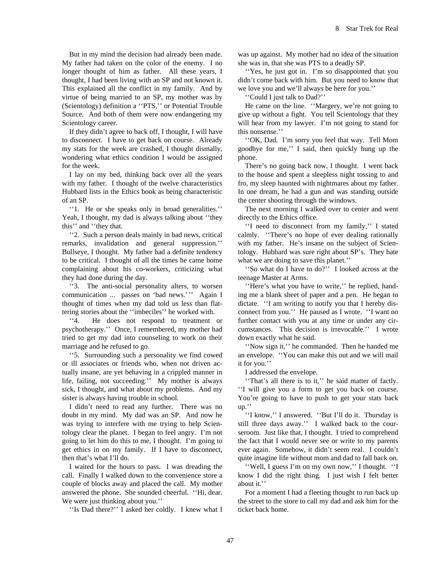But in my mind the decision had already been made. My father had taken on the color of the enemy. I no longer thought of him as father. All these years, I thought, I had been living with an SP and not known it. This explained all the conflict in my family. And by virtue of being married to an SP, my mother was by (Scientology) definition a ''PTS,'' or Potential Trouble Source. And both of them were now endangering my Scientology career.

If they didn't agree to back off, I thought, I will have to disconnect. I have to get back on course. Already my stats for the week are crashed, I thought dismally, wondering what ethics condition I would be assigned for the week.

I lay on my bed, thinking back over all the years with my father. I thought of the twelve characteristics Hubbard lists in the Ethics book as being characteristic of an SP.

''1. He or she speaks only in broad generalities.'' Yeah, I thought, my dad is always talking about ''they this'' and ''they that.

''2. Such a person deals mainly in bad news, critical remarks, invalidation and general suppression.'' Bullseye, I thought. My father had a definite tendency to be critical. I thought of all the times he came home complaining about his co-workers, criticizing what they had done during the day.

''3. The anti-social personality alters, to worsen communication ... passes on 'bad news.''' Again I thought of times when my dad told us less than flattering stories about the ''imbeciles'' he worked with.

''4. He does not respond to treatment or psychotherapy.'' Once, I remembered, my mother had tried to get my dad into counseling to work on their marriage and he refused to go.

''5. Surrounding such a personality we find cowed or ill associates or friends who, when not driven actually insane, are yet behaving in a crippled manner in life, failing, not succeeding.'' My mother is always sick, I thought, and what about my problems. And my sister is always having trouble in school.

I didn't need to read any further. There was no doubt in my mind. My dad was an SP. And now he was trying to interfere with me trying to help Scientology clear the planet. I began to feel angry. I'm not going to let him do this to me, I thought. I'm going to get ethics in on my family. If I have to disconnect, then that's what I'll do.

I waited for the hours to pass. I was dreading the call. Finally I walked down to the convenience store a couple of blocks away and placed the call. My mother answered the phone. She sounded cheerful. ''Hi, dear. We were just thinking about you.''

''Is Dad there?'' I asked her coldly. I knew what I

was up against. My mother had no idea of the situation she was in, that she was PTS to a deadly SP.

''Yes, he just got in. I'm so disappointed that you didn't come back with him. But you need to know that we love you and we'll always be here for you.''

''Could I just talk to Dad?''

He came on the line. ''Margery, we're not going to give up without a fight. You tell Scientology that they will hear from my lawyer. I'm not going to stand for this nonsense.''

''OK, Dad. I'm sorry you feel that way. Tell Mom goodbye for me,'' I said, then quickly hung up the phone.

There's no going back now, I thought. I went back to the house and spent a sleepless night tossing to and fro, my sleep haunted with nightmares about my father. In one dream, he had a gun and was standing outside the center shooting through the windows.

The next morning I walked over to center and went directly to the Ethics office.

''I need to disconnect from my family,'' I stated calmly. ''There's no hope of ever dealing rationally with my father. He's insane on the subject of Scientology. Hubbard was sure right about SP's. They hate what we are doing to save this planet.''

''So what do I have to do?'' I looked across at the teenage Master at Arms.

''Here's what you have to write,'' he replied, handing me a blank sheet of paper and a pen. He began to dictate. ''I am writing to notify you that I hereby disconnect from you.'' He paused as I wrote. ''I want no further contact with you at any time or under any circumstances. This decision is irrevocable.'' I wrote down exactly what he said.

''Now sign it,'' he commanded. Then he handed me an envelope. ''You can make this out and we will mail it for you.''

I addressed the envelope.

''That's all there is to it,'' he said matter of factly. ''I will give you a form to get you back on course. You're going to have to push to get your stats back up.''

''I know,'' I answered. ''But I'll do it. Thursday is still three days away.'' I walked back to the courseroom. Just like that, I thought. I tried to comprehend the fact that I would never see or write to my parents ever again. Somehow, it didn't seem real. I couldn't quite imagine life without mom and dad to fall back on.

''Well, I guess I'm on my own now,'' I thought. ''I know I did the right thing. I just wish I felt better about it.''

For a moment I had a fleeting thought to run back up the street to the store to call my dad and ask him for the ticket back home.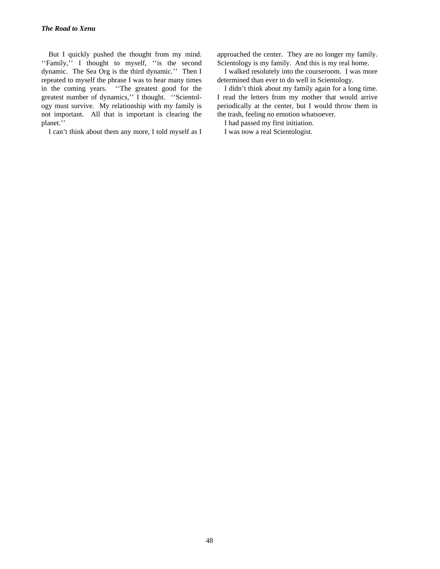But I quickly pushed the thought from my mind. ''Family,'' I thought to myself, ''is the second dynamic. The Sea Org is the third dynamic.'' Then I repeated to myself the phrase I was to hear many times in the coming years. ''The greatest good for the greatest number of dynamics,'' I thought. ''Scientology must survive. My relationship with my family is not important. All that is important is clearing the planet.''

I can't think about them any more, I told myself as I

approached the center. They are no longer my family. Scientology is my family. And this is my real home.

I walked resolutely into the courseroom. I was more determined than ever to do well in Scientology.

I didn't think about my family again for a long time. I read the letters from my mother that would arrive periodically at the center, but I would throw them in the trash, feeling no emotion whatsoever.

I had passed my first initiation.

I was now a real Scientologist.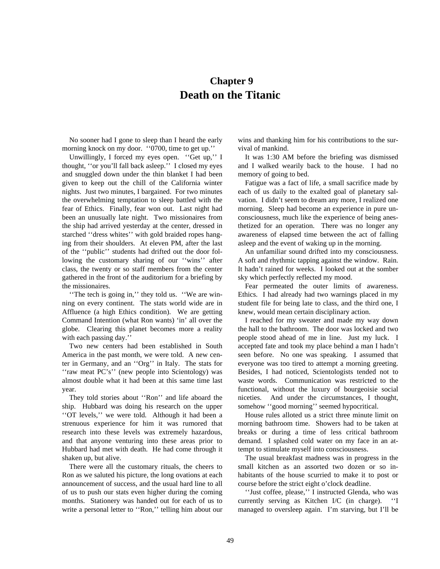# **Chapter 9 Death on the Titanic**

No sooner had I gone to sleep than I heard the early morning knock on my door. "0700, time to get up."

Unwillingly, I forced my eyes open. ''Get up,'' I thought, ''or you'll fall back asleep.'' I closed my eyes and snuggled down under the thin blanket I had been given to keep out the chill of the California winter nights. Just two minutes, I bargained. For two minutes the overwhelming temptation to sleep battled with the fear of Ethics. Finally, fear won out. Last night had been an unusually late night. Two missionaires from the ship had arrived yesterday at the center, dressed in starched ''dress whites'' with gold braided ropes hanging from their shoulders. At eleven PM, after the last of the ''public'' students had drifted out the door following the customary sharing of our ''wins'' after class, the twenty or so staff members from the center gathered in the front of the auditorium for a briefing by the missionaires.

''The tech is going in,'' they told us. ''We are winning on every continent. The stats world wide are in Affluence (a high Ethics condition). We are getting Command Intention (what Ron wants) 'in' all over the globe. Clearing this planet becomes more a reality with each passing day.''

Two new centers had been established in South America in the past month, we were told. A new center in Germany, and an ''Org'' in Italy. The stats for ''raw meat PC's'' (new people into Scientology) was almost double what it had been at this same time last year.

They told stories about ''Ron'' and life aboard the ship. Hubbard was doing his research on the upper ''OT levels,'' we were told. Although it had been a strenuous experience for him it was rumored that research into these levels was extremely hazardous, and that anyone venturing into these areas prior to Hubbard had met with death. He had come through it shaken up, but alive.

There were all the customary rituals, the cheers to Ron as we saluted his picture, the long ovations at each announcement of success, and the usual hard line to all of us to push our stats even higher during the coming months. Stationery was handed out for each of us to write a personal letter to ''Ron,'' telling him about our wins and thanking him for his contributions to the survival of mankind.

It was 1:30 AM before the briefing was dismissed and I walked wearily back to the house. I had no memory of going to bed.

Fatigue was a fact of life, a small sacrifice made by each of us daily to the exalted goal of planetary salvation. I didn't seem to dream any more, I realized one morning. Sleep had become an experience in pure unconsciousness, much like the experience of being anesthetized for an operation. There was no longer any awareness of elapsed time between the act of falling asleep and the event of waking up in the morning.

An unfamiliar sound drifted into my consciousness. A soft and rhythmic tapping against the window. Rain. It hadn't rained for weeks. I looked out at the somber sky which perfectly reflected my mood.

Fear permeated the outer limits of awareness. Ethics. I had already had two warnings placed in my student file for being late to class, and the third one, I knew, would mean certain disciplinary action.

I reached for my sweater and made my way down the hall to the bathroom. The door was locked and two people stood ahead of me in line. Just my luck. I accepted fate and took my place behind a man I hadn't seen before. No one was speaking. I assumed that everyone was too tired to attempt a morning greeting. Besides, I had noticed, Scientologists tended not to waste words. Communication was restricted to the functional, without the luxury of bourgeoisie social niceties. And under the circumstances, I thought, somehow ''good morning'' seemed hypocritical.

House rules alloted us a strict three minute limit on morning bathroom time. Showers had to be taken at breaks or during a time of less critical bathroom demand. I splashed cold water on my face in an attempt to stimulate myself into consciousness.

The usual breakfast madness was in progress in the small kitchen as an assorted two dozen or so inhabitants of the house scurried to make it to post or course before the strict eight o'clock deadline.

''Just coffee, please,'' I instructed Glenda, who was currently serving as Kitchen I/C (in charge). ''I managed to oversleep again. I'm starving, but I'll be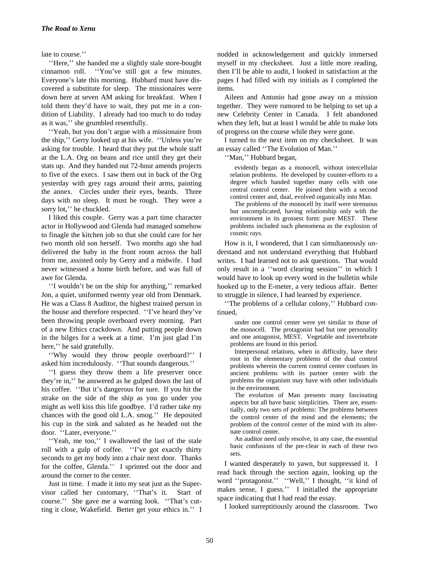late to course.''

''Here,'' she handed me a slightly stale store-bought cinnamon roll. ''You've still got a few minutes. Everyone's late this morning. Hubbard must have discovered a substitute for sleep. The missionaires were down here at seven AM asking for breakfast. When I told them they'd have to wait, they put me in a condition of Liability. I already had too much to do today as it was,'' she grumbled resentfully.

''Yeah, but you don't argue with a missionaire from the ship,'' Gerry looked up at his wife. ''Unless you're asking for trouble. I heard that they put the whole staff at the L.A. Org on beans and rice until they get their stats up. And they handed out 72-hour amends projects to five of the execs. I saw them out in back of the Org yesterday with grey rags around their arms, painting the annex. Circles under their eyes, beards. Three days with no sleep. It must be rough. They were a sorry lot," he chuckled.

I liked this couple. Gerry was a part time character actor in Hollywood and Glenda had managed somehow to finagle the kitchen job so that she could care for her two month old son herself. Two months ago she had delivered the baby in the front room across the hall from me, assisted only by Gerry and a midwife. I had never witnessed a home birth before, and was full of awe for Glenda.

''I wouldn't be on the ship for anything,'' remarked Jon, a quiet, uniformed twenty year old from Denmark. He was a Class 8 Auditor, the highest trained person in the house and therefore respected. ''I've heard they've been throwing people overboard every morning. Part of a new Ethics crackdown. And putting people down in the bilges for a week at a time. I'm just glad I'm here," he said gratefully.

''Why would they throw people overboard?'' I asked him incredulously. ''That sounds dangerous.''

''I guess they throw them a life preserver once they're in,'' he answered as he gulped down the last of his coffee. ''But it's dangerous for sure. If you hit the strake on the side of the ship as you go under you might as well kiss this life goodbye. I'd rather take my chances with the good old L.A. smog.'' He deposited his cup in the sink and saluted as he headed out the door. ''Later, everyone.''

''Yeah, me too,'' I swallowed the last of the stale roll with a gulp of coffee. ''I've got exactly thirty seconds to get my body into a chair next door. Thanks for the coffee, Glenda.'' I sprinted out the door and around the corner to the center.

Just in time. I made it into my seat just as the Supervisor called her customary, ''That's it. Start of course.'' She gave me a warning look. ''That's cutting it close, Wakefield. Better get your ethics in.'' I nodded in acknowledgement and quickly immersed myself in my checksheet. Just a little more reading, then I'll be able to audit, I looked in satisfaction at the pages I had filled with my initials as I completed the items.

Aileen and Antonio had gone away on a mission together. They were rumored to be helping to set up a new Celebrity Center in Canada. I felt abandoned when they left, but at least I would be able to make lots of progress on the course while they were gone.

I turned to the next item on my checksheet. It was an essay called ''The Evolution of Man.''

''Man,'' Hubbard began,

evidently began as a monocell, without intercellular relation problems. He developed by counter-efforts to a degree which banded together many cells with one central control center. He joined then with a second control center and, dual, evolved organically into Man.

The problems of the monocell by itself were strenuous but uncomplicated, having relationship only with the environment in its grossest form: pure MEST. These problems included such phenomena as the explosion of cosmic rays.

How is it, I wondered, that I can simultaneously understand and not understand everything that Hubbard writes. I had learned not to ask questions. That would only result in a ''word clearing session'' in which I would have to look up every word in the bulletin while hooked up to the E-meter, a very tedious affair. Better to struggle in silence, I had learned by experience.

''The problems of a cellular colony,'' Hubbard continued,

under one control center were yet similar to those of the monocell. The protagonist had but one personality and one antagonist, MEST. Vegetable and invertebrate problems are found in this period.

Interpersonal relations, when in difficulty, have their root in the elementary problems of the dual control problems wherein the current control center confuses its ancient problems with its partner center with the problems the organism may have with other individuals in the environment.

The evolution of Man presents many fascinating aspects but all have basic simplicities. There are, essentially, only two sets of problems: The problems between the control center of the mind and the elements; the problem of the control center of the mind with its alternate control center.

An auditor need only resolve, in any case, the essential basic confusions of the pre-clear in each of these two sets.

I wanted desperately to yawn, but suppressed it. I read back through the section again, looking up the word ''protagonist.'' ''Well,'' I thought, ''it kind of makes sense, I guess.'' I initialled the appropriate space indicating that I had read the essay.

I looked surreptitiously around the classroom. Two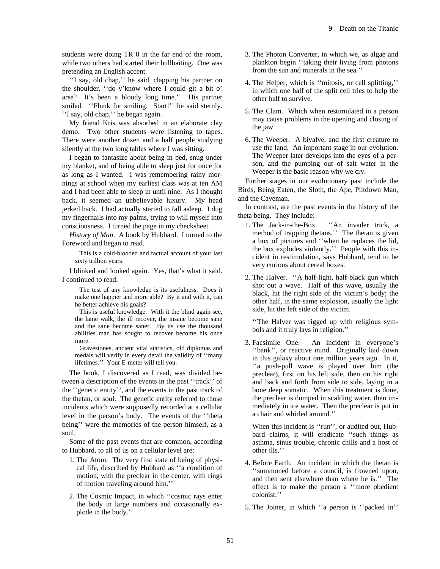students were doing TR 0 in the far end of the room, while two others had started their bullbaiting. One was pretending an English accent.

''I say, old chap,'' he said, clapping his partner on the shoulder, ''do y'know where I could git a bit o' arse? It's been a bloody long time.'' His partner smiled. ''Flunk for smiling. Start!'' he said sternly. ''I say, old chap,'' he began again.

My friend Kris was absorbed in an elaborate clay demo. Two other students were listening to tapes. There were another dozen and a half people studying silently at the two long tables where I was sitting.

I began to fantasize about being in bed, snug under my blanket, and of being able to sleep just for once for as long as I wanted. I was remembering rainy mornings at school when my earliest class was at ten AM and I had been able to sleep in until nine. As I thought back, it seemed an unbelievable luxury. My head jerked back. I had actually started to fall asleep. I dug my fingernails into my palms, trying to will myself into consciousness. I turned the page in my checksheet.

*History of Man*. A book by Hubbard. I turned to the Foreword and began to read.

This is a cold-blooded and factual account of your last sixty trillion years.

I blinked and looked again. Yes, that's what it said. I continued to read.

The test of any knowledge is its usefulness. Does it make one happier and more able? By it and with it, can he better achieve his goals?

This is useful knowledge. With it the blind again see, the lame walk, the ill recover, the insane become sane and the sane become saner. By its use the thousand abilities man has sought to recover become his once more.

Gravestones, ancient vital statistics, old diplomas and medals will verify in every detail the validity of ''many lifetimes.'' Your E-meter will tell you.

The book, I discovered as I read, was divided between a description of the events in the past ''track'' of the ''genetic entity'', and the events in the past track of the thetan, or soul. The genetic entity referred to those incidents which were supposedly recorded at a cellular level in the person's body. The events of the ''theta being'' were the memories of the person himself, as a soul.

Some of the past events that are common, according to Hubbard, to all of us on a cellular level are:

- 1. The Atom. The very first state of being of physical life, described by Hubbard as ''a condition of motion, with the preclear in the center, with rings of motion traveling around him.''
- 2. The Cosmic Impact, in which ''cosmic rays enter the body in large numbers and occasionally explode in the body.''
- 3. The Photon Converter, in which we, as algae and plankton begin ''taking their living from photons from the sun and minerals in the sea.''
- 4. The Helper, which is ''mitosis, or cell splitting,'' in which one half of the split cell tries to help the other half to survive.
- 5. The Clam. Which when restimulated in a person may cause problems in the opening and closing of the jaw.
- 6. The Weeper. A bivalve, and the first creature to use the land. An important stage in our evolution. The Weeper later develops into the eyes of a person, and the pumping out of salt water in the Weeper is the basic reason why we cry.

Further stages in our evolutionary past include the Birds, Being Eaten, the Sloth, the Ape, Piltdown Man, and the Caveman.

In contrast, are the past events in the history of the theta being. They include:

- 1. The Jack-in-the-Box. ''An invader trick, a method of trapping thetans.'' The thetan is given a box of pictures and ''when he replaces the lid, the box explodes violently.'' People with this incident in restimulation, says Hubbard, tend to be very curious about cereal boxes.
- 2. The Halver. ''A half-light, half-black gun which shot out a wave. Half of this wave, usually the black, hit the right side of the victim's body; the other half, in the same explosion, usually the light side, hit the left side of the victim.

''The Halver was rigged up with religious symbols and it truly lays in religion.''

3. Facsimile One. An incident in everyone's ''bank'', or reactive mind. Originally laid down in this galaxy about one million years ago. In it, ''a push-pull wave is played over him (the preclear), first on his left side, then on his right and back and forth from side to side, laying in a bone deep somatic. When this treatment is done, the preclear is dumped in scalding water, then immediately in ice water. Then the preclear is put in a chair and whirled around.''

When this incident is ''run'', or audited out, Hubbard claims, it will eradicate ''such things as asthma, sinus trouble, chronic chills and a host of other ills.''

- 4. Before Earth. An incident in which the thetan is ''summoned before a council, is frowned upon, and then sent elsewhere than where he is.'' The effect is to make the person a ''more obedient colonist.''
- 5. The Joiner, in which ''a person is ''packed in''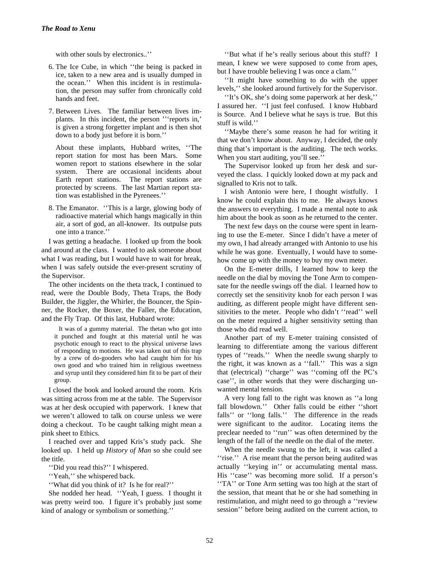with other souls by electronics..''

- 6. The Ice Cube, in which ''the being is packed in ice, taken to a new area and is usually dumped in the ocean.'' When this incident is in restimulation, the person may suffer from chronically cold hands and feet.
- 7. Between Lives. The familiar between lives implants. In this incident, the person '''reports in,' is given a strong forgetter implant and is then shot down to a body just before it is born.''

About these implants, Hubbard writes, ''The report station for most has been Mars. Some women report to stations elsewhere in the solar system. There are occasional incidents about Earth report stations. The report stations are protected by screens. The last Martian report station was established in the Pyrenees.''

8. The Emanator. ''This is a large, glowing body of radioactive material which hangs magically in thin air, a sort of god, an all-knower. Its outpulse puts one into a trance.''

I was getting a headache. I looked up from the book and around at the class. I wanted to ask someone about what I was reading, but I would have to wait for break, when I was safely outside the ever-present scrutiny of the Supervisor.

The other incidents on the theta track, I continued to read, were the Double Body, Theta Traps, the Body Builder, the Jiggler, the Whirler, the Bouncer, the Spinner, the Rocker, the Boxer, the Faller, the Education, and the Fly Trap. Of this last, Hubbard wrote:

It was of a gummy material. The thetan who got into it punched and fought at this material until he was psychotic enough to react to the physical universe laws of responding to motions. He was taken out of this trap by a crew of do-gooders who had caught him for his own good and who trained him in religious sweetness and syrup until they considered him fit to be part of their group.

I closed the book and looked around the room. Kris was sitting across from me at the table. The Supervisor was at her desk occupied with paperwork. I knew that we weren't allowed to talk on course unless we were doing a checkout. To be caught talking might mean a pink sheet to Ethics.

I reached over and tapped Kris's study pack. She looked up. I held up *History of Man* so she could see the title.

''Did you read this?'' I whispered.

''Yeah,'' she whispered back.

''What did you think of it? Is he for real?''

She nodded her head. ''Yeah, I guess. I thought it was pretty weird too. I figure it's probably just some kind of analogy or symbolism or something.''

''But what if he's really serious about this stuff? I mean, I knew we were supposed to come from apes, but I have trouble believing I was once a clam.''

''It might have something to do with the upper levels,'' she looked around furtively for the Supervisor.

''It's OK, she's doing some paperwork at her desk,'' I assured her. ''I just feel confused. I know Hubbard is Source. And I believe what he says is true. But this stuff is wild.''

''Maybe there's some reason he had for writing it that we don't know about. Anyway, I decided, the only thing that's important is the auditing. The tech works. When you start auditing, you'll see."

The Supervisor looked up from her desk and surveyed the class. I quickly looked down at my pack and signalled to Kris not to talk.

I wish Antonio were here, I thought wistfully. I know he could explain this to me. He always knows the answers to everything. I made a mental note to ask him about the book as soon as he returned to the center.

The next few days on the course were spent in learning to use the E-meter. Since I didn't have a meter of my own, I had already arranged with Antonio to use his while he was gone. Eventually, I would have to somehow come up with the money to buy my own meter.

On the E-meter drills, I learned how to keep the needle on the dial by moving the Tone Arm to compensate for the needle swings off the dial. I learned how to correctly set the sensitivity knob for each person I was auditing, as different people might have different sensitivities to the meter. People who didn't ''read'' well on the meter required a higher sensitivity setting than those who did read well.

Another part of my E-meter training consisted of learning to differentiate among the various different types of ''reads.'' When the needle swung sharply to the right, it was known as a ''fall.'' This was a sign that (electrical) ''charge'' was ''coming off the PC's case'', in other words that they were discharging unwanted mental tension.

A very long fall to the right was known as ''a long fall blowdown.'' Other falls could be either ''short falls'' or ''long falls.'' The difference in the reads were significant to the auditor. Locating items the preclear needed to ''run'' was often determined by the length of the fall of the needle on the dial of the meter.

When the needle swung to the left, it was called a "rise." A rise meant that the person being audited was actually ''keying in'' or accumulating mental mass. His ''case'' was becoming more solid. If a person's ''TA'' or Tone Arm setting was too high at the start of the session, that meant that he or she had something in restimulation, and might need to go through a ''review session'' before being audited on the current action, to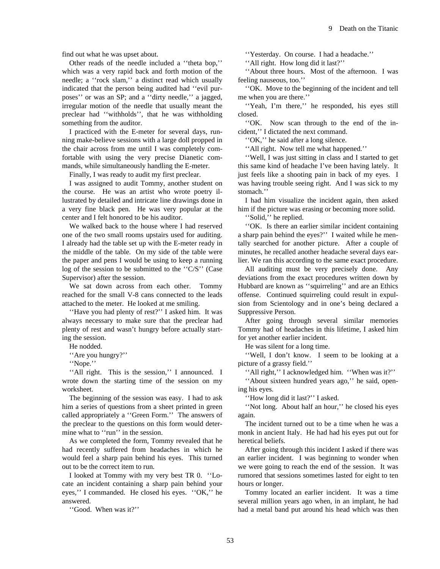find out what he was upset about.

Other reads of the needle included a ''theta bop,'' which was a very rapid back and forth motion of the needle; a ''rock slam,'' a distinct read which usually indicated that the person being audited had ''evil purposes'' or was an SP; and a ''dirty needle,'' a jagged, irregular motion of the needle that usually meant the preclear had ''withholds'', that he was withholding something from the auditor.

I practiced with the E-meter for several days, running make-believe sessions with a large doll propped in the chair across from me until I was completely comfortable with using the very precise Dianetic commands, while simultaneously handling the E-meter.

Finally, I was ready to audit my first preclear.

I was assigned to audit Tommy, another student on the course. He was an artist who wrote poetry illustrated by detailed and intricate line drawings done in a very fine black pen. He was very popular at the center and I felt honored to be his auditor.

We walked back to the house where I had reserved one of the two small rooms upstairs used for auditing. I already had the table set up with the E-meter ready in the middle of the table. On my side of the table were the paper and pens I would be using to keep a running log of the session to be submitted to the ''C/S'' (Case Supervisor) after the session.

We sat down across from each other. Tommy reached for the small V-8 cans connected to the leads attached to the meter. He looked at me smiling.

''Have you had plenty of rest?'' I asked him. It was always necessary to make sure that the preclear had plenty of rest and wasn't hungry before actually starting the session.

He nodded.

''Are you hungry?''

''Nope.''

''All right. This is the session,'' I announced. I wrote down the starting time of the session on my worksheet.

The beginning of the session was easy. I had to ask him a series of questions from a sheet printed in green called appropriately a ''Green Form.'' The answers of the preclear to the questions on this form would determine what to ''run'' in the session.

As we completed the form, Tommy revealed that he had recently suffered from headaches in which he would feel a sharp pain behind his eyes. This turned out to be the correct item to run.

I looked at Tommy with my very best TR 0. ''Locate an incident containing a sharp pain behind your eyes,'' I commanded. He closed his eyes. ''OK,'' he answered.

''Good. When was it?''

''Yesterday. On course. I had a headache.''

''All right. How long did it last?''

''About three hours. Most of the afternoon. I was feeling nauseous, too.''

''OK. Move to the beginning of the incident and tell me when you are there.''

''Yeah, I'm there,'' he responded, his eyes still closed.

''OK. Now scan through to the end of the incident,'' I dictated the next command.

''OK,'' he said after a long silence.

''All right. Now tell me what happened.''

''Well, I was just sitting in class and I started to get this same kind of headache I've been having lately. It just feels like a shooting pain in back of my eyes. I was having trouble seeing right. And I was sick to my stomach.''

I had him visualize the incident again, then asked him if the picture was erasing or becoming more solid.

''Solid,'' he replied.

''OK. Is there an earlier similar incident containing a sharp pain behind the eyes?'' I waited while he mentally searched for another picture. After a couple of minutes, he recalled another headache several days earlier. We ran this according to the same exact procedure.

All auditing must be very precisely done. Any deviations from the exact procedures written down by Hubbard are known as ''squirreling'' and are an Ethics offense. Continued squirreling could result in expulsion from Scientology and in one's being declared a Suppressive Person.

After going through several similar memories Tommy had of headaches in this lifetime, I asked him for yet another earlier incident.

He was silent for a long time.

''Well, I don't know. I seem to be looking at a picture of a grassy field.''

''All right,'' I acknowledged him. ''When was it?''

''About sixteen hundred years ago,'' he said, opening his eyes.

''How long did it last?'' I asked.

''Not long. About half an hour,'' he closed his eyes again.

The incident turned out to be a time when he was a monk in ancient Italy. He had had his eyes put out for heretical beliefs.

After going through this incident I asked if there was an earlier incident. I was beginning to wonder when we were going to reach the end of the session. It was rumored that sessions sometimes lasted for eight to ten hours or longer.

Tommy located an earlier incident. It was a time several million years ago when, in an implant, he had had a metal band put around his head which was then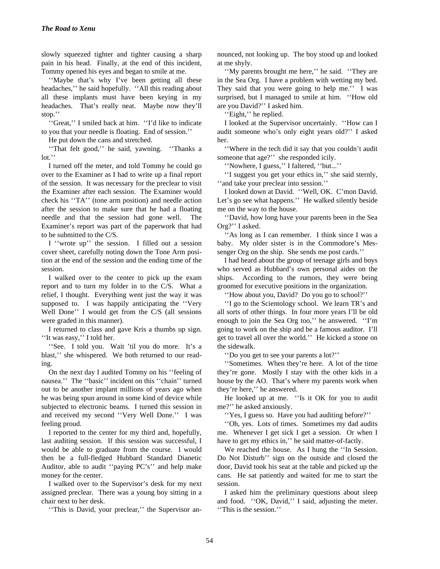slowly squeezed tighter and tighter causing a sharp pain in his head. Finally, at the end of this incident, Tommy opened his eyes and began to smile at me.

''Maybe that's why I've been getting all these headaches,'' he said hopefully. ''All this reading about all these implants must have been keying in my headaches. That's really neat. Maybe now they'll stop.''

''Great,'' I smiled back at him. ''I'd like to indicate to you that your needle is floating. End of session.''

He put down the cans and stretched.

''That felt good,'' he said, yawning. ''Thanks a lot.''

I turned off the meter, and told Tommy he could go over to the Examiner as I had to write up a final report of the session. It was necessary for the preclear to visit the Examiner after each session. The Examiner would check his ''TA'' (tone arm position) and needle action after the session to make sure that he had a floating needle and that the session had gone well. The Examiner's report was part of the paperwork that had to be submitted to the C/S.

I ''wrote up'' the session. I filled out a session cover sheet, carefully noting down the Tone Arm position at the end of the session and the ending time of the session.

I walked over to the center to pick up the exam report and to turn my folder in to the C/S. What a relief, I thought. Everything went just the way it was supposed to. I was happily anticipating the ''Very Well Done'' I would get from the C/S (all sessions were graded in this manner).

I returned to class and gave Kris a thumbs up sign. ''It was easy,'' I told her.

''See. I told you. Wait 'til you do more. It's a blast,'' she whispered. We both returned to our reading.

On the next day I audited Tommy on his ''feeling of nausea.'' The ''basic'' incident on this ''chain'' turned out to be another implant millions of years ago when he was being spun around in some kind of device while subjected to electronic beams. I turned this session in and received my second ''Very Well Done.'' I was feeling proud.

I reported to the center for my third and, hopefully, last auditing session. If this session was successful, I would be able to graduate from the course. I would then be a full-fledged Hubbard Standard Dianetic Auditor, able to audit ''paying PC's'' and help make money for the center.

I walked over to the Supervisor's desk for my next assigned preclear. There was a young boy sitting in a chair next to her desk.

''This is David, your preclear,'' the Supervisor an-

nounced, not looking up. The boy stood up and looked at me shyly.

''My parents brought me here,'' he said. ''They are in the Sea Org. I have a problem with wetting my bed. They said that you were going to help me.'' I was surprised, but I managed to smile at him. ''How old are you David?'' I asked him.

''Eight,'' he replied.

I looked at the Supervisor uncertainly. ''How can I audit someone who's only eight years old?'' I asked her.

''Where in the tech did it say that you couldn't audit someone that age?'' she responded icily.

''Nowhere, I guess,'' I faltered, ''but...''

''I suggest you get your ethics in,'' she said sternly, ''and take your preclear into session.''

I looked down at David. ''Well, OK. C'mon David. Let's go see what happens.'' He walked silently beside me on the way to the house.

''David, how long have your parents been in the Sea Org?'' I asked.

''As long as I can remember. I think since I was a baby. My older sister is in the Commodore's Messenger Org on the ship. She sends me post cards.''

I had heard about the group of teenage girls and boys who served as Hubbard's own personal aides on the ships. According to the rumors, they were being groomed for executive positions in the organization.

''How about you, David? Do you go to school?''

''I go to the Scientology school. We learn TR's and all sorts of other things. In four more years I'll be old enough to join the Sea Org too,'' he answered. ''I'm going to work on the ship and be a famous auditor. I'll get to travel all over the world.'' He kicked a stone on the sidewalk.

''Do you get to see your parents a lot?''

''Sometimes. When they're here. A lot of the time they're gone. Mostly I stay with the other kids in a house by the AO. That's where my parents work when they're here,'' he answered.

He looked up at me. ''Is it OK for you to audit me?'' he asked anxiously.

''Yes, I guess so. Have you had auditing before?''

''Oh, yes. Lots of times. Sometimes my dad audits me. Whenever I get sick I get a session. Or when I have to get my ethics in,'' he said matter-of-factly.

We reached the house. As I hung the ''In Session. Do Not Disturb'' sign on the outside and closed the door, David took his seat at the table and picked up the cans. He sat patiently and waited for me to start the session.

I asked him the preliminary questions about sleep and food. ''OK, David,'' I said, adjusting the meter. ''This is the session.''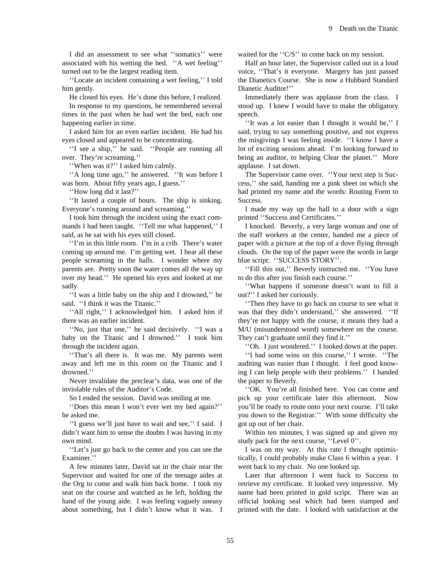I did an assessment to see what ''somatics'' were associated with his wetting the bed. ''A wet feeling'' turned out to be the largest reading item.

''Locate an incident containing a wet feeling,'' I told him gently.

He closed his eyes. He's done this before, I realized.

In response to my questions, he remembered several times in the past when he had wet the bed, each one happening earlier in time.

I asked him for an even earlier incident. He had his eyes closed and appeared to be concentrating.

''I see a ship,'' he said. ''People are running all over. They're screaming.''

''When was it?'' I asked him calmly.

''A long time ago,'' he answered. ''It was before I was born. About fifty years ago, I guess.''

''How long did it last?''

''It lasted a couple of hours. The ship is sinking. Everyone's running around and screaming.''

I took him through the incident using the exact commands I had been taught. ''Tell me what happened,'' I said, as he sat with his eyes still closed.

''I'm in this little room. I'm in a crib. There's water coming up around me. I'm getting wet. I hear all these people screaming in the halls. I wonder where my parents are. Pretty soon the water comes all the way up over my head.'' He opened his eyes and looked at me sadly.

''I was a little baby on the ship and I drowned,'' he said. "I think it was the Titanic."

''All right,'' I acknowledged him. I asked him if there was an earlier incident.

''No, just that one,'' he said decisively. ''I was a baby on the Titanic and I drowned.'' I took him through the incident again.

''That's all there is. It was me. My parents went away and left me in this room on the Titanic and I drowned.''

Never invalidate the preclear's data, was one of the inviolable rules of the Auditor's Code.

So I ended the session. David was smiling at me.

''Does this mean I won't ever wet my bed again?'' he asked me.

''I guess we'll just have to wait and see,'' I said. I didn't want him to sense the doubts I was having in my own mind.

''Let's just go back to the center and you can see the Examiner.''

A few minutes later, David sat in the chair near the Supervisor and waited for one of the teenage aides at the Org to come and walk him back home. I took my seat on the course and watched as he left, holding the hand of the young aide. I was feeling vaguely uneasy about something, but I didn't know what it was. I waited for the "C/S" to come back on my session.

Half an hour later, the Supervisor called out in a loud voice, ''That's it everyone. Margery has just passed the Dianetics Course. She is now a Hubbard Standard Dianetic Auditor!''

Immediately there was applause from the class. I stood up. I knew I would have to make the obligatory speech.

''It was a lot easier than I thought it would be,'' I said, trying to say something positive, and not express the misgivings I was feeling inside. ''I know I have a lot of exciting sessions ahead. I'm looking forward to being an auditor, to helping Clear the planet.'' More applause. I sat down.

The Supervisor came over. ''Your next step is Success,'' she said, handing me a pink sheet on which she had printed my name and the words: Routing Form to Success.

I made my way up the hall to a door with a sign printed ''Success and Certificates.''

I knocked. Beverly, a very large woman and one of the staff workers at the center, handed me a piece of paper with a picture at the top of a dove flying through clouds. On the top of the paper were the words in large blue script: ''SUCCESS STORY''.

''Fill this out,'' Beverly instructed me. ''You have to do this after you finish each course.''

''What happens if someone doesn't want to fill it out?'' I asked her curiously.

''Then they have to go back on course to see what it was that they didn't understand,'' she answered. ''If they're not happy with the course, it means they had a M/U (misunderstood word) somewhere on the course. They can't graduate until they find it.''

''Oh. I just wondered.'' I looked down at the paper.

''I had some wins on this course,'' I wrote. ''The auditing was easier than I thought. I feel good knowing I can help people with their problems.'' I handed the paper to Beverly.

''OK. You're all finished here. You can come and pick up your certificate later this afternoon. Now you'll be ready to route onto your next course. I'll take you down to the Registrar.'' With some difficulty she got up out of her chair.

Within ten minutes, I was signed up and given my study pack for the next course, ''Level 0''.

I was on my way. At this rate I thought optimistically, I could probably make Class 6 within a year. I went back to my chair. No one looked up.

Later that afternoon I went back to Success to retrieve my certificate. It looked very impressive. My name had been printed in gold script. There was an official looking seal which had been stamped and printed with the date. I looked with satisfaction at the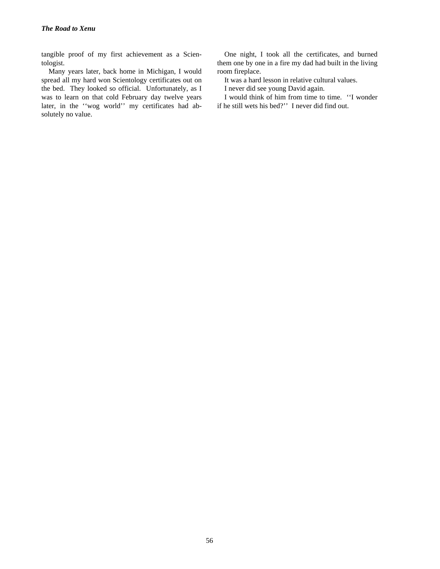tangible proof of my first achievement as a Scientologist.

Many years later, back home in Michigan, I would spread all my hard won Scientology certificates out on the bed. They looked so official. Unfortunately, as I was to learn on that cold February day twelve years later, in the ''wog world'' my certificates had absolutely no value.

One night, I took all the certificates, and burned them one by one in a fire my dad had built in the living room fireplace.

It was a hard lesson in relative cultural values.

I never did see young David again.

I would think of him from time to time. ''I wonder if he still wets his bed?'' I never did find out.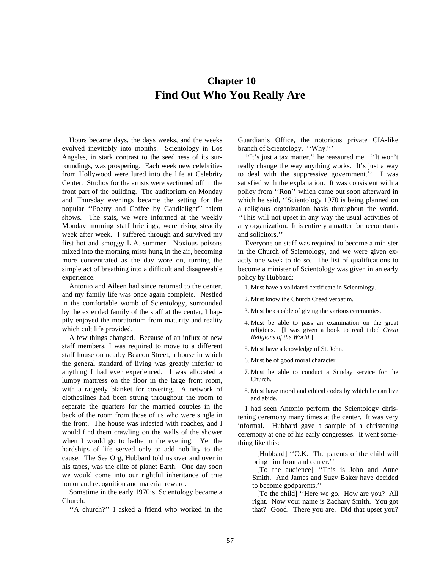### **Chapter 10 Find Out Who You Really Are**

Hours became days, the days weeks, and the weeks evolved inevitably into months. Scientology in Los Angeles, in stark contrast to the seediness of its surroundings, was prospering. Each week new celebrities from Hollywood were lured into the life at Celebrity Center. Studios for the artists were sectioned off in the front part of the building. The auditorium on Monday and Thursday evenings became the setting for the popular ''Poetry and Coffee by Candlelight'' talent shows. The stats, we were informed at the weekly Monday morning staff briefings, were rising steadily week after week. I suffered through and survived my first hot and smoggy L.A. summer. Noxious poisons mixed into the morning mists hung in the air, becoming more concentrated as the day wore on, turning the simple act of breathing into a difficult and disagreeable experience.

Antonio and Aileen had since returned to the center, and my family life was once again complete. Nestled in the comfortable womb of Scientology, surrounded by the extended family of the staff at the center, I happily enjoyed the moratorium from maturity and reality which cult life provided.

A few things changed. Because of an influx of new staff members, I was required to move to a different staff house on nearby Beacon Street, a house in which the general standard of living was greatly inferior to anything I had ever experienced. I was allocated a lumpy mattress on the floor in the large front room, with a raggedy blanket for covering. A network of clotheslines had been strung throughout the room to separate the quarters for the married couples in the back of the room from those of us who were single in the front. The house was infested with roaches, and I would find them crawling on the walls of the shower when I would go to bathe in the evening. Yet the hardships of life served only to add nobility to the cause. The Sea Org, Hubbard told us over and over in his tapes, was the elite of planet Earth. One day soon we would come into our rightful inheritance of true honor and recognition and material reward.

Sometime in the early 1970's, Scientology became a Church.

''A church?'' I asked a friend who worked in the

Guardian's Office, the notorious private CIA-like branch of Scientology. ''Why?''

''It's just a tax matter,'' he reassured me. ''It won't really change the way anything works. It's just a way to deal with the suppressive government.'' I was satisfied with the explanation. It was consistent with a policy from ''Ron'' which came out soon afterward in which he said, ''Scientology 1970 is being planned on a religious organization basis throughout the world. ''This will not upset in any way the usual activities of any organization. It is entirely a matter for accountants and solicitors.''

Everyone on staff was required to become a minister in the Church of Scientology, and we were given exactly one week to do so. The list of qualifications to become a minister of Scientology was given in an early policy by Hubbard:

- 1. Must have a validated certificate in Scientology.
- 2. Must know the Church Creed verbatim.
- 3. Must be capable of giving the various ceremonies.
- 4. Must be able to pass an examination on the great religions. [I was given a book to read titled *Great Religions of the World*.]
- 5. Must have a knowledge of St. John.
- 6. Must be of good moral character.
- 7. Must be able to conduct a Sunday service for the Church.
- 8. Must have moral and ethical codes by which he can live and abide.

I had seen Antonio perform the Scientology christening ceremony many times at the center. It was very informal. Hubbard gave a sample of a christening ceremony at one of his early congresses. It went something like this:

[Hubbard] ''O.K. The parents of the child will bring him front and center.''

[To the audience] ''This is John and Anne Smith. And James and Suzy Baker have decided to become godparents.''

[To the child] ''Here we go. How are you? All right. Now your name is Zachary Smith. You got that? Good. There you are. Did that upset you?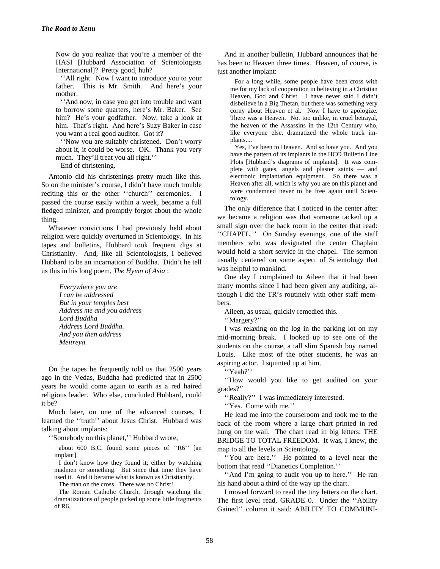Now do you realize that you're a member of the HASI [Hubbard Association of Scientologists International]? Pretty good, huh?

''All right. Now I want to introduce you to your father. This is Mr. Smith. And here's your mother.

''And now, in case you get into trouble and want to borrow some quarters, here's Mr. Baker. See him? He's your godfather. Now, take a look at him. That's right. And here's Suzy Baker in case you want a real good auditor. Got it?

''Now you are suitably christened. Don't worry about it, it could be worse. OK. Thank you very much. They'll treat you all right.''

End of christening.

Antonio did his christenings pretty much like this. So on the minister's course, I didn't have much trouble reciting this or the other ''church'' ceremonies. I passed the course easily within a week, became a full fledged minister, and promptly forgot about the whole thing.

Whatever convictions I had previously held about religion were quickly overturned in Scientology. In his tapes and bulletins, Hubbard took frequent digs at Christianity. And, like all Scientologists, I believed Hubbard to be an incarnation of Buddha. Didn't he tell us this in his long poem, *The Hymn of Asia* :

> *Everywhere you are I can be addressed But in your temples best Address me and you address Lord Buddha Address Lord Buddha. And you then address Meitreya.*

On the tapes he frequently told us that 2500 years ago in the Vedas, Buddha had predicted that in 2500 years he would come again to earth as a red haired religious leader. Who else, concluded Hubbard, could it be?

Much later, on one of the advanced courses, I learned the ''truth'' about Jesus Christ. Hubbard was talking about implants:

''Somebody on this planet,'' Hubbard wrote,

about 600 B.C. found some pieces of ''R6'' [an implant].

I don't know how they found it; either by watching madmen or something. But since that time they have used it. And it became what is known as Christianity.

The man on the cross. There was no Christ!

The Roman Catholic Church, through watching the dramatizations of people picked up some little fragments of R6.

And in another bulletin, Hubbard announces that he has been to Heaven three times. Heaven, of course, is just another implant:

For a long while, some people have been cross with me for my lack of cooperation in believing in a Christian Heaven, God and Christ. I have never said I didn't disbelieve in a Big Thetan, but there was something very corny about Heaven et al. Now I have to apologize. There was a Heaven. Not too unlike, in cruel betrayal, the heaven of the Assassins in the 12th Century who, like everyone else, dramatized the whole track implants....

Yes, I've been to Heaven. And so have you. And you have the pattern of its implants in the HCO Bulletin Line Plots [Hubbard's diagrams of implants]. It was complete with gates, angels and plaster saints — and electronic implantation equipment. So there was a Heaven after all, which is why you are on this planet and were condemned never to be free again until Scientology.

The only difference that I noticed in the center after we became a religion was that someone tacked up a small sign over the back room in the center that read: ''CHAPEL.'' On Sunday evenings, one of the staff members who was designated the center Chaplain would hold a short service in the chapel. The sermon usually centered on some aspect of Scientology that was helpful to mankind.

One day I complained to Aileen that it had been many months since I had been given any auditing, although I did the TR's routinely with other staff members.

Aileen, as usual, quickly remedied this.

''Margery?''

I was relaxing on the log in the parking lot on my mid-morning break. I looked up to see one of the students on the course, a tall slim Spanish boy named Louis. Like most of the other students, he was an aspiring actor. I squinted up at him.

''Yeah?''

''How would you like to get audited on your grades?''

''Really?'' I was immediately interested.

''Yes. Come with me.''

He lead me into the courseroom and took me to the back of the room where a large chart printed in red hung on the wall. The chart read in big letters: THE BRIDGE TO TOTAL FREEDOM. It was, I knew, the map to all the levels in Scientology.

''You are here.'' He pointed to a level near the bottom that read ''Dianetics Completion.''

''And I'm going to audit you up to here.'' He ran his hand about a third of the way up the chart.

I moved forward to read the tiny letters on the chart. The first level read, GRADE 0. Under the ''Ability Gained'' column it said: ABILITY TO COMMUNI-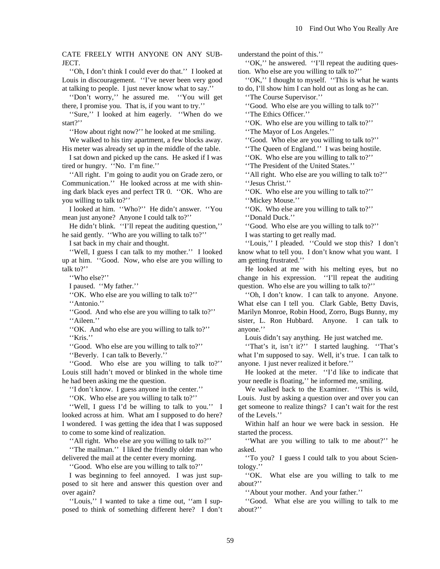CATE FREELY WITH ANYONE ON ANY SUB-JECT.

''Oh, I don't think I could ever do that.'' I looked at Louis in discouragement. ''I've never been very good at talking to people. I just never know what to say.''

''Don't worry,'' he assured me. ''You will get there, I promise you. That is, if you want to try.''

''Sure,'' I looked at him eagerly. ''When do we start?''

''How about right now?'' he looked at me smiling.

We walked to his tiny apartment, a few blocks away. His meter was already set up in the middle of the table.

I sat down and picked up the cans. He asked if I was tired or hungry. ''No. I'm fine.''

''All right. I'm going to audit you on Grade zero, or Communication.'' He looked across at me with shining dark black eyes and perfect TR 0. ''OK. Who are you willing to talk to?''

I looked at him. ''Who?'' He didn't answer. ''You mean just anyone? Anyone I could talk to?''

He didn't blink. "I'll repeat the auditing question," he said gently. ''Who are you willing to talk to?''

I sat back in my chair and thought.

''Well, I guess I can talk to my mother.'' I looked up at him. ''Good. Now, who else are you willing to talk to?''

''Who else?''

I paused. ''My father.''

''OK. Who else are you willing to talk to?''

''Antonio.''

''Good. And who else are you willing to talk to?'' ''Aileen.''

''OK. And who else are you willing to talk to?'' ''Kris.''

''Good. Who else are you willing to talk to?''

''Beverly. I can talk to Beverly.''

''Good. Who else are you willing to talk to?'' Louis still hadn't moved or blinked in the whole time he had been asking me the question.

''I don't know. I guess anyone in the center.''

''OK. Who else are you willing to talk to?''

''Well, I guess I'd be willing to talk to you.'' I looked across at him. What am I supposed to do here? I wondered. I was getting the idea that I was supposed to come to some kind of realization.

''All right. Who else are you willing to talk to?''

''The mailman.'' I liked the friendly older man who delivered the mail at the center every morning.

''Good. Who else are you willing to talk to?''

I was beginning to feel annoyed. I was just supposed to sit here and answer this question over and over again?

''Louis,'' I wanted to take a time out, ''am I supposed to think of something different here? I don't understand the point of this.''

''OK,'' he answered. ''I'll repeat the auditing question. Who else are you willing to talk to?''

''OK,'' I thought to myself. ''This is what he wants to do, I'll show him I can hold out as long as he can.

''The Course Supervisor.''

''Good. Who else are you willing to talk to?''

''The Ethics Officer.''

''OK. Who else are you willing to talk to?''

''The Mayor of Los Angeles.''

''Good. Who else are you willing to talk to?''

''The Queen of England.'' I was being hostile.

''OK. Who else are you willing to talk to?''

''The President of the United States.''

''All right. Who else are you willing to talk to?'' ''Jesus Christ.''

''OK. Who else are you willing to talk to?''

''Mickey Mouse.''

''OK. Who else are you willing to talk to?''

''Donald Duck.''

''Good. Who else are you willing to talk to?''

I was starting to get really mad.

''Louis,'' I pleaded. ''Could we stop this? I don't know what to tell you. I don't know what you want. I am getting frustrated.''

He looked at me with his melting eyes, but no change in his expression. ''I'll repeat the auditing question. Who else are you willing to talk to?''

''Oh, I don't know. I can talk to anyone. Anyone. What else can I tell you. Clark Gable, Betty Davis, Marilyn Monroe, Robin Hood, Zorro, Bugs Bunny, my sister, L. Ron Hubbard. Anyone. I can talk to anyone.''

Louis didn't say anything. He just watched me.

''That's it, isn't it?'' I started laughing. ''That's what I'm supposed to say. Well, it's true. I can talk to anyone. I just never realized it before.''

He looked at the meter. ''I'd like to indicate that your needle is floating,'' he informed me, smiling.

We walked back to the Examiner. ''This is wild, Louis. Just by asking a question over and over you can get someone to realize things? I can't wait for the rest of the Levels.''

Within half an hour we were back in session. He started the process.

''What are you willing to talk to me about?'' he asked.

''To you? I guess I could talk to you about Scientology.''

''OK. What else are you willing to talk to me about?''

''About your mother. And your father.''

''Good. What else are you willing to talk to me about?''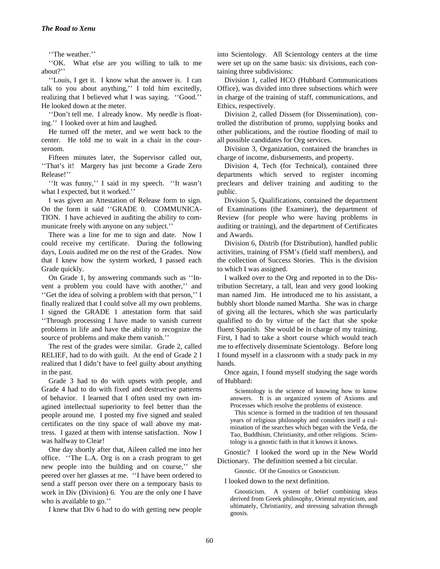''The weather.''

''OK. What else are you willing to talk to me about?''

''Louis, I get it. I know what the answer is. I can talk to you about anything,'' I told him excitedly, realizing that I believed what I was saying. ''Good.'' He looked down at the meter.

''Don't tell me. I already know. My needle is floating.'' I looked over at him and laughed.

He turned off the meter, and we went back to the center. He told me to wait in a chair in the courseroom.

Fifteen minutes later, the Supervisor called out, ''That's it! Margery has just become a Grade Zero Release!''

''It was funny,'' I said in my speech. ''It wasn't what I expected, but it worked.''

I was given an Attestation of Release form to sign. On the form it said ''GRADE 0. COMMUNICA-TION. I have achieved in auditing the ability to communicate freely with anyone on any subject.''

There was a line for me to sign and date. Now I could receive my certificate. During the following days, Louis audited me on the rest of the Grades. Now that I knew how the system worked, I passed each Grade quickly.

On Grade 1, by answering commands such as ''Invent a problem you could have with another,'' and ''Get the idea of solving a problem with that person,'' I finally realized that I could solve all my own problems. I signed the GRADE 1 attestation form that said ''Through processing I have made to vanish current problems in life and have the ability to recognize the source of problems and make them vanish.''

The rest of the grades were similar. Grade 2, called RELIEF, had to do with guilt. At the end of Grade 2 I realized that I didn't have to feel guilty about anything in the past.

Grade 3 had to do with upsets with people, and Grade 4 had to do with fixed and destructive patterns of behavior. I learned that I often used my own imagined intellectual superiority to feel better than the people around me. I posted my five signed and sealed certificates on the tiny space of wall above my mattress. I gazed at them with intense satisfaction. Now I was halfway to Clear!

One day shortly after that, Aileen called me into her office. ''The L.A. Org is on a crash program to get new people into the building and on course,'' she peered over her glasses at me. ''I have been ordered to send a staff person over there on a temporary basis to work in Div (Division) 6. You are the only one I have who is available to go.''

I knew that Div 6 had to do with getting new people

into Scientology. All Scientology centers at the time were set up on the same basis: six divisions, each containing three subdivisions:

Division 1, called HCO (Hubbard Communications Office), was divided into three subsections which were in charge of the training of staff, communications, and Ethics, respectively.

Division 2, called Dissem (for Dissemination), controlled the distribution of promo, supplying books and other publications, and the routine flooding of mail to all possible candidates for Org services.

Division 3, Organization, contained the branches in charge of income, disbursements, and property.

Division 4, Tech (for Technical), contained three departments which served to register incoming preclears and deliver training and auditing to the public.

Division 5, Qualifications, contained the department of Examinations (the Examiner), the department of Review (for people who were having problems in auditing or training), and the department of Certificates and Awards.

Division 6, Distrib (for Distribution), handled public activities, training of FSM's (field staff members), and the collection of Success Stories. This is the division to which I was assigned.

I walked over to the Org and reported in to the Distribution Secretary, a tall, lean and very good looking man named Jim. He introduced me to his assistant, a bubbly short blonde named Martha. She was in charge of giving all the lectures, which she was particularly qualified to do by virtue of the fact that she spoke fluent Spanish. She would be in charge of my training. First, I had to take a short course which would teach me to effectively disseminate Scientology. Before long I found myself in a classroom with a study pack in my hands.

Once again, I found myself studying the sage words of Hubbard:

Scientology is the science of knowing how to know answers. It is an organized system of Axioms and Processes which resolve the problems of existence.

This science is formed in the tradition of ten thousand years of religious philosophy and considers itself a culmination of the searches which began with the Veda, the Tao, Buddhism, Christianity, and other religions. Scientology is a gnostic faith in that it knows it knows.

Gnostic? I looked the word up in the New World Dictionary. The definition seemed a bit circular.

Gnostic. Of the Gnostics or Gnosticism.

I looked down to the next definition.

Gnosticism. A system of belief combining ideas derived from Greek philosophy, Oriental mysticism, and ultimately, Christianity, and stressing salvation through gnosis.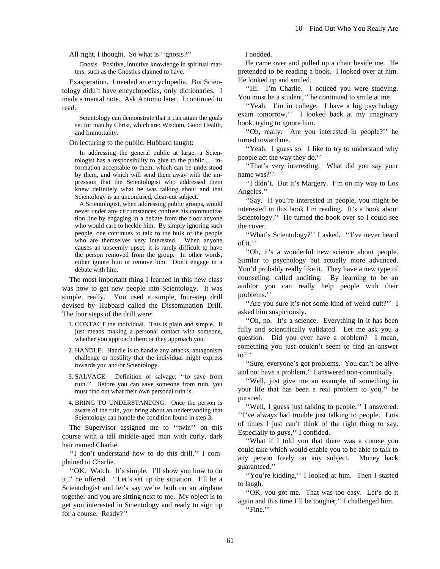All right, I thought. So what is ''gnosis?''

Gnosis. Positive, intuitive knowledge in spiritual matters, such as the Gnostics claimed to have.

Exasperation. I needed an encyclopedia. But Scientology didn't have encyclopedias, only dictionaries. I made a mental note. Ask Antonio later. I continued to read:

Scientology can demonstrate that it can attain the goals set for man by Christ, which are: Wisdom, Good Health, and Immortality.

On lecturing to the public, Hubbard taught:

In addressing the general public at large, a Scientologist has a responsibility to give to the public.... information acceptable to them, which can be understood by them, and which will send them away with the impression that the Scientologist who addressed them knew definitely what he was talking about and that Scientology is an unconfused, clear-cut subject.

A Scientologist, when addressing public groups, would never under any circumstances confuse his communication line by engaging in a debate from the floor anyone who would care to heckle him. By simply ignoring such people, one continues to talk to the bulk of the people who are themselves very interested. When anyone causes an unseemly upset, it is rarely difficult to have the person removed from the group. In other words, either ignore him or remove him. Don't engage in a debate with him.

The most important thing I learned in this new class was how to get new people into Scientology. It was simple, really. You used a simple, four-step drill devised by Hubbard called the Dissemination Drill. The four steps of the drill were:

- 1. CONTACT the individual. This is plain and simple. It just means making a personal contact with someone, whether you approach them or they approach you.
- 2. HANDLE. Handle is to handle any attacks, antagonism challenge or hostility that the individual might express towards you and/or Scientology.
- 3. SALVAGE. Definition of salvage: ''to save from ruin.'' Before you can save someone from ruin, you must find out what their own personal ruin is.
- 4. BRING TO UNDERSTANDING. Once the person is aware of the ruin, you bring about an understanding that Scientology can handle the condition found in step 3.

The Supervisor assigned me to ''twin'' on this course with a tall middle-aged man with curly, dark hair named Charlie.

''I don't understand how to do this drill,'' I complained to Charlie.

''OK. Watch. It's simple. I'll show you how to do it,'' he offered. ''Let's set up the situation. I'll be a Scientologist and let's say we're both on an airplane together and you are sitting next to me. My object is to get you interested in Scientology and ready to sign up for a course. Ready?''

I nodded.

He came over and pulled up a chair beside me. He pretended to be reading a book. I looked over at him. He looked up and smiled.

''Hi. I'm Charlie. I noticed you were studying. You must be a student,'' he continued to smile at me.

''Yeah. I'm in college. I have a big psychology exam tomorrow.'' I looked back at my imaginary book, trying to ignore him.

''Oh, really. Are you interested in people?'' he turned toward me.

''Yeah. I guess so. I like to try to understand why people act the way they do.''

''That's very interesting. What did you say your name was?''

''I didn't. But it's Margery. I'm on my way to Los Angeles.''

''Say. If you're interested in people, you might be interested in this book I'm reading. It's a book about Scientology.'' He turned the book over so I could see the cover.

''What's Scientology?'' I asked. ''I've never heard of it.''

''Oh, it's a wonderful new science about people. Similar to psychology but actually more advanced. You'd probably really like it. They have a new type of counseling, called auditing. By learning to be an auditor you can really help people with their problems.''

''Are you sure it's not some kind of weird cult?'' I asked him suspiciously.

''Oh, no. It's a science. Everything in it has been fully and scientifically validated. Let me ask you a question. Did you ever have a problem? I mean, something you just couldn't seem to find an answer  $\text{to?}$ 

''Sure, everyone's got problems. You can't be alive and not have a problem,'' I answered non-commitally.

''Well, just give me an example of something in your life that has been a real problem to you,'' he pursued.

''Well, I guess just talking to people,'' I answered. ''I've always had trouble just talking to people. Lots of times I just can't think of the right thing to say. Especially to guys,'' I confided.

''What if I told you that there was a course you could take which would enable you to be able to talk to any person freely on any subject. Money back guaranteed.''

''You're kidding,'' I looked at him. Then I started to laugh.

''OK, you got me. That was too easy. Let's do it again and this time I'll be tougher,'' I challenged him. ''Fine.''

61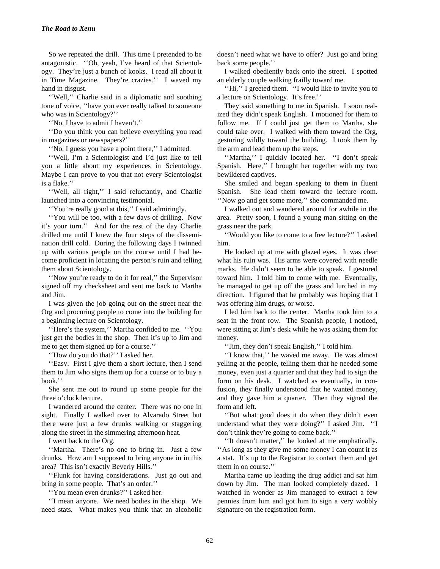So we repeated the drill. This time I pretended to be antagonistic. ''Oh, yeah, I've heard of that Scientology. They're just a bunch of kooks. I read all about it in Time Magazine. They're crazies.'' I waved my hand in disgust.

''Well,'' Charlie said in a diplomatic and soothing tone of voice, ''have you ever really talked to someone who was in Scientology?''

''No, I have to admit I haven't.''

''Do you think you can believe everything you read in magazines or newspapers?''

''No, I guess you have a point there,'' I admitted.

''Well, I'm a Scientologist and I'd just like to tell you a little about my experiences in Scientology. Maybe I can prove to you that not every Scientologist is a flake.''

''Well, all right,'' I said reluctantly, and Charlie launched into a convincing testimonial.

''You're really good at this,'' I said admiringly.

''You will be too, with a few days of drilling. Now it's your turn.'' And for the rest of the day Charlie drilled me until I knew the four steps of the dissemination drill cold. During the following days I twinned up with various people on the course until I had become proficient in locating the person's ruin and telling them about Scientology.

''Now you're ready to do it for real,'' the Supervisor signed off my checksheet and sent me back to Martha and Jim.

I was given the job going out on the street near the Org and procuring people to come into the building for a beginning lecture on Scientology.

''Here's the system,'' Martha confided to me. ''You just get the bodies in the shop. Then it's up to Jim and me to get them signed up for a course.''

''How do you do that?'' I asked her.

''Easy. First I give them a short lecture, then I send them to Jim who signs them up for a course or to buy a book.''

She sent me out to round up some people for the three o'clock lecture.

I wandered around the center. There was no one in sight. Finally I walked over to Alvarado Street but there were just a few drunks walking or staggering along the street in the simmering afternoon heat.

I went back to the Org.

''Martha. There's no one to bring in. Just a few drunks. How am I supposed to bring anyone in in this area? This isn't exactly Beverly Hills.''

''Flunk for having considerations. Just go out and bring in some people. That's an order.''

''You mean even drunks?'' I asked her.

''I mean anyone. We need bodies in the shop. We need stats. What makes you think that an alcoholic doesn't need what we have to offer? Just go and bring back some people.''

I walked obediently back onto the street. I spotted an elderly couple walking frailly toward me.

''Hi,'' I greeted them. ''I would like to invite you to a lecture on Scientology. It's free.''

They said something to me in Spanish. I soon realized they didn't speak English. I motioned for them to follow me. If I could just get them to Martha, she could take over. I walked with them toward the Org, gesturing wildly toward the building. I took them by the arm and lead them up the steps.

''Martha,'' I quickly located her. ''I don't speak Spanish. Here,'' I brought her together with my two bewildered captives.

She smiled and began speaking to them in fluent Spanish. She lead them toward the lecture room. ''Now go and get some more,'' she commanded me.

I walked out and wandered around for awhile in the area. Pretty soon, I found a young man sitting on the grass near the park.

''Would you like to come to a free lecture?'' I asked him.

He looked up at me with glazed eyes. It was clear what his ruin was. His arms were covered with needle marks. He didn't seem to be able to speak. I gestured toward him. I told him to come with me. Eventually, he managed to get up off the grass and lurched in my direction. I figured that he probably was hoping that I was offering him drugs, or worse.

I led him back to the center. Martha took him to a seat in the front row. The Spanish people, I noticed, were sitting at Jim's desk while he was asking them for money.

''Jim, they don't speak English,'' I told him.

''I know that,'' he waved me away. He was almost yelling at the people, telling them that he needed some money, even just a quarter and that they had to sign the form on his desk. I watched as eventually, in confusion, they finally understood that he wanted money, and they gave him a quarter. Then they signed the form and left.

''But what good does it do when they didn't even understand what they were doing?'' I asked Jim. ''I don't think they're going to come back.''

''It doesn't matter,'' he looked at me emphatically. ''As long as they give me some money I can count it as a stat. It's up to the Registrar to contact them and get them in on course.''

Martha came up leading the drug addict and sat him down by Jim. The man looked completely dazed. I watched in wonder as Jim managed to extract a few pennies from him and got him to sign a very wobbly signature on the registration form.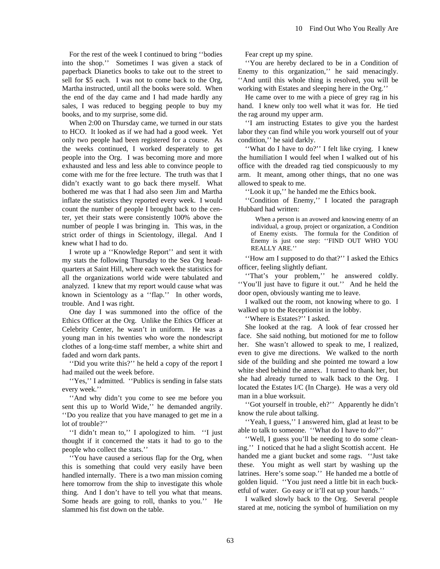For the rest of the week I continued to bring ''bodies into the shop.'' Sometimes I was given a stack of paperback Dianetics books to take out to the street to sell for \$5 each. I was not to come back to the Org, Martha instructed, until all the books were sold. When the end of the day came and I had made hardly any sales, I was reduced to begging people to buy my books, and to my surprise, some did.

When 2:00 on Thursday came, we turned in our stats to HCO. It looked as if we had had a good week. Yet only two people had been registered for a course. As the weeks continued, I worked desperately to get people into the Org. I was becoming more and more exhausted and less and less able to convince people to come with me for the free lecture. The truth was that I didn't exactly want to go back there myself. What bothered me was that I had also seen Jim and Martha inflate the statistics they reported every week. I would count the number of people I brought back to the center, yet their stats were consistently 100% above the number of people I was bringing in. This was, in the strict order of things in Scientology, illegal. And I knew what I had to do.

I wrote up a ''Knowledge Report'' and sent it with my stats the following Thursday to the Sea Org headquarters at Saint Hill, where each week the statistics for all the organizations world wide were tabulated and analyzed. I knew that my report would cause what was known in Scientology as a ''flap.'' In other words, trouble. And I was right.

One day I was summoned into the office of the Ethics Officer at the Org. Unlike the Ethics Officer at Celebrity Center, he wasn't in uniform. He was a young man in his twenties who wore the nondescript clothes of a long-time staff member, a white shirt and faded and worn dark pants.

''Did you write this?'' he held a copy of the report I had mailed out the week before.

''Yes,'' I admitted. ''Publics is sending in false stats every week.''

''And why didn't you come to see me before you sent this up to World Wide,'' he demanded angrily. ''Do you realize that you have managed to get me in a lot of trouble?''

''I didn't mean to,'' I apologized to him. ''I just thought if it concerned the stats it had to go to the people who collect the stats.''

''You have caused a serious flap for the Org, when this is something that could very easily have been handled internally. There is a two man mission coming here tomorrow from the ship to investigate this whole thing. And I don't have to tell you what that means. Some heads are going to roll, thanks to you.'' He slammed his fist down on the table.

Fear crept up my spine.

''You are hereby declared to be in a Condition of Enemy to this organization,'' he said menacingly. ''And until this whole thing is resolved, you will be working with Estates and sleeping here in the Org.''

He came over to me with a piece of grey rag in his hand. I knew only too well what it was for. He tied the rag around my upper arm.

''I am instructing Estates to give you the hardest labor they can find while you work yourself out of your condition,'' he said darkly.

''What do I have to do?'' I felt like crying. I knew the humiliation I would feel when I walked out of his office with the dreaded rag tied conspicuously to my arm. It meant, among other things, that no one was allowed to speak to me.

''Look it up,'' he handed me the Ethics book.

''Condition of Enemy,'' I located the paragraph Hubbard had written:

When a person is an avowed and knowing enemy of an individual, a group, project or organization, a Condition of Enemy exists. The formula for the Condition of Enemy is just one step: ''FIND OUT WHO YOU REALLY ARE.''

''How am I supposed to do that?'' I asked the Ethics officer, feeling slightly defiant.

''That's your problem,'' he answered coldly. ''You'll just have to figure it out.'' And he held the door open, obviously wanting me to leave.

I walked out the room, not knowing where to go. I walked up to the Receptionist in the lobby.

''Where is Estates?'' I asked.

She looked at the rag. A look of fear crossed her face. She said nothing, but motioned for me to follow her. She wasn't allowed to speak to me, I realized, even to give me directions. We walked to the north side of the building and she pointed me toward a low white shed behind the annex. I turned to thank her, but she had already turned to walk back to the Org. I located the Estates I/C (In Charge). He was a very old man in a blue worksuit.

''Got yourself in trouble, eh?'' Apparently he didn't know the rule about talking.

''Yeah, I guess,'' I answered him, glad at least to be able to talk to someone. ''What do I have to do?''

''Well, I guess you'll be needing to do some cleaning.'' I noticed that he had a slight Scottish accent. He handed me a giant bucket and some rags. ''Just take these. You might as well start by washing up the latrines. Here's some soap.'' He handed me a bottle of golden liquid. ''You just need a little bit in each bucketful of water. Go easy or it'll eat up your hands.''

I walked slowly back to the Org. Several people stared at me, noticing the symbol of humiliation on my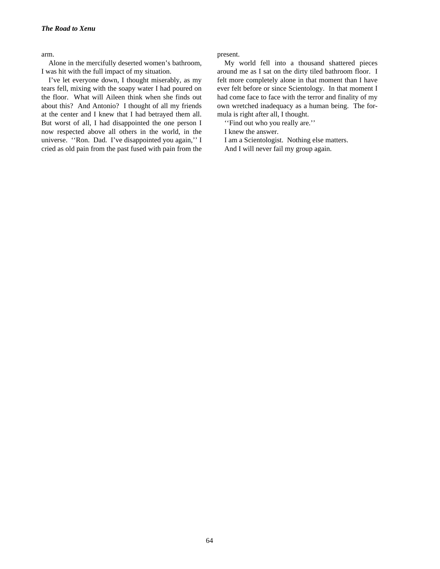#### arm.

Alone in the mercifully deserted women's bathroom, I was hit with the full impact of my situation.

I've let everyone down, I thought miserably, as my tears fell, mixing with the soapy water I had poured on the floor. What will Aileen think when she finds out about this? And Antonio? I thought of all my friends at the center and I knew that I had betrayed them all. But worst of all, I had disappointed the one person I now respected above all others in the world, in the universe. ''Ron. Dad. I've disappointed you again,'' I cried as old pain from the past fused with pain from the present.

My world fell into a thousand shattered pieces around me as I sat on the dirty tiled bathroom floor. I felt more completely alone in that moment than I have ever felt before or since Scientology. In that moment I had come face to face with the terror and finality of my own wretched inadequacy as a human being. The formula is right after all, I thought.

''Find out who you really are.''

I knew the answer.

I am a Scientologist. Nothing else matters.

And I will never fail my group again.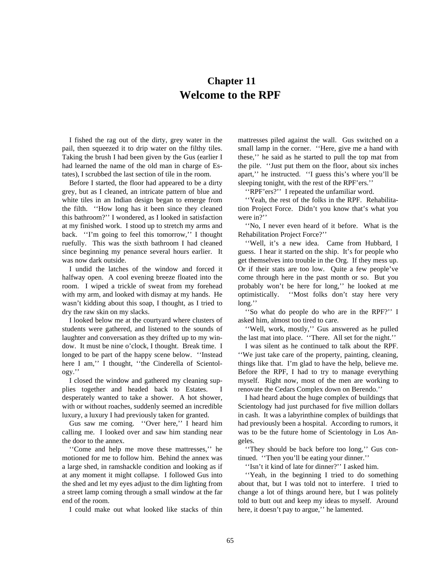### **Chapter 11 Welcome to the RPF**

I fished the rag out of the dirty, grey water in the pail, then squeezed it to drip water on the filthy tiles. Taking the brush I had been given by the Gus (earlier I had learned the name of the old man in charge of Estates), I scrubbed the last section of tile in the room.

Before I started, the floor had appeared to be a dirty grey, but as I cleaned, an intricate pattern of blue and white tiles in an Indian design began to emerge from the filth. ''How long has it been since they cleaned this bathroom?'' I wondered, as I looked in satisfaction at my finished work. I stood up to stretch my arms and back. ''I'm going to feel this tomorrow,'' I thought ruefully. This was the sixth bathroom I had cleaned since beginning my penance several hours earlier. It was now dark outside.

I undid the latches of the window and forced it halfway open. A cool evening breeze floated into the room. I wiped a trickle of sweat from my forehead with my arm, and looked with dismay at my hands. He wasn't kidding about this soap, I thought, as I tried to dry the raw skin on my slacks.

I looked below me at the courtyard where clusters of students were gathered, and listened to the sounds of laughter and conversation as they drifted up to my window. It must be nine o'clock, I thought. Break time. I longed to be part of the happy scene below. ''Instead here I am," I thought, "the Cinderella of Scientology.''

I closed the window and gathered my cleaning supplies together and headed back to Estates. I desperately wanted to take a shower. A hot shower, with or without roaches, suddenly seemed an incredible luxury, a luxury I had previously taken for granted.

Gus saw me coming. ''Over here,'' I heard him calling me. I looked over and saw him standing near the door to the annex.

''Come and help me move these mattresses,'' he motioned for me to follow him. Behind the annex was a large shed, in ramshackle condition and looking as if at any moment it might collapse. I followed Gus into the shed and let my eyes adjust to the dim lighting from a street lamp coming through a small window at the far end of the room.

I could make out what looked like stacks of thin

mattresses piled against the wall. Gus switched on a small lamp in the corner. ''Here, give me a hand with these,'' he said as he started to pull the top mat from the pile. ''Just put them on the floor, about six inches apart,'' he instructed. ''I guess this's where you'll be sleeping tonight, with the rest of the RPF'ers.''

''RPF'ers?'' I repeated the unfamiliar word.

''Yeah, the rest of the folks in the RPF. Rehabilitation Project Force. Didn't you know that's what you were in?"

''No, I never even heard of it before. What is the Rehabilitation Project Force?''

''Well, it's a new idea. Came from Hubbard, I guess. I hear it started on the ship. It's for people who get themselves into trouble in the Org. If they mess up. Or if their stats are too low. Quite a few people've come through here in the past month or so. But you probably won't be here for long,'' he looked at me optimistically. ''Most folks don't stay here very long.''

''So what do people do who are in the RPF?'' I asked him, almost too tired to care.

''Well, work, mostly,'' Gus answered as he pulled the last mat into place. ''There. All set for the night.''

I was silent as he continued to talk about the RPF. ''We just take care of the property, painting, cleaning, things like that. I'm glad to have the help, believe me. Before the RPF, I had to try to manage everything myself. Right now, most of the men are working to renovate the Cedars Complex down on Berendo.''

I had heard about the huge complex of buildings that Scientology had just purchased for five million dollars in cash. It was a labyrinthine complex of buildings that had previously been a hospital. According to rumors, it was to be the future home of Scientology in Los Angeles.

''They should be back before too long,'' Gus continued. ''Then you'll be eating your dinner.''

''Isn't it kind of late for dinner?'' I asked him.

''Yeah, in the beginning I tried to do something about that, but I was told not to interfere. I tried to change a lot of things around here, but I was politely told to butt out and keep my ideas to myself. Around here, it doesn't pay to argue,'' he lamented.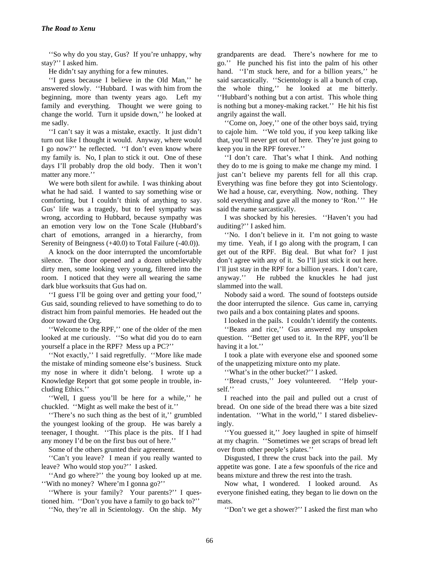''So why do you stay, Gus? If you're unhappy, why stay?'' I asked him.

He didn't say anything for a few minutes.

''I guess because I believe in the Old Man,'' he answered slowly. ''Hubbard. I was with him from the beginning, more than twenty years ago. Left my family and everything. Thought we were going to change the world. Turn it upside down,'' he looked at me sadly.

''I can't say it was a mistake, exactly. It just didn't turn out like I thought it would. Anyway, where would I go now?'' he reflected. ''I don't even know where my family is. No, I plan to stick it out. One of these days I'll probably drop the old body. Then it won't matter any more."

We were both silent for awhile. I was thinking about what he had said. I wanted to say something wise or comforting, but I couldn't think of anything to say. Gus' life was a tragedy, but to feel sympathy was wrong, according to Hubbard, because sympathy was an emotion very low on the Tone Scale (Hubbard's chart of emotions, arranged in a hierarchy, from Serenity of Beingness (+40.0) to Total Failure (-40.0)).

A knock on the door interrupted the uncomfortable silence. The door opened and a dozen unbelievably dirty men, some looking very young, filtered into the room. I noticed that they were all wearing the same dark blue worksuits that Gus had on.

''I guess I'll be going over and getting your food,'' Gus said, sounding relieved to have something to do to distract him from painful memories. He headed out the door toward the Org.

''Welcome to the RPF,'' one of the older of the men looked at me curiously. ''So what did you do to earn yourself a place in the RPF? Mess up a PC?''

''Not exactly,'' I said regretfully. ''More like made the mistake of minding someone else's business. Stuck my nose in where it didn't belong. I wrote up a Knowledge Report that got some people in trouble, including Ethics.''

''Well, I guess you'll be here for a while,'' he chuckled. ''Might as well make the best of it.''

''There's no such thing as the best of it,'' grumbled the youngest looking of the group. He was barely a teenager, I thought. ''This place is the pits. If I had any money I'd be on the first bus out of here.''

Some of the others grunted their agreement.

''Can't you leave? I mean if you really wanted to leave? Who would stop you?'' I asked.

''And go where?'' the young boy looked up at me. ''With no money? Where'm I gonna go?''

''Where is your family? Your parents?'' I questioned him. ''Don't you have a family to go back to?''

''No, they're all in Scientology. On the ship. My

grandparents are dead. There's nowhere for me to go.'' He punched his fist into the palm of his other hand. 'T'm stuck here, and for a billion years," he said sarcastically. ''Scientology is all a bunch of crap, the whole thing,'' he looked at me bitterly. ''Hubbard's nothing but a con artist. This whole thing is nothing but a money-making racket.'' He hit his fist angrily against the wall.

''Come on, Joey,'' one of the other boys said, trying to cajole him. ''We told you, if you keep talking like that, you'll never get out of here. They're just going to keep you in the RPF forever.''

''I don't care. That's what I think. And nothing they do to me is going to make me change my mind. I just can't believe my parents fell for all this crap. Everything was fine before they got into Scientology. We had a house, car, everything. Now, nothing. They sold everything and gave all the money to 'Ron.''' He said the name sarcastically.

I was shocked by his heresies. ''Haven't you had auditing?'' I asked him.

''No. I don't believe in it. I'm not going to waste my time. Yeah, if I go along with the program, I can get out of the RPF. Big deal. But what for? I just don't agree with any of it. So I'll just stick it out here. I'll just stay in the RPF for a billion years. I don't care, anyway.'' He rubbed the knuckles he had just slammed into the wall.

Nobody said a word. The sound of footsteps outside the door interrupted the silence. Gus came in, carrying two pails and a box containing plates and spoons.

I looked in the pails. I couldn't identify the contents.

''Beans and rice,'' Gus answered my unspoken question. ''Better get used to it. In the RPF, you'll be having it a lot."

I took a plate with everyone else and spooned some of the unappetizing mixture onto my plate.

''What's in the other bucket?'' I asked.

''Bread crusts,'' Joey volunteered. ''Help yourself.''

I reached into the pail and pulled out a crust of bread. On one side of the bread there was a bite sized indentation. ''What in the world,'' I stared disbelievingly.

''You guessed it,'' Joey laughed in spite of himself at my chagrin. ''Sometimes we get scraps of bread left over from other people's plates.''

Disgusted, I threw the crust back into the pail. My appetite was gone. I ate a few spoonfuls of the rice and beans mixture and threw the rest into the trash.

Now what, I wondered. I looked around. As everyone finished eating, they began to lie down on the mats.

''Don't we get a shower?'' I asked the first man who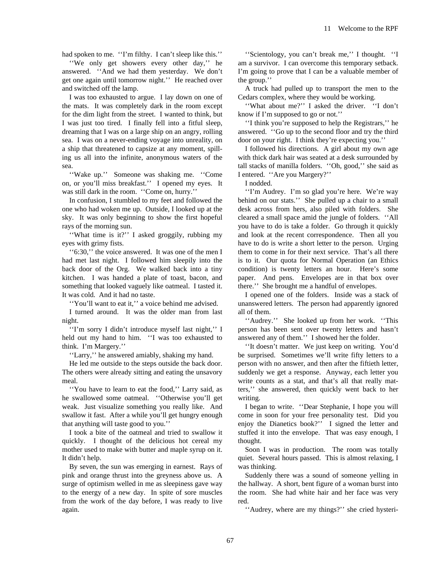had spoken to me. "I'm filthy. I can't sleep like this."

''We only get showers every other day,'' he answered. ''And we had them yesterday. We don't get one again until tomorrow night.'' He reached over and switched off the lamp.

I was too exhausted to argue. I lay down on one of the mats. It was completely dark in the room except for the dim light from the street. I wanted to think, but I was just too tired. I finally fell into a fitful sleep, dreaming that I was on a large ship on an angry, rolling sea. I was on a never-ending voyage into unreality, on a ship that threatened to capsize at any moment, spilling us all into the infinite, anonymous waters of the sea.

''Wake up.'' Someone was shaking me. ''Come on, or you'll miss breakfast.'' I opened my eyes. It was still dark in the room. ''Come on, hurry.''

In confusion, I stumbled to my feet and followed the one who had woken me up. Outside, I looked up at the sky. It was only beginning to show the first hopeful rays of the morning sun.

''What time is it?'' I asked groggily, rubbing my eyes with grimy fists.

''6:30,'' the voice answered. It was one of the men I had met last night. I followed him sleepily into the back door of the Org. We walked back into a tiny kitchen. I was handed a plate of toast, bacon, and something that looked vaguely like oatmeal. I tasted it. It was cold. And it had no taste.

''You'll want to eat it,'' a voice behind me advised.

I turned around. It was the older man from last night.

''I'm sorry I didn't introduce myself last night,'' I held out my hand to him. ''I was too exhausted to think. I'm Margery.''

''Larry,'' he answered amiably, shaking my hand.

He led me outside to the steps outside the back door. The others were already sitting and eating the unsavory meal.

''You have to learn to eat the food,'' Larry said, as he swallowed some oatmeal. ''Otherwise you'll get weak. Just visualize something you really like. And swallow it fast. After a while you'll get hungry enough that anything will taste good to you.''

I took a bite of the oatmeal and tried to swallow it quickly. I thought of the delicious hot cereal my mother used to make with butter and maple syrup on it. It didn't help.

By seven, the sun was emerging in earnest. Rays of pink and orange thrust into the greyness above us. A surge of optimism welled in me as sleepiness gave way to the energy of a new day. In spite of sore muscles from the work of the day before, I was ready to live again.

''Scientology, you can't break me,'' I thought. ''I am a survivor. I can overcome this temporary setback. I'm going to prove that I can be a valuable member of the group.''

A truck had pulled up to transport the men to the Cedars complex, where they would be working.

''What about me?'' I asked the driver. ''I don't know if I'm supposed to go or not.''

''I think you're supposed to help the Registrars,'' he answered. ''Go up to the second floor and try the third door on your right. I think they're expecting you.''

I followed his directions. A girl about my own age with thick dark hair was seated at a desk surrounded by tall stacks of manilla folders. ''Oh, good,'' she said as I entered. ''Are you Margery?''

I nodded.

''I'm Audrey. I'm so glad you're here. We're way behind on our stats.'' She pulled up a chair to a small desk across from hers, also piled with folders. She cleared a small space amid the jungle of folders. ''All you have to do is take a folder. Go through it quickly and look at the recent correspondence. Then all you have to do is write a short letter to the person. Urging them to come in for their next service. That's all there is to it. Our quota for Normal Operation (an Ethics condition) is twenty letters an hour. Here's some paper. And pens. Envelopes are in that box over there.'' She brought me a handful of envelopes.

I opened one of the folders. Inside was a stack of unanswered letters. The person had apparently ignored all of them.

''Audrey.'' She looked up from her work. ''This person has been sent over twenty letters and hasn't answered any of them.'' I showed her the folder.

''It doesn't matter. We just keep on writing. You'd be surprised. Sometimes we'll write fifty letters to a person with no answer, and then after the fiftieth letter, suddenly we get a response. Anyway, each letter you write counts as a stat, and that's all that really matters,'' she answered, then quickly went back to her writing.

I began to write. ''Dear Stephanie, I hope you will come in soon for your free personality test. Did you enjoy the Dianetics book?'' I signed the letter and stuffed it into the envelope. That was easy enough, I thought.

Soon I was in production. The room was totally quiet. Several hours passed. This is almost relaxing, I was thinking.

Suddenly there was a sound of someone yelling in the hallway. A short, bent figure of a woman burst into the room. She had white hair and her face was very red.

''Audrey, where are my things?'' she cried hysteri-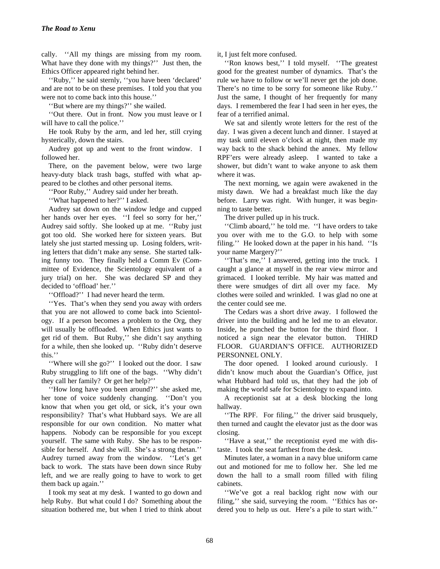cally. ''All my things are missing from my room. What have they done with my things?'' Just then, the Ethics Officer appeared right behind her.

''Ruby,'' he said sternly, ''you have been 'declared' and are not to be on these premises. I told you that you were not to come back into this house.''

''But where are my things?'' she wailed.

''Out there. Out in front. Now you must leave or I will have to call the police."

He took Ruby by the arm, and led her, still crying hysterically, down the stairs.

Audrey got up and went to the front window. I followed her.

There, on the pavement below, were two large heavy-duty black trash bags, stuffed with what appeared to be clothes and other personal items.

''Poor Ruby,'' Audrey said under her breath.

''What happened to her?'' I asked.

Audrey sat down on the window ledge and cupped her hands over her eyes. ''I feel so sorry for her,'' Audrey said softly. She looked up at me. ''Ruby just got too old. She worked here for sixteen years. But lately she just started messing up. Losing folders, writing letters that didn't make any sense. She started talking funny too. They finally held a Comm Ev (Committee of Evidence, the Scientology equivalent of a jury trial) on her. She was declared SP and they decided to 'offload' her.''

''Offload?'' I had never heard the term.

''Yes. That's when they send you away with orders that you are not allowed to come back into Scientology. If a person becomes a problem to the Org, they will usually be offloaded. When Ethics just wants to get rid of them. But Ruby,'' she didn't say anything for a while, then she looked up. ''Ruby didn't deserve this.''

''Where will she go?'' I looked out the door. I saw Ruby struggling to lift one of the bags. ''Why didn't they call her family? Or get her help?''

''How long have you been around?'' she asked me, her tone of voice suddenly changing. ''Don't you know that when you get old, or sick, it's your own responsibility? That's what Hubbard says. We are all responsible for our own condition. No matter what happens. Nobody can be responsible for you except yourself. The same with Ruby. She has to be responsible for herself. And she will. She's a strong thetan.'' Audrey turned away from the window. ''Let's get back to work. The stats have been down since Ruby left, and we are really going to have to work to get them back up again.''

I took my seat at my desk. I wanted to go down and help Ruby. But what could I do? Something about the situation bothered me, but when I tried to think about it, I just felt more confused.

''Ron knows best,'' I told myself. ''The greatest good for the greatest number of dynamics. That's the rule we have to follow or we'll never get the job done. There's no time to be sorry for someone like Ruby.'' Just the same, I thought of her frequently for many days. I remembered the fear I had seen in her eyes, the fear of a terrified animal.

We sat and silently wrote letters for the rest of the day. I was given a decent lunch and dinner. I stayed at my task until eleven o'clock at night, then made my way back to the shack behind the annex. My fellow RPF'ers were already asleep. I wanted to take a shower, but didn't want to wake anyone to ask them where it was.

The next morning, we again were awakened in the misty dawn. We had a breakfast much like the day before. Larry was right. With hunger, it was beginning to taste better.

The driver pulled up in his truck.

''Climb aboard,'' he told me. ''I have orders to take you over with me to the G.O. to help with some filing.'' He looked down at the paper in his hand. ''Is your name Margery?''

''That's me,'' I answered, getting into the truck. I caught a glance at myself in the rear view mirror and grimaced. I looked terrible. My hair was matted and there were smudges of dirt all over my face. My clothes were soiled and wrinkled. I was glad no one at the center could see me.

The Cedars was a short drive away. I followed the driver into the building and he led me to an elevator. Inside, he punched the button for the third floor. I noticed a sign near the elevator button. THIRD FLOOR. GUARDIAN'S OFFICE. AUTHORIZED PERSONNEL ONLY.

The door opened. I looked around curiously. I didn't know much about the Guardian's Office, just what Hubbard had told us, that they had the job of making the world safe for Scientology to expand into.

A receptionist sat at a desk blocking the long hallway.

''The RPF. For filing,'' the driver said brusquely, then turned and caught the elevator just as the door was closing.

''Have a seat,'' the receptionist eyed me with distaste. I took the seat farthest from the desk.

Minutes later, a woman in a navy blue uniform came out and motioned for me to follow her. She led me down the hall to a small room filled with filing cabinets.

''We've got a real backlog right now with our filing,'' she said, surveying the room. ''Ethics has ordered you to help us out. Here's a pile to start with.''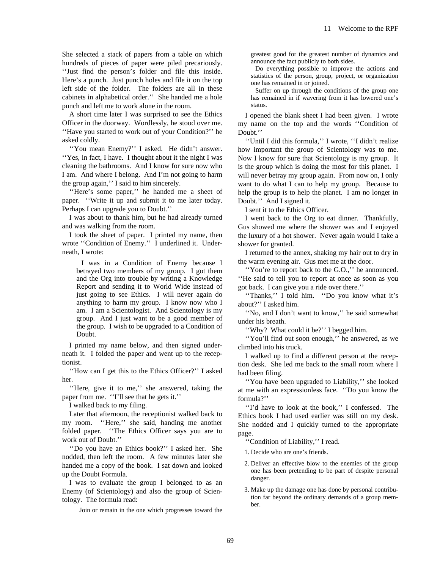She selected a stack of papers from a table on which hundreds of pieces of paper were piled precariously. ''Just find the person's folder and file this inside. Here's a punch. Just punch holes and file it on the top left side of the folder. The folders are all in these cabinets in alphabetical order.'' She handed me a hole punch and left me to work alone in the room.

A short time later I was surprised to see the Ethics Officer in the doorway. Wordlessly, he stood over me. ''Have you started to work out of your Condition?'' he asked coldly.

''You mean Enemy?'' I asked. He didn't answer. ''Yes, in fact, I have. I thought about it the night I was cleaning the bathrooms. And I know for sure now who I am. And where I belong. And I'm not going to harm the group again,'' I said to him sincerely.

''Here's some paper,'' he handed me a sheet of paper. ''Write it up and submit it to me later today. Perhaps I can upgrade you to Doubt.''

I was about to thank him, but he had already turned and was walking from the room.

I took the sheet of paper. I printed my name, then wrote ''Condition of Enemy.'' I underlined it. Underneath, I wrote:

I was in a Condition of Enemy because I betrayed two members of my group. I got them and the Org into trouble by writing a Knowledge Report and sending it to World Wide instead of just going to see Ethics. I will never again do anything to harm my group. I know now who I am. I am a Scientologist. And Scientology is my group. And I just want to be a good member of the group. I wish to be upgraded to a Condition of Doubt.

I printed my name below, and then signed underneath it. I folded the paper and went up to the receptionist.

''How can I get this to the Ethics Officer?'' I asked her.

''Here, give it to me,'' she answered, taking the paper from me. "I'll see that he gets it."

I walked back to my filing.

Later that afternoon, the receptionist walked back to my room. ''Here,'' she said, handing me another folded paper. ''The Ethics Officer says you are to work out of Doubt.''

''Do you have an Ethics book?'' I asked her. She nodded, then left the room. A few minutes later she handed me a copy of the book. I sat down and looked up the Doubt Formula.

I was to evaluate the group I belonged to as an Enemy (of Scientology) and also the group of Scientology. The formula read:

Join or remain in the one which progresses toward the

greatest good for the greatest number of dynamics and announce the fact publicly to both sides.

Do everything possible to improve the actions and statistics of the person, group, project, or organization one has remained in or joined.

Suffer on up through the conditions of the group one has remained in if wavering from it has lowered one's status.

I opened the blank sheet I had been given. I wrote my name on the top and the words ''Condition of Doubt.''

''Until I did this formula,'' I wrote, ''I didn't realize how important the group of Scientology was to me. Now I know for sure that Scientology is my group. It is the group which is doing the most for this planet. I will never betray my group again. From now on, I only want to do what I can to help my group. Because to help the group is to help the planet. I am no longer in Doubt.'' And I signed it.

I sent it to the Ethics Officer.

I went back to the Org to eat dinner. Thankfully, Gus showed me where the shower was and I enjoyed the luxury of a hot shower. Never again would I take a shower for granted.

I returned to the annex, shaking my hair out to dry in the warm evening air. Gus met me at the door.

''You're to report back to the G.O.,'' he announced. ''He said to tell you to report at once as soon as you got back. I can give you a ride over there.''

''Thanks,'' I told him. ''Do you know what it's about?'' I asked him.

''No, and I don't want to know,'' he said somewhat under his breath.

''Why? What could it be?'' I begged him.

''You'll find out soon enough,'' he answered, as we climbed into his truck.

I walked up to find a different person at the reception desk. She led me back to the small room where I had been filing.

''You have been upgraded to Liability,'' she looked at me with an expressionless face. ''Do you know the formula?''

''I'd have to look at the book,'' I confessed. The Ethics book I had used earlier was still on my desk. She nodded and I quickly turned to the appropriate page.

''Condition of Liability,'' I read.

1. Decide who are one's friends.

- 2. Deliver an effective blow to the enemies of the group one has been pretending to be part of despite personal danger.
- 3. Make up the damage one has done by personal contribution far beyond the ordinary demands of a group member.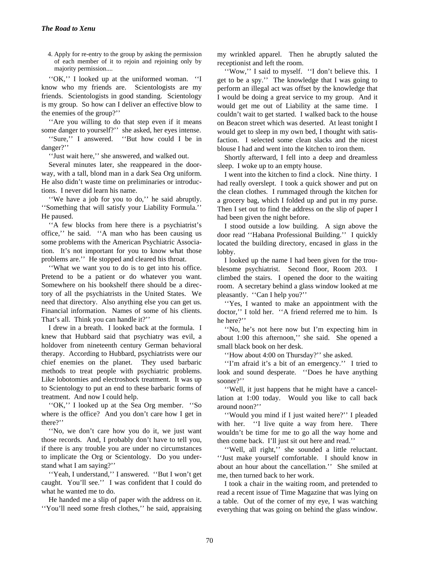4. Apply for re-entry to the group by asking the permission of each member of it to rejoin and rejoining only by majority permission....

''OK,'' I looked up at the uniformed woman. ''I know who my friends are. Scientologists are my friends. Scientologists in good standing. Scientology is my group. So how can I deliver an effective blow to the enemies of the group?''

''Are you willing to do that step even if it means some danger to yourself?'' she asked, her eyes intense. ''Sure,'' I answered. ''But how could I be in danger?''

''Just wait here,'' she answered, and walked out.

Several minutes later, she reappeared in the doorway, with a tall, blond man in a dark Sea Org uniform. He also didn't waste time on preliminaries or introductions. I never did learn his name.

''We have a job for you to do,'' he said abruptly. ''Something that will satisfy your Liability Formula.'' He paused.

''A few blocks from here there is a psychiatrist's office,'' he said. ''A man who has been causing us some problems with the American Psychiatric Association. It's not important for you to know what those problems are.'' He stopped and cleared his throat.

''What we want you to do is to get into his office. Pretend to be a patient or do whatever you want. Somewhere on his bookshelf there should be a directory of all the psychiatrists in the United States. We need that directory. Also anything else you can get us. Financial information. Names of some of his clients. That's all. Think you can handle it?''

I drew in a breath. I looked back at the formula. I knew that Hubbard said that psychiatry was evil, a holdover from nineteenth century German behavioral therapy. According to Hubbard, psychiatrists were our chief enemies on the planet. They used barbaric methods to treat people with psychiatric problems. Like lobotomies and electroshock treatment. It was up to Scientology to put an end to these barbaric forms of treatment. And now I could help.

''OK,'' I looked up at the Sea Org member. ''So where is the office? And you don't care how I get in there?''

''No, we don't care how you do it, we just want those records. And, I probably don't have to tell you, if there is any trouble you are under no circumstances to implicate the Org or Scientology. Do you understand what I am saying?''

''Yeah, I understand,'' I answered. ''But I won't get caught. You'll see.'' I was confident that I could do what he wanted me to do.

He handed me a slip of paper with the address on it. ''You'll need some fresh clothes,'' he said, appraising my wrinkled apparel. Then he abruptly saluted the receptionist and left the room.

''Wow,'' I said to myself. ''I don't believe this. I get to be a spy.'' The knowledge that I was going to perform an illegal act was offset by the knowledge that I would be doing a great service to my group. And it would get me out of Liability at the same time. I couldn't wait to get started. I walked back to the house on Beacon street which was deserted. At least tonight I would get to sleep in my own bed, I thought with satisfaction. I selected some clean slacks and the nicest blouse I had and went into the kitchen to iron them.

Shortly afterward, I fell into a deep and dreamless sleep. I woke up to an empty house.

I went into the kitchen to find a clock. Nine thirty. I had really overslept. I took a quick shower and put on the clean clothes. I rummaged through the kitchen for a grocery bag, which I folded up and put in my purse. Then I set out to find the address on the slip of paper I had been given the night before.

I stood outside a low building. A sign above the door read ''Habana Professional Building.'' I quickly located the building directory, encased in glass in the lobby.

I looked up the name I had been given for the troublesome psychiatrist. Second floor, Room 203. I climbed the stairs. I opened the door to the waiting room. A secretary behind a glass window looked at me pleasantly. ''Can I help you?''

''Yes, I wanted to make an appointment with the doctor,'' I told her. ''A friend referred me to him. Is he here?''

''No, he's not here now but I'm expecting him in about 1:00 this afternoon,'' she said. She opened a small black book on her desk.

''How about 4:00 on Thursday?'' she asked.

''I'm afraid it's a bit of an emergency.'' I tried to look and sound desperate. ''Does he have anything sooner?''

''Well, it just happens that he might have a cancellation at 1:00 today. Would you like to call back around noon?''

''Would you mind if I just waited here?'' I pleaded with her. "I live quite a way from here. There wouldn't be time for me to go all the way home and then come back. I'll just sit out here and read.''

''Well, all right,'' she sounded a little reluctant. ''Just make yourself comfortable. I should know in about an hour about the cancellation.'' She smiled at me, then turned back to her work.

I took a chair in the waiting room, and pretended to read a recent issue of Time Magazine that was lying on a table. Out of the corner of my eye, I was watching everything that was going on behind the glass window.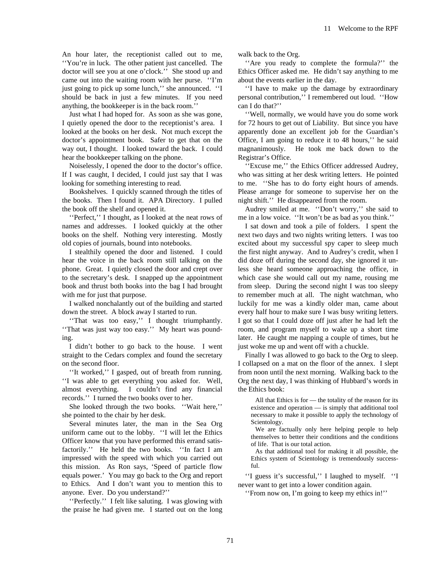An hour later, the receptionist called out to me, ''You're in luck. The other patient just cancelled. The doctor will see you at one o'clock.'' She stood up and came out into the waiting room with her purse. ''I'm just going to pick up some lunch,'' she announced. ''I should be back in just a few minutes. If you need anything, the bookkeeper is in the back room.''

Just what I had hoped for. As soon as she was gone, I quietly opened the door to the receptionist's area. I looked at the books on her desk. Not much except the doctor's appointment book. Safer to get that on the way out, I thought. I looked toward the back. I could hear the bookkeeper talking on the phone.

Noiselessly, I opened the door to the doctor's office. If I was caught, I decided, I could just say that I was looking for something interesting to read.

Bookshelves. I quickly scanned through the titles of the books. Then I found it. APA Directory. I pulled the book off the shelf and opened it.

''Perfect,'' I thought, as I looked at the neat rows of names and addresses. I looked quickly at the other books on the shelf. Nothing very interesting. Mostly old copies of journals, bound into notebooks.

I stealthily opened the door and listened. I could hear the voice in the back room still talking on the phone. Great. I quietly closed the door and crept over to the secretary's desk. I snapped up the appointment book and thrust both books into the bag I had brought with me for just that purpose.

I walked nonchalantly out of the building and started down the street. A block away I started to run.

''That was too easy,'' I thought triumphantly. ''That was just way too easy.'' My heart was pounding.

I didn't bother to go back to the house. I went straight to the Cedars complex and found the secretary on the second floor.

''It worked,'' I gasped, out of breath from running. ''I was able to get everything you asked for. Well, almost everything. I couldn't find any financial records.'' I turned the two books over to her.

She looked through the two books. ''Wait here,'' she pointed to the chair by her desk.

Several minutes later, the man in the Sea Org uniform came out to the lobby. ''I will let the Ethics Officer know that you have performed this errand satisfactorily.'' He held the two books. ''In fact I am impressed with the speed with which you carried out this mission. As Ron says, 'Speed of particle flow equals power.' You may go back to the Org and report to Ethics. And I don't want you to mention this to anyone. Ever. Do you understand?''

''Perfectly.'' I felt like saluting. I was glowing with the praise he had given me. I started out on the long walk back to the Org.

''Are you ready to complete the formula?'' the Ethics Officer asked me. He didn't say anything to me about the events earlier in the day.

''I have to make up the damage by extraordinary personal contribution,'' I remembered out loud. ''How can I do that?''

''Well, normally, we would have you do some work for 72 hours to get out of Liability. But since you have apparently done an excellent job for the Guardian's Office, I am going to reduce it to 48 hours,'' he said magnanimously. He took me back down to the Registrar's Office.

''Excuse me,'' the Ethics Officer addressed Audrey, who was sitting at her desk writing letters. He pointed to me. ''She has to do forty eight hours of amends. Please arrange for someone to supervise her on the night shift.'' He disappeared from the room.

Audrey smiled at me. ''Don't worry,'' she said to me in a low voice. ''It won't be as bad as you think.''

I sat down and took a pile of folders. I spent the next two days and two nights writing letters. I was too excited about my successful spy caper to sleep much the first night anyway. And to Audrey's credit, when I did doze off during the second day, she ignored it unless she heard someone approaching the office, in which case she would call out my name, rousing me from sleep. During the second night I was too sleepy to remember much at all. The night watchman, who luckily for me was a kindly older man, came about every half hour to make sure I was busy writing letters. I got so that I could doze off just after he had left the room, and program myself to wake up a short time later. He caught me napping a couple of times, but he just woke me up and went off with a chuckle.

Finally I was allowed to go back to the Org to sleep. I collapsed on a mat on the floor of the annex. I slept from noon until the next morning. Walking back to the Org the next day, I was thinking of Hubbard's words in the Ethics book:

All that Ethics is for — the totality of the reason for its existence and operation — is simply that additional tool necessary to make it possible to apply the technology of Scientology.

We are factually only here helping people to help themselves to better their conditions and the conditions of life. That is our total action.

As that additional tool for making it all possible, the Ethics system of Scientology is tremendously successful.

''I guess it's successful,'' I laughed to myself. ''I never want to get into a lower condition again.

''From now on, I'm going to keep my ethics in!''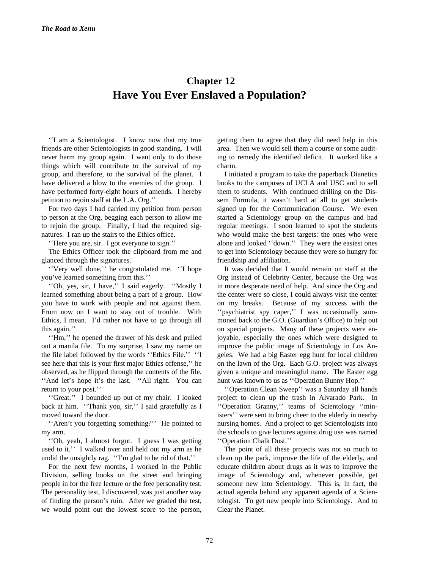## **Chapter 12 Have You Ever Enslaved a Population?**

''I am a Scientologist. I know now that my true friends are other Scientologists in good standing. I will never harm my group again. I want only to do those things which will contribute to the survival of my group, and therefore, to the survival of the planet. I have delivered a blow to the enemies of the group. I have performed forty-eight hours of amends. I hereby petition to rejoin staff at the L.A. Org.''

For two days I had carried my petition from person to person at the Org, begging each person to allow me to rejoin the group. Finally, I had the required signatures. I ran up the stairs to the Ethics office.

''Here you are, sir. I got everyone to sign.''

The Ethics Officer took the clipboard from me and glanced through the signatures.

''Very well done,'' he congratulated me. ''I hope you've learned something from this.''

''Oh, yes, sir, I have,'' I said eagerly. ''Mostly I learned something about being a part of a group. How you have to work with people and not against them. From now on I want to stay out of trouble. With Ethics, I mean. I'd rather not have to go through all this again.''

''Hm,'' he opened the drawer of his desk and pulled out a manila file. To my surprise, I saw my name on the file label followed by the words ''Ethics File.'' ''I see here that this is your first major Ethics offense,'' he observed, as he flipped through the contents of the file. ''And let's hope it's the last. ''All right. You can return to your post.''

''Great.'' I bounded up out of my chair. I looked back at him. ''Thank you, sir,'' I said gratefully as I moved toward the door.

''Aren't you forgetting something?'' He pointed to my arm.

''Oh, yeah, I almost forgot. I guess I was getting used to it.'' I walked over and held out my arm as he undid the unsightly rag. ''I'm glad to be rid of that.''

For the next few months, I worked in the Public Division, selling books on the street and bringing people in for the free lecture or the free personality test. The personality test, I discovered, was just another way of finding the person's ruin. After we graded the test, we would point out the lowest score to the person, getting them to agree that they did need help in this area. Then we would sell them a course or some auditing to remedy the identified deficit. It worked like a charm.

I initiated a program to take the paperback Dianetics books to the campuses of UCLA and USC and to sell them to students. With continued drilling on the Dissem Formula, it wasn't hard at all to get students signed up for the Communication Course. We even started a Scientology group on the campus and had regular meetings. I soon learned to spot the students who would make the best targets: the ones who were alone and looked ''down.'' They were the easiest ones to get into Scientology because they were so hungry for friendship and affiliation.

It was decided that I would remain on staff at the Org instead of Celebrity Center, because the Org was in more desperate need of help. And since the Org and the center were so close, I could always visit the center on my breaks. Because of my success with the ''psychiatrist spy caper,'' I was occasionally summoned back to the G.O. (Guardian's Office) to help out on special projects. Many of these projects were enjoyable, especially the ones which were designed to improve the public image of Scientology in Los Angeles. We had a big Easter egg hunt for local children on the lawn of the Org. Each G.O. project was always given a unique and meaningful name. The Easter egg hunt was known to us as ''Operation Bunny Hop.''

''Operation Clean Sweep'' was a Saturday all hands project to clean up the trash in Alvarado Park. In ''Operation Granny,'' teams of Scientology ''ministers'' were sent to bring cheer to the elderly in nearby nursing homes. And a project to get Scientologists into the schools to give lectures against drug use was named ''Operation Chalk Dust.''

The point of all these projects was not so much to clean up the park, improve the life of the elderly, and educate children about drugs as it was to improve the image of Scientology and, whenever possible, get someone new into Scientology. This is, in fact, the actual agenda behind any apparent agenda of a Scientologist. To get new people into Scientology. And to Clear the Planet.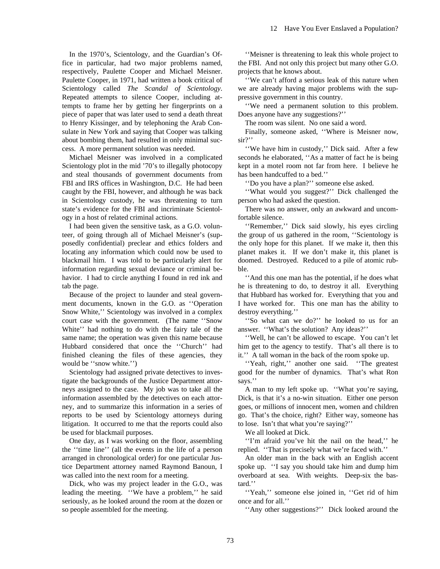In the 1970's, Scientology, and the Guardian's Office in particular, had two major problems named, respectively, Paulette Cooper and Michael Meisner. Paulette Cooper, in 1971, had written a book critical of Scientology called *The Scandal of Scientology*. Repeated attempts to silence Cooper, including attempts to frame her by getting her fingerprints on a piece of paper that was later used to send a death threat to Henry Kissinger, and by telephoning the Arab Consulate in New York and saying that Cooper was talking about bombing them, had resulted in only minimal success. A more permanent solution was needed.

Michael Meisner was involved in a complicated Scientology plot in the mid '70's to illegally photocopy and steal thousands of government documents from FBI and IRS offices in Washington, D.C. He had been caught by the FBI, however, and although he was back in Scientology custody, he was threatening to turn state's evidence for the FBI and incriminate Scientology in a host of related criminal actions.

I had been given the sensitive task, as a G.O. volunteer, of going through all of Michael Meisner's (supposedly confidential) preclear and ethics folders and locating any information which could now be used to blackmail him. I was told to be particularly alert for information regarding sexual deviance or criminal behavior. I had to circle anything I found in red ink and tab the page.

Because of the project to launder and steal government documents, known in the G.O. as ''Operation Snow White,'' Scientology was involved in a complex court case with the government. (The name ''Snow White'' had nothing to do with the fairy tale of the same name; the operation was given this name because Hubbard considered that once the ''Church'' had finished cleaning the files of these agencies, they would be ''snow white.'')

Scientology had assigned private detectives to investigate the backgrounds of the Justice Department attorneys assigned to the case. My job was to take all the information assembled by the detectives on each attorney, and to summarize this information in a series of reports to be used by Scientology attorneys during litigation. It occurred to me that the reports could also be used for blackmail purposes.

One day, as I was working on the floor, assembling the ''time line'' (all the events in the life of a person arranged in chronological order) for one particular Justice Department attorney named Raymond Banoun, I was called into the next room for a meeting.

Dick, who was my project leader in the G.O., was leading the meeting. ''We have a problem,'' he said seriously, as he looked around the room at the dozen or so people assembled for the meeting.

''Meisner is threatening to leak this whole project to the FBI. And not only this project but many other G.O. projects that he knows about.

''We can't afford a serious leak of this nature when we are already having major problems with the suppressive government in this country.

''We need a permanent solution to this problem. Does anyone have any suggestions?''

The room was silent. No one said a word.

Finally, someone asked, ''Where is Meisner now, sir?''

''We have him in custody,'' Dick said. After a few seconds he elaborated, ''As a matter of fact he is being kept in a motel room not far from here. I believe he has been handcuffed to a bed.''

''Do you have a plan?'' someone else asked.

''What would you suggest?'' Dick challenged the person who had asked the question.

There was no answer, only an awkward and uncomfortable silence.

''Remember,'' Dick said slowly, his eyes circling the group of us gathered in the room, ''Scientology is the only hope for this planet. If we make it, then this planet makes it. If we don't make it, this planet is doomed. Destroyed. Reduced to a pile of atomic rubble.

''And this one man has the potential, if he does what he is threatening to do, to destroy it all. Everything that Hubbard has worked for. Everything that you and I have worked for. This one man has the ability to destroy everything.''

''So what can we do?'' he looked to us for an answer. ''What's the solution? Any ideas?''

''Well, he can't be allowed to escape. You can't let him get to the agency to testify. That's all there is to it.'' A tall woman in the back of the room spoke up.

''Yeah, right,'' another one said. ''The greatest good for the number of dynamics. That's what Ron says.''

A man to my left spoke up. ''What you're saying, Dick, is that it's a no-win situation. Either one person goes, or millions of innocent men, women and children go. That's the choice, right? Either way, someone has to lose. Isn't that what you're saying?''

We all looked at Dick.

''I'm afraid you've hit the nail on the head,'' he replied. ''That is precisely what we're faced with.''

An older man in the back with an English accent spoke up. ''I say you should take him and dump him overboard at sea. With weights. Deep-six the bastard.''

''Yeah,'' someone else joined in, ''Get rid of him once and for all.''

''Any other suggestions?'' Dick looked around the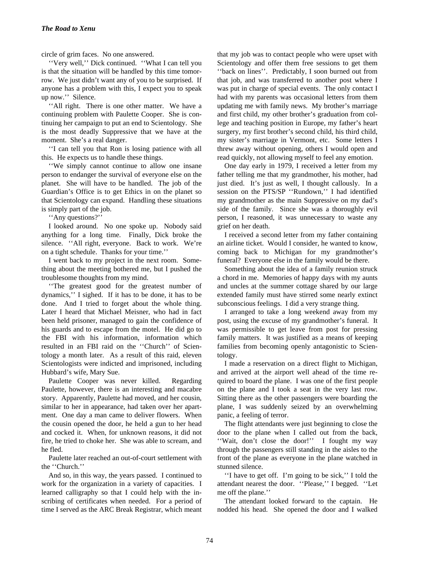circle of grim faces. No one answered.

''Very well,'' Dick continued. ''What I can tell you is that the situation will be handled by this time tomorrow. We just didn't want any of you to be surprised. If anyone has a problem with this, I expect you to speak up now.'' Silence.

''All right. There is one other matter. We have a continuing problem with Paulette Cooper. She is continuing her campaign to put an end to Scientology. She is the most deadly Suppressive that we have at the moment. She's a real danger.

''I can tell you that Ron is losing patience with all this. He expects us to handle these things.

''We simply cannot continue to allow one insane person to endanger the survival of everyone else on the planet. She will have to be handled. The job of the Guardian's Office is to get Ethics in on the planet so that Scientology can expand. Handling these situations is simply part of the job.

''Any questions?''

I looked around. No one spoke up. Nobody said anything for a long time. Finally, Dick broke the silence. ''All right, everyone. Back to work. We're on a tight schedule. Thanks for your time.''

I went back to my project in the next room. Something about the meeting bothered me, but I pushed the troublesome thoughts from my mind.

''The greatest good for the greatest number of dynamics,'' I sighed. If it has to be done, it has to be done. And I tried to forget about the whole thing. Later I heard that Michael Meisner, who had in fact been held prisoner, managed to gain the confidence of his guards and to escape from the motel. He did go to the FBI with his information, information which resulted in an FBI raid on the ''Church'' of Scientology a month later. As a result of this raid, eleven Scientologists were indicted and imprisoned, including Hubbard's wife, Mary Sue.

Paulette Cooper was never killed. Regarding Paulette, however, there is an interesting and macabre story. Apparently, Paulette had moved, and her cousin, similar to her in appearance, had taken over her apartment. One day a man came to deliver flowers. When the cousin opened the door, he held a gun to her head and cocked it. When, for unknown reasons, it did not fire, he tried to choke her. She was able to scream, and he fled.

Paulette later reached an out-of-court settlement with the ''Church.''

And so, in this way, the years passed. I continued to work for the organization in a variety of capacities. I learned calligraphy so that I could help with the inscribing of certificates when needed. For a period of time I served as the ARC Break Registrar, which meant that my job was to contact people who were upset with Scientology and offer them free sessions to get them ''back on lines''. Predictably, I soon burned out from that job, and was transferred to another post where I was put in charge of special events. The only contact I had with my parents was occasional letters from them updating me with family news. My brother's marriage and first child, my other brother's graduation from college and teaching position in Europe, my father's heart surgery, my first brother's second child, his third child, my sister's marriage in Vermont, etc. Some letters I threw away without opening, others I would open and read quickly, not allowing myself to feel any emotion.

One day early in 1979, I received a letter from my father telling me that my grandmother, his mother, had just died. It's just as well, I thought callously. In a session on the PTS/SP ''Rundown,'' I had identified my grandmother as the main Suppressive on my dad's side of the family. Since she was a thoroughly evil person, I reasoned, it was unnecessary to waste any grief on her death.

I received a second letter from my father containing an airline ticket. Would I consider, he wanted to know, coming back to Michigan for my grandmother's funeral? Everyone else in the family would be there.

Something about the idea of a family reunion struck a chord in me. Memories of happy days with my aunts and uncles at the summer cottage shared by our large extended family must have stirred some nearly extinct subconscious feelings. I did a very strange thing.

I arranged to take a long weekend away from my post, using the excuse of my grandmother's funeral. It was permissible to get leave from post for pressing family matters. It was justified as a means of keeping families from becoming openly antagonistic to Scientology.

I made a reservation on a direct flight to Michigan, and arrived at the airport well ahead of the time required to board the plane. I was one of the first people on the plane and I took a seat in the very last row. Sitting there as the other passengers were boarding the plane, I was suddenly seized by an overwhelming panic, a feeling of terror.

The flight attendants were just beginning to close the door to the plane when I called out from the back, ''Wait, don't close the door!'' I fought my way through the passengers still standing in the aisles to the front of the plane as everyone in the plane watched in stunned silence.

''I have to get off. I'm going to be sick,'' I told the attendant nearest the door. ''Please,'' I begged. ''Let me off the plane.''

The attendant looked forward to the captain. He nodded his head. She opened the door and I walked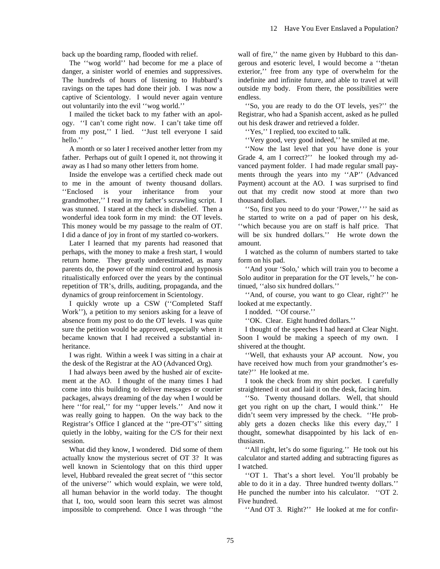back up the boarding ramp, flooded with relief.

The ''wog world'' had become for me a place of danger, a sinister world of enemies and suppressives. The hundreds of hours of listening to Hubbard's ravings on the tapes had done their job. I was now a captive of Scientology. I would never again venture out voluntarily into the evil ''wog world.''

I mailed the ticket back to my father with an apology. ''I can't come right now. I can't take time off from my post,'' I lied. ''Just tell everyone I said hello.''

A month or so later I received another letter from my father. Perhaps out of guilt I opened it, not throwing it away as I had so many other letters from home.

Inside the envelope was a certified check made out to me in the amount of twenty thousand dollars. ''Enclosed is your inheritance from your grandmother,'' I read in my father's scrawling script. I was stunned. I stared at the check in disbelief. Then a wonderful idea took form in my mind: the OT levels. This money would be my passage to the realm of OT. I did a dance of joy in front of my startled co-workers.

Later I learned that my parents had reasoned that perhaps, with the money to make a fresh start, I would return home. They greatly underestimated, as many parents do, the power of the mind control and hypnosis ritualistically enforced over the years by the continual repetition of TR's, drills, auditing, propaganda, and the dynamics of group reinforcement in Scientology.

I quickly wrote up a CSW (''Completed Staff Work''), a petition to my seniors asking for a leave of absence from my post to do the OT levels. I was quite sure the petition would be approved, especially when it became known that I had received a substantial inheritance.

I was right. Within a week I was sitting in a chair at the desk of the Registrar at the AO (Advanced Org).

I had always been awed by the hushed air of excitement at the AO. I thought of the many times I had come into this building to deliver messages or courier packages, always dreaming of the day when I would be here ''for real,'' for my ''upper levels.'' And now it was really going to happen. On the way back to the Registrar's Office I glanced at the ''pre-OT's'' sitting quietly in the lobby, waiting for the C/S for their next session.

What did they know, I wondered. Did some of them actually know the mysterious secret of OT 3? It was well known in Scientology that on this third upper level, Hubbard revealed the great secret of ''this sector of the universe'' which would explain, we were told, all human behavior in the world today. The thought that I, too, would soon learn this secret was almost impossible to comprehend. Once I was through ''the wall of fire," the name given by Hubbard to this dangerous and esoteric level, I would become a ''thetan exterior,'' free from any type of overwhelm for the indefinite and infinite future, and able to travel at will outside my body. From there, the possibilities were endless.

''So, you are ready to do the OT levels, yes?'' the Registrar, who had a Spanish accent, asked as he pulled out his desk drawer and retrieved a folder.

''Yes,'' I replied, too excited to talk.

''Very good, very good indeed,'' he smiled at me.

''Now the last level that you have done is your Grade 4, am I correct?'' he looked through my advanced payment folder. I had made regular small payments through the years into my ''AP'' (Advanced Payment) account at the AO. I was surprised to find out that my credit now stood at more than two thousand dollars.

''So, first you need to do your 'Power,''' he said as he started to write on a pad of paper on his desk, ''which because you are on staff is half price. That will be six hundred dollars." He wrote down the amount.

I watched as the column of numbers started to take form on his pad.

''And your 'Solo,' which will train you to become a Solo auditor in preparation for the OT levels,'' he continued, ''also six hundred dollars.''

''And, of course, you want to go Clear, right?'' he looked at me expectantly.

I nodded. ''Of course.''

''OK. Clear. Eight hundred dollars.''

I thought of the speeches I had heard at Clear Night. Soon I would be making a speech of my own. I shivered at the thought.

''Well, that exhausts your AP account. Now, you have received how much from your grandmother's estate?'' He looked at me.

I took the check from my shirt pocket. I carefully straightened it out and laid it on the desk, facing him.

''So. Twenty thousand dollars. Well, that should get you right on up the chart, I would think.'' He didn't seem very impressed by the check. ''He probably gets a dozen checks like this every day,'' I thought, somewhat disappointed by his lack of enthusiasm.

''All right, let's do some figuring.'' He took out his calculator and started adding and subtracting figures as I watched.

''OT 1. That's a short level. You'll probably be able to do it in a day. Three hundred twenty dollars.'' He punched the number into his calculator. ''OT 2. Five hundred.

''And OT 3. Right?'' He looked at me for confir-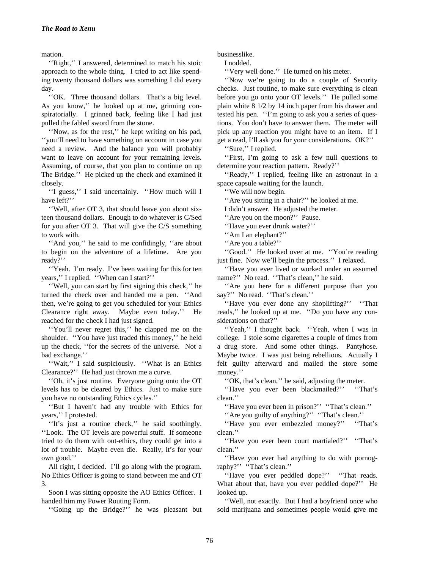mation.

''Right,'' I answered, determined to match his stoic approach to the whole thing. I tried to act like spending twenty thousand dollars was something I did every day.

''OK. Three thousand dollars. That's a big level. As you know,'' he looked up at me, grinning conspiratorially. I grinned back, feeling like I had just pulled the fabled sword from the stone.

''Now, as for the rest,'' he kept writing on his pad, ''you'll need to have something on account in case you need a review. And the balance you will probably want to leave on account for your remaining levels. Assuming, of course, that you plan to continue on up The Bridge.'' He picked up the check and examined it closely.

''I guess,'' I said uncertainly. ''How much will I have left?''

''Well, after OT 3, that should leave you about sixteen thousand dollars. Enough to do whatever is C/Sed for you after OT 3. That will give the C/S something to work with.

''And you,'' he said to me confidingly, ''are about to begin on the adventure of a lifetime. Are you ready?''

''Yeah. I'm ready. I've been waiting for this for ten years,'' I replied. ''When can I start?''

''Well, you can start by first signing this check,'' he turned the check over and handed me a pen. ''And then, we're going to get you scheduled for your Ethics Clearance right away. Maybe even today.'' He reached for the check I had just signed.

''You'll never regret this,'' he clapped me on the shoulder. ''You have just traded this money,'' he held up the check, ''for the secrets of the universe. Not a bad exchange.''

''Wait,'' I said suspiciously. ''What is an Ethics Clearance?'' He had just thrown me a curve.

''Oh, it's just routine. Everyone going onto the OT levels has to be cleared by Ethics. Just to make sure you have no outstanding Ethics cycles.''

''But I haven't had any trouble with Ethics for years,'' I protested.

''It's just a routine check,'' he said soothingly. ''Look. The OT levels are powerful stuff. If someone tried to do them with out-ethics, they could get into a lot of trouble. Maybe even die. Really, it's for your own good.''

All right, I decided. I'll go along with the program. No Ethics Officer is going to stand between me and OT 3.

Soon I was sitting opposite the AO Ethics Officer. I handed him my Power Routing Form.

''Going up the Bridge?'' he was pleasant but

businesslike.

I nodded.

''Very well done.'' He turned on his meter.

''Now we're going to do a couple of Security checks. Just routine, to make sure everything is clean before you go onto your OT levels.'' He pulled some plain white 8 1/2 by 14 inch paper from his drawer and tested his pen. ''I'm going to ask you a series of questions. You don't have to answer them. The meter will pick up any reaction you might have to an item. If I get a read, I'll ask you for your considerations. OK?''

''Sure,'' I replied.

''First, I'm going to ask a few null questions to determine your reaction pattern. Ready?''

''Ready,'' I replied, feeling like an astronaut in a space capsule waiting for the launch.

''We will now begin.

''Are you sitting in a chair?'' he looked at me.

I didn't answer. He adjusted the meter.

''Are you on the moon?'' Pause.

''Have you ever drunk water?''

''Am I an elephant?''

''Are you a table?''

''Good.'' He looked over at me. ''You're reading just fine. Now we'll begin the process.'' I relaxed.

''Have you ever lived or worked under an assumed name?" No read. "That's clean," he said.

''Are you here for a different purpose than you say?" No read. "That's clean."

''Have you ever done any shoplifting?'' ''That reads,'' he looked up at me. ''Do you have any considerations on that?''

''Yeah,'' I thought back. ''Yeah, when I was in college. I stole some cigarettes a couple of times from a drug store. And some other things. Pantyhose. Maybe twice. I was just being rebellious. Actually I felt guilty afterward and mailed the store some money.''

''OK, that's clean,'' he said, adjusting the meter.

''Have you ever been blackmailed?'' ''That's clean.''

''Have you ever been in prison?'' ''That's clean.''

''Are you guilty of anything?'' ''That's clean.''

''Have you ever embezzled money?'' ''That's clean.''

''Have you ever been court martialed?'' ''That's clean.''

''Have you ever had anything to do with pornography?'' ''That's clean.''

''Have you ever peddled dope?'' ''That reads. What about that, have you ever peddled dope?'' He looked up.

''Well, not exactly. But I had a boyfriend once who sold marijuana and sometimes people would give me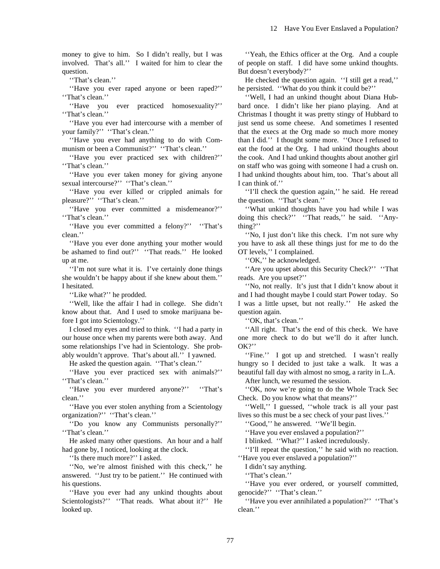money to give to him. So I didn't really, but I was involved. That's all.'' I waited for him to clear the question.

''That's clean.''

''Have you ever raped anyone or been raped?'' ''That's clean.''

''Have you ever practiced homosexuality?'' ''That's clean.''

''Have you ever had intercourse with a member of your family?'' ''That's clean.''

''Have you ever had anything to do with Communism or been a Communist?" "That's clean."

''Have you ever practiced sex with children?'' ''That's clean.''

''Have you ever taken money for giving anyone sexual intercourse?'' ''That's clean.''

''Have you ever killed or crippled animals for pleasure?'' ''That's clean.''

''Have you ever committed a misdemeanor?'' ''That's clean.''

''Have you ever committed a felony?'' ''That's clean.''

''Have you ever done anything your mother would be ashamed to find out?'' ''That reads.'' He looked up at me.

''I'm not sure what it is. I've certainly done things she wouldn't be happy about if she knew about them.'' I hesitated.

''Like what?'' he prodded.

''Well, like the affair I had in college. She didn't know about that. And I used to smoke marijuana before I got into Scientology.''

I closed my eyes and tried to think. ''I had a party in our house once when my parents were both away. And some relationships I've had in Scientology. She probably wouldn't approve. That's about all.'' I yawned.

He asked the question again. ''That's clean.''

''Have you ever practiced sex with animals?'' ''That's clean.''

''Have you ever murdered anyone?'' ''That's clean.''

''Have you ever stolen anything from a Scientology organization?'' ''That's clean.''

''Do you know any Communists personally?'' ''That's clean.''

He asked many other questions. An hour and a half had gone by, I noticed, looking at the clock.

''Is there much more?'' I asked.

''No, we're almost finished with this check,'' he answered. ''Just try to be patient.'' He continued with his questions.

''Have you ever had any unkind thoughts about Scientologists?'' ''That reads. What about it?'' He looked up.

''Yeah, the Ethics officer at the Org. And a couple of people on staff. I did have some unkind thoughts. But doesn't everybody?''

He checked the question again. ''I still get a read,'' he persisted. ''What do you think it could be?''

''Well, I had an unkind thought about Diana Hubbard once. I didn't like her piano playing. And at Christmas I thought it was pretty stingy of Hubbard to just send us some cheese. And sometimes I resented that the execs at the Org made so much more money than I did.'' I thought some more. ''Once I refused to eat the food at the Org. I had unkind thoughts about the cook. And I had unkind thoughts about another girl on staff who was going with someone I had a crush on. I had unkind thoughts about him, too. That's about all I can think of.''

''I'll check the question again,'' he said. He reread the question. ''That's clean.''

''What unkind thoughts have you had while I was doing this check?'' ''That reads,'' he said. ''Anything?''

''No, I just don't like this check. I'm not sure why you have to ask all these things just for me to do the OT levels,'' I complained.

''OK,'' he acknowledged.

''Are you upset about this Security Check?'' ''That reads. Are you upset?''

''No, not really. It's just that I didn't know about it and I had thought maybe I could start Power today. So I was a little upset, but not really.'' He asked the question again.

''OK, that's clean.''

''All right. That's the end of this check. We have one more check to do but we'll do it after lunch.  $OK?$ 

"Fine." I got up and stretched. I wasn't really hungry so I decided to just take a walk. It was a beautiful fall day with almost no smog, a rarity in L.A.

After lunch, we resumed the session.

''OK, now we're going to do the Whole Track Sec Check. Do you know what that means?''

''Well,'' I guessed, ''whole track is all your past lives so this must be a sec check of your past lives.''

''Good,'' he answered. ''We'll begin.

''Have you ever enslaved a population?''

I blinked. ''What?'' I asked incredulously.

''I'll repeat the question,'' he said with no reaction. ''Have you ever enslaved a population?''

I didn't say anything.

''That's clean.''

''Have you ever ordered, or yourself committed, genocide?'' ''That's clean.''

''Have you ever annihilated a population?'' ''That's clean.''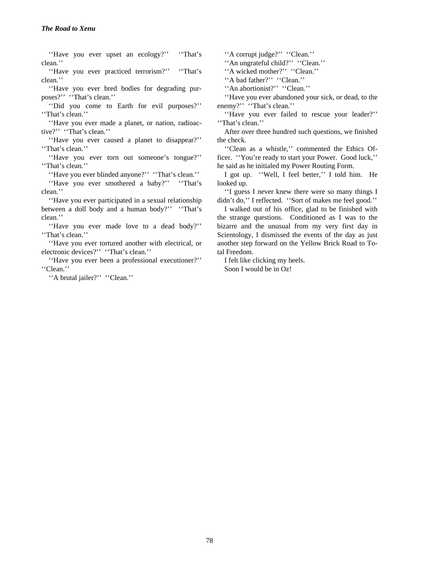''Have you ever upset an ecology?'' ''That's clean.''

''Have you ever practiced terrorism?'' ''That's clean.''

''Have you ever bred bodies for degrading purposes?'' ''That's clean.''

''Did you come to Earth for evil purposes?'' ''That's clean.''

''Have you ever made a planet, or nation, radioactive?'' ''That's clean.''

''Have you ever caused a planet to disappear?'' ''That's clean.''

''Have you ever torn out someone's tongue?'' ''That's clean.''

''Have you ever blinded anyone?'' ''That's clean.''

''Have you ever smothered a baby?'' ''That's clean.''

''Have you ever participated in a sexual relationship between a doll body and a human body?'' ''That's clean.''

''Have you ever made love to a dead body?'' ''That's clean.''

''Have you ever tortured another with electrical, or electronic devices?'' ''That's clean.''

''Have you ever been a professional executioner?'' ''Clean.''

''A brutal jailer?'' ''Clean.''

''A corrupt judge?'' ''Clean.''

''An ungrateful child?'' ''Clean.''

''A wicked mother?'' ''Clean.''

''A bad father?'' ''Clean.''

''An abortionist?'' ''Clean.''

''Have you ever abandoned your sick, or dead, to the enemy?" "That's clean."

''Have you ever failed to rescue your leader?'' ''That's clean.''

After over three hundred such questions, we finished the check.

''Clean as a whistle,'' commented the Ethics Officer. ''You're ready to start your Power. Good luck,'' he said as he initialed my Power Routing Form.

I got up. ''Well, I feel better,'' I told him. He looked up.

''I guess I never knew there were so many things I didn't do,'' I reflected. ''Sort of makes me feel good.''

I walked out of his office, glad to be finished with the strange questions. Conditioned as I was to the bizarre and the unusual from my very first day in Scientology, I dismissed the events of the day as just another step forward on the Yellow Brick Road to Total Freedom.

I felt like clicking my heels. Soon I would be in Oz!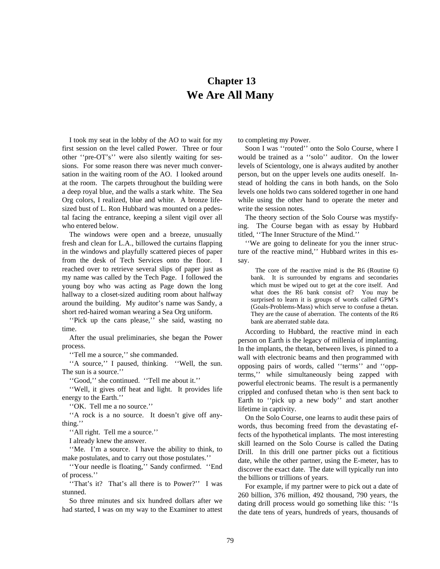## **Chapter 13 We Are All Many**

I took my seat in the lobby of the AO to wait for my first session on the level called Power. Three or four other ''pre-OT's'' were also silently waiting for sessions. For some reason there was never much conversation in the waiting room of the AO. I looked around at the room. The carpets throughout the building were a deep royal blue, and the walls a stark white. The Sea Org colors, I realized, blue and white. A bronze lifesized bust of L. Ron Hubbard was mounted on a pedestal facing the entrance, keeping a silent vigil over all who entered below.

The windows were open and a breeze, unusually fresh and clean for L.A., billowed the curtains flapping in the windows and playfully scattered pieces of paper from the desk of Tech Services onto the floor. I reached over to retrieve several slips of paper just as my name was called by the Tech Page. I followed the young boy who was acting as Page down the long hallway to a closet-sized auditing room about halfway around the building. My auditor's name was Sandy, a short red-haired woman wearing a Sea Org uniform.

''Pick up the cans please,'' she said, wasting no time.

After the usual preliminaries, she began the Power process.

''Tell me a source,'' she commanded.

''A source,'' I paused, thinking. ''Well, the sun. The sun is a source.''

''Good,'' she continued. ''Tell me about it.''

''Well, it gives off heat and light. It provides life energy to the Earth.''

''OK. Tell me a no source.''

''A rock is a no source. It doesn't give off anything.''

''All right. Tell me a source.''

I already knew the answer.

''Me. I'm a source. I have the ability to think, to make postulates, and to carry out those postulates.''

''Your needle is floating,'' Sandy confirmed. ''End of process.''

''That's it? That's all there is to Power?'' I was stunned.

So three minutes and six hundred dollars after we had started, I was on my way to the Examiner to attest to completing my Power.

Soon I was ''routed'' onto the Solo Course, where I would be trained as a ''solo'' auditor. On the lower levels of Scientology, one is always audited by another person, but on the upper levels one audits oneself. Instead of holding the cans in both hands, on the Solo levels one holds two cans soldered together in one hand while using the other hand to operate the meter and write the session notes.

The theory section of the Solo Course was mystifying. The Course began with as essay by Hubbard titled, ''The Inner Structure of the Mind.''

''We are going to delineate for you the inner structure of the reactive mind,'' Hubbard writes in this essay.

The core of the reactive mind is the R6 (Routine 6) bank. It is surrounded by engrams and secondaries which must be wiped out to get at the core itself. And what does the R6 bank consist of? You may be surprised to learn it is groups of words called GPM's (Goals-Problems-Mass) which serve to confuse a thetan. They are the cause of aberration. The contents of the R6 bank are aberrated stable data.

According to Hubbard, the reactive mind in each person on Earth is the legacy of millenia of implanting. In the implants, the thetan, between lives, is pinned to a wall with electronic beams and then programmed with opposing pairs of words, called ''terms'' and ''oppterms,'' while simultaneously being zapped with powerful electronic beams. The result is a permanently crippled and confused thetan who is then sent back to Earth to ''pick up a new body'' and start another lifetime in captivity.

On the Solo Course, one learns to audit these pairs of words, thus becoming freed from the devastating effects of the hypothetical implants. The most interesting skill learned on the Solo Course is called the Dating Drill. In this drill one partner picks out a fictitious date, while the other partner, using the E-meter, has to discover the exact date. The date will typically run into the billions or trillions of years.

For example, if my partner were to pick out a date of 260 billion, 376 million, 492 thousand, 790 years, the dating drill process would go something like this: ''Is the date tens of years, hundreds of years, thousands of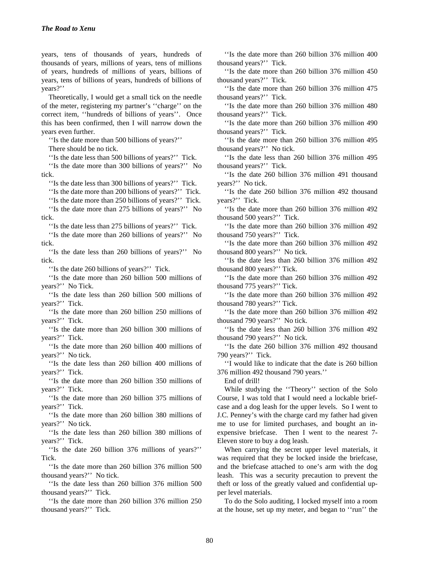years, tens of thousands of years, hundreds of thousands of years, millions of years, tens of millions of years, hundreds of millions of years, billions of years, tens of billions of years, hundreds of billions of years?''

Theoretically, I would get a small tick on the needle of the meter, registering my partner's ''charge'' on the correct item, ''hundreds of billions of years''. Once this has been confirmed, then I will narrow down the years even further.

''Is the date more than 500 billions of years?''

There should be no tick.

''Is the date less than 500 billions of years?'' Tick.

''Is the date more than 300 billions of years?'' No tick.

''Is the date less than 300 billions of years?'' Tick.

''Is the date more than 200 billions of years?'' Tick.

''Is the date more than 250 billions of years?'' Tick.

''Is the date more than 275 billions of years?'' No tick.

''Is the date less than 275 billions of years?'' Tick.

''Is the date more than 260 billions of years?'' No tick.

''Is the date less than 260 billions of years?'' No tick.

''Is the date 260 billions of years?'' Tick.

''Is the date more than 260 billion 500 millions of years?'' No Tick.

''Is the date less than 260 billion 500 millions of years?'' Tick.

''Is the date more than 260 billion 250 millions of years?'' Tick.

''Is the date more than 260 billion 300 millions of years?'' Tick.

''Is the date more than 260 billion 400 millions of years?'' No tick.

''Is the date less than 260 billion 400 millions of years?'' Tick.

''Is the date more than 260 billion 350 millions of years?'' Tick.

''Is the date more than 260 billion 375 millions of years?'' Tick.

''Is the date more than 260 billion 380 millions of years?'' No tick.

''Is the date less than 260 billion 380 millions of years?'' Tick.

''Is the date 260 billion 376 millions of years?'' Tick.

''Is the date more than 260 billion 376 million 500 thousand years?'' No tick.

''Is the date less than 260 billion 376 million 500 thousand years?'' Tick.

''Is the date more than 260 billion 376 million 250 thousand years?'' Tick.

''Is the date more than 260 billion 376 million 400 thousand years?'' Tick.

''Is the date more than 260 billion 376 million 450 thousand years?'' Tick.

''Is the date more than 260 billion 376 million 475 thousand years?'' Tick.

''Is the date more than 260 billion 376 million 480 thousand years?'' Tick.

''Is the date more than 260 billion 376 million 490 thousand years?'' Tick.

''Is the date more than 260 billion 376 million 495 thousand years?'' No tick.

''Is the date less than 260 billion 376 million 495 thousand years?'' Tick.

''Is the date 260 billion 376 million 491 thousand years?'' No tick.

''Is the date 260 billion 376 million 492 thousand years?'' Tick.

''Is the date more than 260 billion 376 million 492 thousand 500 years?'' Tick.

''Is the date more than 260 billion 376 million 492 thousand 750 years?'' Tick.

''Is the date more than 260 billion 376 million 492 thousand 800 years?'' No tick.

''Is the date less than 260 billion 376 million 492 thousand 800 years?'' Tick.

''Is the date more than 260 billion 376 million 492 thousand 775 years?'' Tick.

''Is the date more than 260 billion 376 million 492 thousand 780 years?'' Tick.

''Is the date more than 260 billion 376 million 492 thousand 790 years?'' No tick.

''Is the date less than 260 billion 376 million 492 thousand 790 years?'' No tick.

''Is the date 260 billion 376 million 492 thousand 790 years?'' Tick.

''I would like to indicate that the date is 260 billion 376 million 492 thousand 790 years.''

End of drill!

While studying the ''Theory'' section of the Solo Course, I was told that I would need a lockable briefcase and a dog leash for the upper levels. So I went to J.C. Penney's with the charge card my father had given me to use for limited purchases, and bought an inexpensive briefcase. Then I went to the nearest 7- Eleven store to buy a dog leash.

When carrying the secret upper level materials, it was required that they be locked inside the briefcase, and the briefcase attached to one's arm with the dog leash. This was a security precaution to prevent the theft or loss of the greatly valued and confidential upper level materials.

To do the Solo auditing, I locked myself into a room at the house, set up my meter, and began to ''run'' the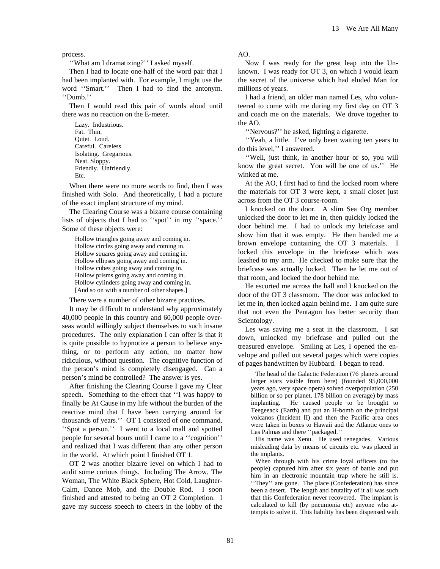process.

''What am I dramatizing?'' I asked myself.

Then I had to locate one-half of the word pair that I had been implanted with. For example, I might use the word ''Smart.'' Then I had to find the antonym. ''Dumb.''

Then I would read this pair of words aloud until there was no reaction on the E-meter.

Lazy. Industrious. Fat. Thin. Quiet. Loud. Careful. Careless. Isolating. Gregarious. Neat. Sloppy. Friendly. Unfriendly. Etc.

When there were no more words to find, then I was finished with Solo. And theoretically, I had a picture of the exact implant structure of my mind.

The Clearing Course was a bizarre course containing lists of objects that I had to ''spot'' in my ''space.'' Some of these objects were:

Hollow triangles going away and coming in. Hollow circles going away and coming in. Hollow squares going away and coming in. Hollow ellipses going away and coming in. Hollow cubes going away and coming in. Hollow prisms going away and coming in. Hollow cylinders going away and coming in. [And so on with a number of other shapes.]

There were a number of other bizarre practices.

It may be difficult to understand why approximately 40,000 people in this country and 60,000 people overseas would willingly subject themselves to such insane procedures. The only explanation I can offer is that it is quite possible to hypnotize a person to believe anything, or to perform any action, no matter how ridiculous, without question. The cognitive function of the person's mind is completely disengaged. Can a person's mind be controlled? The answer is yes.

After finishing the Clearing Course I gave my Clear speech. Something to the effect that ''I was happy to finally be At Cause in my life without the burden of the reactive mind that I have been carrying around for thousands of years.'' OT 1 consisted of one command. ''Spot a person.'' I went to a local mall and spotted people for several hours until I came to a ''cognition'' and realized that I was different than any other person in the world. At which point I finished OT 1.

OT 2 was another bizarre level on which I had to audit some curious things. Including The Arrow, The Woman, The White Black Sphere, Hot Cold, Laughter-Calm, Dance Mob, and the Double Rod. I soon finished and attested to being an OT 2 Completion. I gave my success speech to cheers in the lobby of the

AO.

Now I was ready for the great leap into the Unknown. I was ready for OT 3, on which I would learn the secret of the universe which had eluded Man for millions of years.

I had a friend, an older man named Les, who volunteered to come with me during my first day on OT 3 and coach me on the materials. We drove together to the AO.

''Nervous?'' he asked, lighting a cigarette.

''Yeah, a little. I've only been waiting ten years to do this level,'' I answered.

''Well, just think, in another hour or so, you will know the great secret. You will be one of us.'' He winked at me.

At the AO, I first had to find the locked room where the materials for OT 3 were kept, a small closet just across from the OT 3 course-room.

I knocked on the door. A slim Sea Org member unlocked the door to let me in, then quickly locked the door behind me. I had to unlock my briefcase and show him that it was empty. He then handed me a brown envelope containing the OT 3 materials. I locked this envelope in the briefcase which was leashed to my arm. He checked to make sure that the briefcase was actually locked. Then he let me out of that room, and locked the door behind me.

He escorted me across the hall and I knocked on the door of the OT 3 classroom. The door was unlocked to let me in, then locked again behind me. I am quite sure that not even the Pentagon has better security than Scientology.

Les was saving me a seat in the classroom. I sat down, unlocked my briefcase and pulled out the treasured envelope. Smiling at Les, I opened the envelope and pulled out several pages which were copies of pages handwritten by Hubbard. I began to read.

The head of the Galactic Federation (76 planets around larger stars visible from here) (founded 95,000,000 years ago, very space opera) solved overpopulation (250 billion or so per planet, 178 billion on average) by mass implanting. He caused people to be brought to Teegeeack (Earth) and put an H-bomb on the principal volcanos (Incident II) and then the Pacific area ones were taken in boxes to Hawaii and the Atlantic ones to Las Palmas and there ''packaged.''

His name was Xenu. He used renegades. Various misleading data by means of circuits etc. was placed in the implants.

When through with his crime loyal officers (to the people) captured him after six years of battle and put him in an electronic mountain trap where he still is. ''They'' are gone. The place (Confederation) has since been a desert. The length and brutality of it all was such that this Confederation never recovered. The implant is calculated to kill (by pneumonia etc) anyone who attempts to solve it. This liability has been dispensed with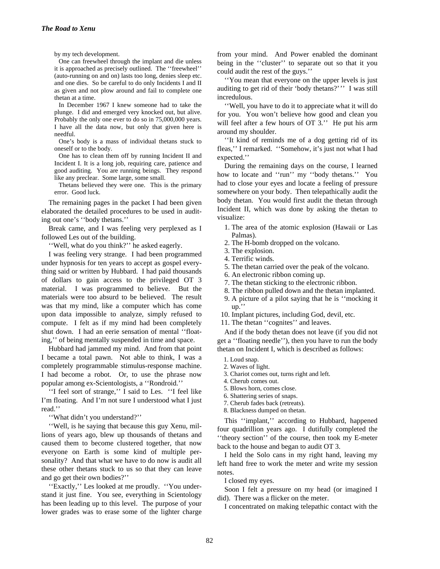by my tech development.

One can freewheel through the implant and die unless it is approached as precisely outlined. The ''freewheel'' (auto-running on and on) lasts too long, denies sleep etc. and one dies. So be careful to do only Incidents I and II as given and not plow around and fail to complete one thetan at a time.

In December 1967 I knew someone had to take the plunge. I did and emerged very knocked out, but alive. Probably the only one ever to do so in 75,000,000 years. I have all the data now, but only that given here is needful.

One's body is a mass of individual thetans stuck to oneself or to the body.

One has to clean them off by running Incident II and Incident I. It is a long job, requiring care, patience and good auditing. You are running beings. They respond like any preclear. Some large, some small.

Thetans believed they were one. This is the primary error. Good luck.

The remaining pages in the packet I had been given elaborated the detailed procedures to be used in auditing out one's ''body thetans.''

Break came, and I was feeling very perplexed as I followed Les out of the building.

''Well, what do you think?'' he asked eagerly.

I was feeling very strange. I had been programmed under hypnosis for ten years to accept as gospel everything said or written by Hubbard. I had paid thousands of dollars to gain access to the privileged OT 3 material. I was programmed to believe. But the materials were too absurd to be believed. The result was that my mind, like a computer which has come upon data impossible to analyze, simply refused to compute. I felt as if my mind had been completely shut down. I had an eerie sensation of mental ''floating,'' of being mentally suspended in time and space.

Hubbard had jammed my mind. And from that point I became a total pawn. Not able to think, I was a completely programmable stimulus-response machine. I had become a robot. Or, to use the phrase now popular among ex-Scientologists, a ''Rondroid.''

''I feel sort of strange,'' I said to Les. ''I feel like I'm floating. And I'm not sure I understood what I just read.''

''What didn't you understand?''

''Well, is he saying that because this guy Xenu, millions of years ago, blew up thousands of thetans and caused them to become clustered together, that now everyone on Earth is some kind of multiple personality? And that what we have to do now is audit all these other thetans stuck to us so that they can leave and go get their own bodies?''

''Exactly,'' Les looked at me proudly. ''You understand it just fine. You see, everything in Scientology has been leading up to this level. The purpose of your lower grades was to erase some of the lighter charge from your mind. And Power enabled the dominant being in the ''cluster'' to separate out so that it you could audit the rest of the guys.''

''You mean that everyone on the upper levels is just auditing to get rid of their 'body thetans?''' I was still incredulous.

''Well, you have to do it to appreciate what it will do for you. You won't believe how good and clean you will feel after a few hours of OT 3." He put his arm around my shoulder.

''It kind of reminds me of a dog getting rid of its fleas,'' I remarked. ''Somehow, it's just not what I had expected.''

During the remaining days on the course, I learned how to locate and ''run'' my ''body thetans.'' You had to close your eyes and locate a feeling of pressure somewhere on your body. Then telepathically audit the body thetan. You would first audit the thetan through Incident II, which was done by asking the thetan to visualize:

- 1. The area of the atomic explosion (Hawaii or Las Palmas).
- 2. The H-bomb dropped on the volcano.
- 3. The explosion.
- 4. Terrific winds.
- 5. The thetan carried over the peak of the volcano.
- 6. An electronic ribbon coming up.
- 7. The thetan sticking to the electronic ribbon.
- 8. The ribbon pulled down and the thetan implanted.
- 9. A picture of a pilot saying that he is ''mocking it up.''
- 10. Implant pictures, including God, devil, etc.
- 11. The thetan ''cognites'' and leaves.

And if the body thetan does not leave (if you did not get a ''floating needle''), then you have to run the body thetan on Incident I, which is described as follows:

- 1. Loud snap.
- 2. Waves of light.
- 3. Chariot comes out, turns right and left.
- 4. Cherub comes out.
- 5. Blows horn, comes close.
- 6. Shattering series of snaps.
- 7. Cherub fades back (retreats).
- 8. Blackness dumped on thetan.

This ''implant,'' according to Hubbard, happened four quadrillion years ago. I dutifully completed the ''theory section'' of the course, then took my E-meter back to the house and began to audit OT 3.

I held the Solo cans in my right hand, leaving my left hand free to work the meter and write my session notes.

I closed my eyes.

Soon I felt a pressure on my head (or imagined I did). There was a flicker on the meter.

I concentrated on making telepathic contact with the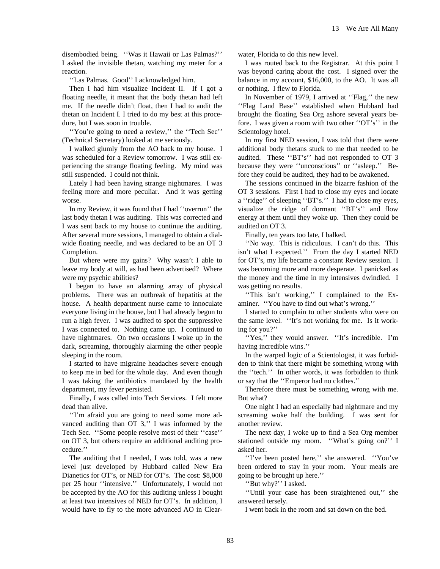disembodied being. ''Was it Hawaii or Las Palmas?'' I asked the invisible thetan, watching my meter for a reaction.

''Las Palmas. Good'' I acknowledged him.

Then I had him visualize Incident II. If I got a floating needle, it meant that the body thetan had left me. If the needle didn't float, then I had to audit the thetan on Incident I. I tried to do my best at this procedure, but I was soon in trouble.

''You're going to need a review,'' the ''Tech Sec'' (Technical Secretary) looked at me seriously.

I walked glumly from the AO back to my house. I was scheduled for a Review tomorrow. I was still experiencing the strange floating feeling. My mind was still suspended. I could not think.

Lately I had been having strange nightmares. I was feeling more and more peculiar. And it was getting worse.

In my Review, it was found that I had ''overrun'' the last body thetan I was auditing. This was corrected and I was sent back to my house to continue the auditing. After several more sessions, I managed to obtain a dialwide floating needle, and was declared to be an OT 3 Completion.

But where were my gains? Why wasn't I able to leave my body at will, as had been advertised? Where were my psychic abilities?

I began to have an alarming array of physical problems. There was an outbreak of hepatitis at the house. A health department nurse came to innoculate everyone living in the house, but I had already begun to run a high fever. I was audited to spot the suppressive I was connected to. Nothing came up. I continued to have nightmares. On two occasions I woke up in the dark, screaming, thoroughly alarming the other people sleeping in the room.

I started to have migraine headaches severe enough to keep me in bed for the whole day. And even though I was taking the antibiotics mandated by the health department, my fever persisted.

Finally, I was called into Tech Services. I felt more dead than alive.

''I'm afraid you are going to need some more advanced auditing than OT 3,'' I was informed by the Tech Sec. ''Some people resolve most of their ''case'' on OT 3, but others require an additional auditing procedure.''

The auditing that I needed, I was told, was a new level just developed by Hubbard called New Era Dianetics for OT's, or NED for OT's. The cost: \$8,000 per 25 hour ''intensive.'' Unfortunately, I would not be accepted by the AO for this auditing unless I bought at least two intensives of NED for OT's. In addition, I would have to fly to the more advanced AO in Clearwater, Florida to do this new level.

I was routed back to the Registrar. At this point I was beyond caring about the cost. I signed over the balance in my account, \$16,000, to the AO. It was all or nothing. I flew to Florida.

In November of 1979, I arrived at ''Flag,'' the new ''Flag Land Base'' established when Hubbard had brought the floating Sea Org ashore several years before. I was given a room with two other ''OT's'' in the Scientology hotel.

In my first NED session, I was told that there were additional body thetans stuck to me that needed to be audited. These ''BT's'' had not responded to OT 3 because they were ''unconscious'' or ''asleep.'' Before they could be audited, they had to be awakened.

The sessions continued in the bizarre fashion of the OT 3 sessions. First I had to close my eyes and locate a ''ridge'' of sleeping ''BT's.'' I had to close my eyes, visualize the ridge of dormant ''BT's'' and flow energy at them until they woke up. Then they could be audited on OT 3.

Finally, ten years too late, I balked.

''No way. This is ridiculous. I can't do this. This isn't what I expected.'' From the day I started NED for OT's, my life became a constant Review session. I was becoming more and more desperate. I panicked as the money and the time in my intensives dwindled. I was getting no results.

''This isn't working,'' I complained to the Examiner. ''You have to find out what's wrong.''

I started to complain to other students who were on the same level. ''It's not working for me. Is it working for you?''

''Yes,'' they would answer. ''It's incredible. I'm having incredible wins.''

In the warped logic of a Scientologist, it was forbidden to think that there might be something wrong with the ''tech.'' In other words, it was forbidden to think or say that the ''Emperor had no clothes.''

Therefore there must be something wrong with me. But what?

One night I had an especially bad nightmare and my screaming woke half the building. I was sent for another review.

The next day, I woke up to find a Sea Org member stationed outside my room. ''What's going on?'' I asked her.

''I've been posted here," she answered. "You've been ordered to stay in your room. Your meals are going to be brought up here.''

''But why?'' I asked.

''Until your case has been straightened out,'' she answered tersely.

I went back in the room and sat down on the bed.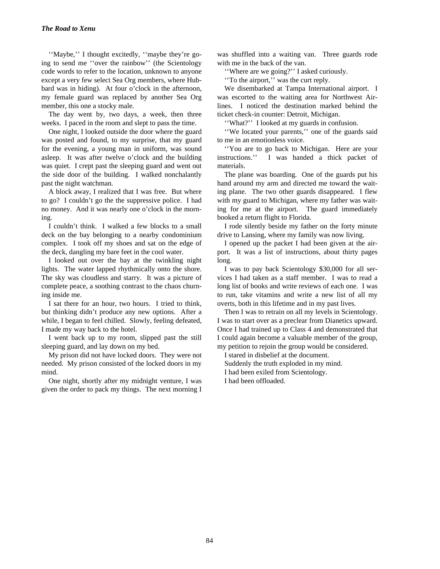''Maybe,'' I thought excitedly, ''maybe they're going to send me ''over the rainbow'' (the Scientology code words to refer to the location, unknown to anyone except a very few select Sea Org members, where Hubbard was in hiding). At four o'clock in the afternoon, my female guard was replaced by another Sea Org member, this one a stocky male.

The day went by, two days, a week, then three weeks. I paced in the room and slept to pass the time.

One night, I looked outside the door where the guard was posted and found, to my surprise, that my guard for the evening, a young man in uniform, was sound asleep. It was after twelve o'clock and the building was quiet. I crept past the sleeping guard and went out the side door of the building. I walked nonchalantly past the night watchman.

A block away, I realized that I was free. But where to go? I couldn't go the the suppressive police. I had no money. And it was nearly one o'clock in the morning.

I couldn't think. I walked a few blocks to a small deck on the bay belonging to a nearby condominium complex. I took off my shoes and sat on the edge of the deck, dangling my bare feet in the cool water.

I looked out over the bay at the twinkling night lights. The water lapped rhythmically onto the shore. The sky was cloudless and starry. It was a picture of complete peace, a soothing contrast to the chaos churning inside me.

I sat there for an hour, two hours. I tried to think, but thinking didn't produce any new options. After a while, I began to feel chilled. Slowly, feeling defeated, I made my way back to the hotel.

I went back up to my room, slipped past the still sleeping guard, and lay down on my bed.

My prison did not have locked doors. They were not needed. My prison consisted of the locked doors in my mind.

One night, shortly after my midnight venture, I was given the order to pack my things. The next morning I was shuffled into a waiting van. Three guards rode with me in the back of the van.

''Where are we going?'' I asked curiously.

''To the airport,'' was the curt reply.

We disembarked at Tampa International airport. I was escorted to the waiting area for Northwest Airlines. I noticed the destination marked behind the ticket check-in counter: Detroit, Michigan.

''What?'' I looked at my guards in confusion.

''We located your parents,'' one of the guards said to me in an emotionless voice.

''You are to go back to Michigan. Here are your instructions.'' I was handed a thick packet of materials.

The plane was boarding. One of the guards put his hand around my arm and directed me toward the waiting plane. The two other guards disappeared. I flew with my guard to Michigan, where my father was waiting for me at the airport. The guard immediately booked a return flight to Florida.

I rode silently beside my father on the forty minute drive to Lansing, where my family was now living.

I opened up the packet I had been given at the airport. It was a list of instructions, about thirty pages long.

I was to pay back Scientology \$30,000 for all services I had taken as a staff member. I was to read a long list of books and write reviews of each one. I was to run, take vitamins and write a new list of all my overts, both in this lifetime and in my past lives.

Then I was to retrain on all my levels in Scientology. I was to start over as a preclear from Dianetics upward. Once I had trained up to Class 4 and demonstrated that I could again become a valuable member of the group, my petition to rejoin the group would be considered.

I stared in disbelief at the document.

Suddenly the truth exploded in my mind.

I had been exiled from Scientology.

I had been offloaded.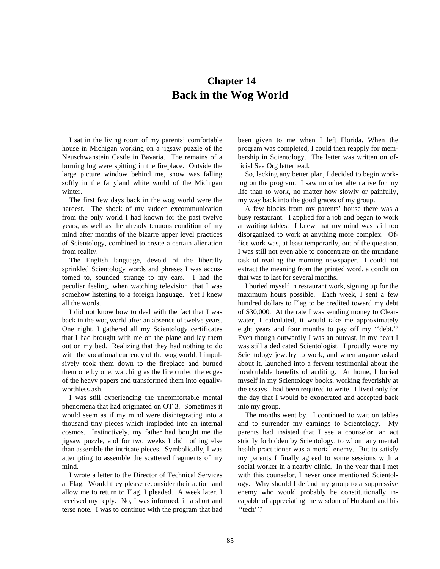## **Chapter 14 Back in the Wog World**

I sat in the living room of my parents' comfortable house in Michigan working on a jigsaw puzzle of the Neuschwanstein Castle in Bavaria. The remains of a burning log were spitting in the fireplace. Outside the large picture window behind me, snow was falling softly in the fairyland white world of the Michigan winter.

The first few days back in the wog world were the hardest. The shock of my sudden excommunication from the only world I had known for the past twelve years, as well as the already tenuous condition of my mind after months of the bizarre upper level practices of Scientology, combined to create a certain alienation from reality.

The English language, devoid of the liberally sprinkled Scientology words and phrases I was accustomed to, sounded strange to my ears. I had the peculiar feeling, when watching television, that I was somehow listening to a foreign language. Yet I knew all the words.

I did not know how to deal with the fact that I was back in the wog world after an absence of twelve years. One night, I gathered all my Scientology certificates that I had brought with me on the plane and lay them out on my bed. Realizing that they had nothing to do with the vocational currency of the wog world, I impulsively took them down to the fireplace and burned them one by one, watching as the fire curled the edges of the heavy papers and transformed them into equallyworthless ash.

I was still experiencing the uncomfortable mental phenomena that had originated on OT 3. Sometimes it would seem as if my mind were disintegrating into a thousand tiny pieces which imploded into an internal cosmos. Instinctively, my father had bought me the jigsaw puzzle, and for two weeks I did nothing else than assemble the intricate pieces. Symbolically, I was attempting to assemble the scattered fragments of my mind.

I wrote a letter to the Director of Technical Services at Flag. Would they please reconsider their action and allow me to return to Flag, I pleaded. A week later, I received my reply. No, I was informed, in a short and terse note. I was to continue with the program that had been given to me when I left Florida. When the program was completed, I could then reapply for membership in Scientology. The letter was written on official Sea Org letterhead.

So, lacking any better plan, I decided to begin working on the program. I saw no other alternative for my life than to work, no matter how slowly or painfully, my way back into the good graces of my group.

A few blocks from my parents' house there was a busy restaurant. I applied for a job and began to work at waiting tables. I knew that my mind was still too disorganized to work at anything more complex. Office work was, at least temporarily, out of the question. I was still not even able to concentrate on the mundane task of reading the morning newspaper. I could not extract the meaning from the printed word, a condition that was to last for several months.

I buried myself in restaurant work, signing up for the maximum hours possible. Each week, I sent a few hundred dollars to Flag to be credited toward my debt of \$30,000. At the rate I was sending money to Clearwater, I calculated, it would take me approximately eight years and four months to pay off my ''debt.'' Even though outwardly I was an outcast, in my heart I was still a dedicated Scientologist. I proudly wore my Scientology jewelry to work, and when anyone asked about it, launched into a fervent testimonial about the incalculable benefits of auditing. At home, I buried myself in my Scientology books, working feverishly at the essays I had been required to write. I lived only for the day that I would be exonerated and accepted back into my group.

The months went by. I continued to wait on tables and to surrender my earnings to Scientology. My parents had insisted that I see a counselor, an act strictly forbidden by Scientology, to whom any mental health practitioner was a mortal enemy. But to satisfy my parents I finally agreed to some sessions with a social worker in a nearby clinic. In the year that I met with this counselor, I never once mentioned Scientology. Why should I defend my group to a suppressive enemy who would probably be constitutionally incapable of appreciating the wisdom of Hubbard and his "tech"?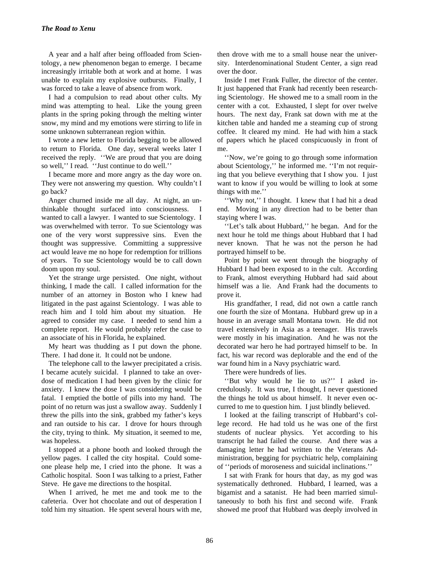A year and a half after being offloaded from Scientology, a new phenomenon began to emerge. I became increasingly irritable both at work and at home. I was unable to explain my explosive outbursts. Finally, I was forced to take a leave of absence from work.

I had a compulsion to read about other cults. My mind was attempting to heal. Like the young green plants in the spring poking through the melting winter snow, my mind and my emotions were stirring to life in some unknown subterranean region within.

I wrote a new letter to Florida begging to be allowed to return to Florida. One day, several weeks later I received the reply. ''We are proud that you are doing so well,'' I read. ''Just continue to do well.''

I became more and more angry as the day wore on. They were not answering my question. Why couldn't I go back?

Anger churned inside me all day. At night, an unthinkable thought surfaced into consciousness. I wanted to call a lawyer. I wanted to sue Scientology. I was overwhelmed with terror. To sue Scientology was one of the very worst suppressive sins. Even the thought was suppressive. Committing a suppressive act would leave me no hope for redemption for trillions of years. To sue Scientology would be to call down doom upon my soul.

Yet the strange urge persisted. One night, without thinking, I made the call. I called information for the number of an attorney in Boston who I knew had litigated in the past against Scientology. I was able to reach him and I told him about my situation. He agreed to consider my case. I needed to send him a complete report. He would probably refer the case to an associate of his in Florida, he explained.

My heart was thudding as I put down the phone. There. I had done it. It could not be undone.

The telephone call to the lawyer precipitated a crisis. I became acutely suicidal. I planned to take an overdose of medication I had been given by the clinic for anxiety. I knew the dose I was considering would be fatal. I emptied the bottle of pills into my hand. The point of no return was just a swallow away. Suddenly I threw the pills into the sink, grabbed my father's keys and ran outside to his car. I drove for hours through the city, trying to think. My situation, it seemed to me, was hopeless.

I stopped at a phone booth and looked through the yellow pages. I called the city hospital. Could someone please help me, I cried into the phone. It was a Catholic hospital. Soon I was talking to a priest, Father Steve. He gave me directions to the hospital.

When I arrived, he met me and took me to the cafeteria. Over hot chocolate and out of desperation I told him my situation. He spent several hours with me, then drove with me to a small house near the university. Interdenominational Student Center, a sign read over the door.

Inside I met Frank Fuller, the director of the center. It just happened that Frank had recently been researching Scientology. He showed me to a small room in the center with a cot. Exhausted, I slept for over twelve hours. The next day, Frank sat down with me at the kitchen table and handed me a steaming cup of strong coffee. It cleared my mind. He had with him a stack of papers which he placed conspicuously in front of me.

''Now, we're going to go through some information about Scientology,'' he informed me. ''I'm not requiring that you believe everything that I show you. I just want to know if you would be willing to look at some things with me.''

''Why not,'' I thought. I knew that I had hit a dead end. Moving in any direction had to be better than staying where I was.

''Let's talk about Hubbard,'' he began. And for the next hour he told me things about Hubbard that I had never known. That he was not the person he had portrayed himself to be.

Point by point we went through the biography of Hubbard I had been exposed to in the cult. According to Frank, almost everything Hubbard had said about himself was a lie. And Frank had the documents to prove it.

His grandfather, I read, did not own a cattle ranch one fourth the size of Montana. Hubbard grew up in a house in an average small Montana town. He did not travel extensively in Asia as a teenager. His travels were mostly in his imagination. And he was not the decorated war hero he had portrayed himself to be. In fact, his war record was deplorable and the end of the war found him in a Navy psychiatric ward.

There were hundreds of lies.

''But why would he lie to us?'' I asked incredulously. It was true, I thought, I never questioned the things he told us about himself. It never even occurred to me to question him. I just blindly believed.

I looked at the failing transcript of Hubbard's college record. He had told us he was one of the first students of nuclear physics. Yet according to his transcript he had failed the course. And there was a damaging letter he had written to the Veterans Administration, begging for psychiatric help, complaining of ''periods of moroseness and suicidal inclinations.''

I sat with Frank for hours that day, as my god was systematically dethroned. Hubbard, I learned, was a bigamist and a satanist. He had been married simultaneously to both his first and second wife. Frank showed me proof that Hubbard was deeply involved in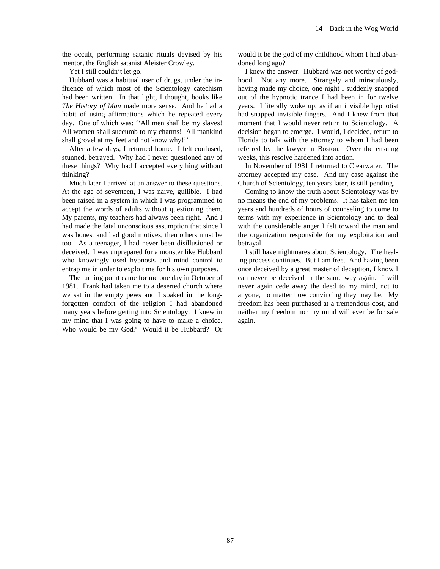the occult, performing satanic rituals devised by his mentor, the English satanist Aleister Crowley.

Yet I still couldn't let go.

Hubbard was a habitual user of drugs, under the influence of which most of the Scientology catechism had been written. In that light, I thought, books like *The History of Man* made more sense. And he had a habit of using affirmations which he repeated every day. One of which was: ''All men shall be my slaves! All women shall succumb to my charms! All mankind shall grovel at my feet and not know why!''

After a few days, I returned home. I felt confused, stunned, betrayed. Why had I never questioned any of these things? Why had I accepted everything without thinking?

Much later I arrived at an answer to these questions. At the age of seventeen, I was naive, gullible. I had been raised in a system in which I was programmed to accept the words of adults without questioning them. My parents, my teachers had always been right. And I had made the fatal unconscious assumption that since I was honest and had good motives, then others must be too. As a teenager, I had never been disillusioned or deceived. I was unprepared for a monster like Hubbard who knowingly used hypnosis and mind control to entrap me in order to exploit me for his own purposes.

The turning point came for me one day in October of 1981. Frank had taken me to a deserted church where we sat in the empty pews and I soaked in the longforgotten comfort of the religion I had abandoned many years before getting into Scientology. I knew in my mind that I was going to have to make a choice. Who would be my God? Would it be Hubbard? Or would it be the god of my childhood whom I had abandoned long ago?

I knew the answer. Hubbard was not worthy of godhood. Not any more. Strangely and miraculously, having made my choice, one night I suddenly snapped out of the hypnotic trance I had been in for twelve years. I literally woke up, as if an invisible hypnotist had snapped invisible fingers. And I knew from that moment that I would never return to Scientology. A decision began to emerge. I would, I decided, return to Florida to talk with the attorney to whom I had been referred by the lawyer in Boston. Over the ensuing weeks, this resolve hardened into action.

In November of 1981 I returned to Clearwater. The attorney accepted my case. And my case against the Church of Scientology, ten years later, is still pending.

Coming to know the truth about Scientology was by no means the end of my problems. It has taken me ten years and hundreds of hours of counseling to come to terms with my experience in Scientology and to deal with the considerable anger I felt toward the man and the organization responsible for my exploitation and betrayal.

I still have nightmares about Scientology. The healing process continues. But I am free. And having been once deceived by a great master of deception, I know I can never be deceived in the same way again. I will never again cede away the deed to my mind, not to anyone, no matter how convincing they may be. My freedom has been purchased at a tremendous cost, and neither my freedom nor my mind will ever be for sale again.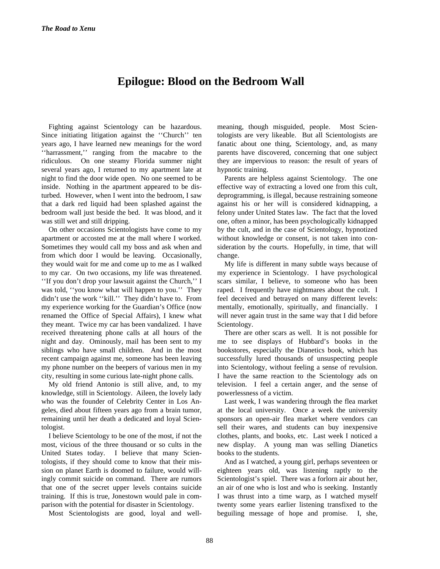## **Epilogue: Blood on the Bedroom Wall**

Fighting against Scientology can be hazardous. Since initiating litigation against the ''Church'' ten years ago, I have learned new meanings for the word ''harrassment,'' ranging from the macabre to the ridiculous. On one steamy Florida summer night several years ago, I returned to my apartment late at night to find the door wide open. No one seemed to be inside. Nothing in the apartment appeared to be disturbed. However, when I went into the bedroom, I saw that a dark red liquid had been splashed against the bedroom wall just beside the bed. It was blood, and it was still wet and still dripping.

On other occasions Scientologists have come to my apartment or accosted me at the mall where I worked. Sometimes they would call my boss and ask when and from which door I would be leaving. Occasionally, they would wait for me and come up to me as I walked to my car. On two occasions, my life was threatened. ''If you don't drop your lawsuit against the Church,'' I was told, ''you know what will happen to you.'' They didn't use the work ''kill.'' They didn't have to. From my experience working for the Guardian's Office (now renamed the Office of Special Affairs), I knew what they meant. Twice my car has been vandalized. I have received threatening phone calls at all hours of the night and day. Ominously, mail has been sent to my siblings who have small children. And in the most recent campaign against me, someone has been leaving my phone number on the beepers of various men in my city, resulting in some curious late-night phone calls.

My old friend Antonio is still alive, and, to my knowledge, still in Scientology. Aileen, the lovely lady who was the founder of Celebrity Center in Los Angeles, died about fifteen years ago from a brain tumor, remaining until her death a dedicated and loyal Scientologist.

I believe Scientology to be one of the most, if not the most, vicious of the three thousand or so cults in the United States today. I believe that many Scientologists, if they should come to know that their mission on planet Earth is doomed to failure, would willingly commit suicide on command. There are rumors that one of the secret upper levels contains suicide training. If this is true, Jonestown would pale in comparison with the potential for disaster in Scientology.

Most Scientologists are good, loyal and well-

meaning, though misguided, people. Most Scientologists are very likeable. But all Scientologists are fanatic about one thing, Scientology, and, as many parents have discovered, concerning that one subject they are impervious to reason: the result of years of hypnotic training.

Parents are helpless against Scientology. The one effective way of extracting a loved one from this cult, deprogramming, is illegal, because restraining someone against his or her will is considered kidnapping, a felony under United States law. The fact that the loved one, often a minor, has been psychologically kidnapped by the cult, and in the case of Scientology, hypnotized without knowledge or consent, is not taken into consideration by the courts. Hopefully, in time, that will change.

My life is different in many subtle ways because of my experience in Scientology. I have psychological scars similar, I believe, to someone who has been raped. I frequently have nightmares about the cult. I feel deceived and betrayed on many different levels: mentally, emotionally, spiritually, and financially. I will never again trust in the same way that I did before Scientology.

There are other scars as well. It is not possible for me to see displays of Hubbard's books in the bookstores, especially the Dianetics book, which has successfully lured thousands of unsuspecting people into Scientology, without feeling a sense of revulsion. I have the same reaction to the Scientology ads on television. I feel a certain anger, and the sense of powerlessness of a victim.

Last week, I was wandering through the flea market at the local university. Once a week the university sponsors an open-air flea market where vendors can sell their wares, and students can buy inexpensive clothes, plants, and books, etc. Last week I noticed a new display. A young man was selling Dianetics books to the students.

And as I watched, a young girl, perhaps seventeen or eighteen years old, was listening raptly to the Scientologist's spiel. There was a forlorn air about her, an air of one who is lost and who is seeking. Instantly I was thrust into a time warp, as I watched myself twenty some years earlier listening transfixed to the beguiling message of hope and promise. I, she,